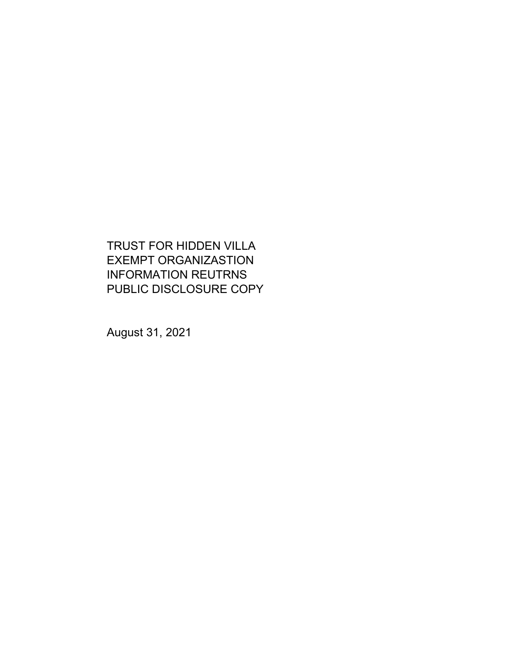TRUST FOR HIDDEN VILLA EXEMPT ORGANIZASTION INFORMATION REUTRNS PUBLIC DISCLOSURE COPY

August 31, 2021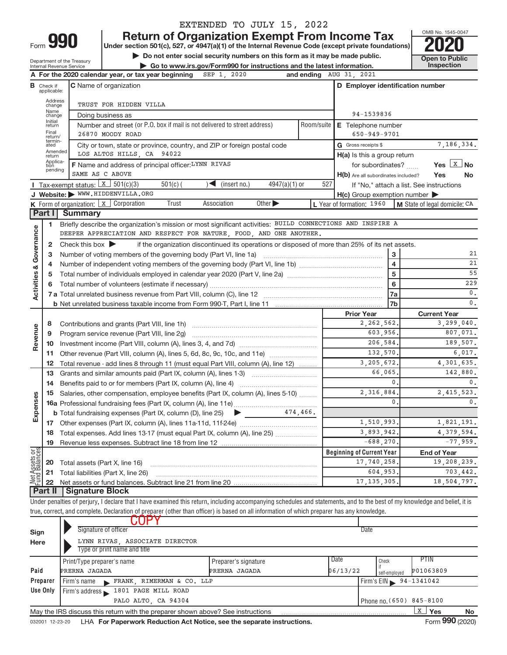| <b>Return of Organization Exempt From Income Tax</b><br>Form 990<br>Under section 501(c), 527, or 4947(a)(1) of the Internal Revenue Code (except private foundations)<br>Do not enter social security numbers on this form as it may be made public.<br>Department of the Treasury<br><b>Inspection</b><br>Go to www.irs.gov/Form990 for instructions and the latest information.<br>Internal Revenue Service<br>A For the 2020 calendar year, or tax year beginning<br>and ending AUG 31, 2021<br>SEP 1, 2020<br>D Employer identification number<br><b>C</b> Name of organization<br><b>B</b> Check if<br>applicable:<br>Address<br>TRUST FOR HIDDEN VILLA<br>change<br>Name<br>94-1539836<br>Doing business as<br>change<br>Initial<br>Number and street (or P.O. box if mail is not delivered to street address)<br>Room/suite<br><b>E</b> Telephone number<br>return<br>Final<br>26870 MOODY ROAD<br>$650 - 949 - 9701$<br>return/<br>termin-<br>G Gross receipts \$<br>City or town, state or province, country, and ZIP or foreign postal code<br>ated<br>Amended<br>LOS ALTOS HILLS, CA 94022<br>H(a) Is this a group return<br>return<br>Applica-<br>tion<br>F Name and address of principal officer: LYNN RIVAS<br>for subordinates?<br>pending<br>SAME AS C ABOVE<br>H(b) Are all subordinates included?<br><b>I</b> Tax-exempt status: $X \ 501(c)(3)$<br>$\blacktriangleleft$ (insert no.)<br>527<br>$501(c)$ (<br>$4947(a)(1)$ or<br>J Website: WWW.HIDDENVILLA.ORG<br>$H(c)$ Group exemption number $\blacktriangleright$<br>K Form of organization: X Corporation<br>Trust<br>Association<br>Other $\blacktriangleright$<br>L Year of formation: 1960<br>M State of legal domicile: CA<br>Part I<br><b>Summary</b><br>Briefly describe the organization's mission or most significant activities: BUILD CONNECTIONS AND INSPIRE A<br>1<br>Governance<br>DEEPER APPRECIATION AND RESPECT FOR NATURE, FOOD, AND ONE ANOTHER.<br>Check this box $\blacktriangleright$<br>if the organization discontinued its operations or disposed of more than 25% of its net assets.<br>2<br>3<br>з<br>$\overline{\mathbf{4}}$<br>4<br>œ<br>$\overline{5}$<br>Activities<br>5<br>6<br>6<br>7a<br>7b<br><b>Prior Year</b><br><b>Current Year</b><br>2, 262, 562,<br>8<br>Revenue<br>603,956.<br>Program service revenue (Part VIII, line 2g)<br>9<br>206,584.<br>10<br>132,570.<br>Other revenue (Part VIII, column (A), lines 5, 6d, 8c, 9c, 10c, and 11e)<br>11<br>3,205,672.<br>Total revenue - add lines 8 through 11 (must equal Part VIII, column (A), line 12)<br>12<br>66,065,<br>Grants and similar amounts paid (Part IX, column (A), lines 1-3)<br>13<br>$\mathbf{0}$<br>14<br>2, 316, 884<br>Salaries, other compensation, employee benefits (Part IX, column (A), lines 5-10)<br>Expenses<br>15<br>0<br>474,466.<br><b>b</b> Total fundraising expenses (Part IX, column (D), line 25)<br>▸<br>1,510,993.<br>17<br>3,893,942<br>Total expenses. Add lines 13-17 (must equal Part IX, column (A), line 25)<br>18<br>$-688, 270$<br>19<br>Net Assets or<br>Fund Balances<br><b>Beginning of Current Year</b><br><b>End of Year</b><br>Total assets (Part X, line 16)<br>20 | EXTENDED TO JULY 15, 2022                |                       |
|----------------------------------------------------------------------------------------------------------------------------------------------------------------------------------------------------------------------------------------------------------------------------------------------------------------------------------------------------------------------------------------------------------------------------------------------------------------------------------------------------------------------------------------------------------------------------------------------------------------------------------------------------------------------------------------------------------------------------------------------------------------------------------------------------------------------------------------------------------------------------------------------------------------------------------------------------------------------------------------------------------------------------------------------------------------------------------------------------------------------------------------------------------------------------------------------------------------------------------------------------------------------------------------------------------------------------------------------------------------------------------------------------------------------------------------------------------------------------------------------------------------------------------------------------------------------------------------------------------------------------------------------------------------------------------------------------------------------------------------------------------------------------------------------------------------------------------------------------------------------------------------------------------------------------------------------------------------------------------------------------------------------------------------------------------------------------------------------------------------------------------------------------------------------------------------------------------------------------------------------------------------------------------------------------------------------------------------------------------------------------------------------------------------------------------------------------------------------------------------------------------------------------------------------------------------------------------------------------------------------------------------------------------------------------------------------------------------------------------------------------------------------------------------------------------------------------------------------------------------------------------------------------------------------------------------------------------------------------------------------------------------------------------------------------------------------------------------------------------------------------------------------------------------------------------------|------------------------------------------|-----------------------|
|                                                                                                                                                                                                                                                                                                                                                                                                                                                                                                                                                                                                                                                                                                                                                                                                                                                                                                                                                                                                                                                                                                                                                                                                                                                                                                                                                                                                                                                                                                                                                                                                                                                                                                                                                                                                                                                                                                                                                                                                                                                                                                                                                                                                                                                                                                                                                                                                                                                                                                                                                                                                                                                                                                                                                                                                                                                                                                                                                                                                                                                                                                                                                                                        |                                          | OMB No. 1545-0047     |
|                                                                                                                                                                                                                                                                                                                                                                                                                                                                                                                                                                                                                                                                                                                                                                                                                                                                                                                                                                                                                                                                                                                                                                                                                                                                                                                                                                                                                                                                                                                                                                                                                                                                                                                                                                                                                                                                                                                                                                                                                                                                                                                                                                                                                                                                                                                                                                                                                                                                                                                                                                                                                                                                                                                                                                                                                                                                                                                                                                                                                                                                                                                                                                                        |                                          |                       |
|                                                                                                                                                                                                                                                                                                                                                                                                                                                                                                                                                                                                                                                                                                                                                                                                                                                                                                                                                                                                                                                                                                                                                                                                                                                                                                                                                                                                                                                                                                                                                                                                                                                                                                                                                                                                                                                                                                                                                                                                                                                                                                                                                                                                                                                                                                                                                                                                                                                                                                                                                                                                                                                                                                                                                                                                                                                                                                                                                                                                                                                                                                                                                                                        |                                          | <b>Open to Public</b> |
|                                                                                                                                                                                                                                                                                                                                                                                                                                                                                                                                                                                                                                                                                                                                                                                                                                                                                                                                                                                                                                                                                                                                                                                                                                                                                                                                                                                                                                                                                                                                                                                                                                                                                                                                                                                                                                                                                                                                                                                                                                                                                                                                                                                                                                                                                                                                                                                                                                                                                                                                                                                                                                                                                                                                                                                                                                                                                                                                                                                                                                                                                                                                                                                        |                                          |                       |
|                                                                                                                                                                                                                                                                                                                                                                                                                                                                                                                                                                                                                                                                                                                                                                                                                                                                                                                                                                                                                                                                                                                                                                                                                                                                                                                                                                                                                                                                                                                                                                                                                                                                                                                                                                                                                                                                                                                                                                                                                                                                                                                                                                                                                                                                                                                                                                                                                                                                                                                                                                                                                                                                                                                                                                                                                                                                                                                                                                                                                                                                                                                                                                                        |                                          |                       |
|                                                                                                                                                                                                                                                                                                                                                                                                                                                                                                                                                                                                                                                                                                                                                                                                                                                                                                                                                                                                                                                                                                                                                                                                                                                                                                                                                                                                                                                                                                                                                                                                                                                                                                                                                                                                                                                                                                                                                                                                                                                                                                                                                                                                                                                                                                                                                                                                                                                                                                                                                                                                                                                                                                                                                                                                                                                                                                                                                                                                                                                                                                                                                                                        |                                          |                       |
|                                                                                                                                                                                                                                                                                                                                                                                                                                                                                                                                                                                                                                                                                                                                                                                                                                                                                                                                                                                                                                                                                                                                                                                                                                                                                                                                                                                                                                                                                                                                                                                                                                                                                                                                                                                                                                                                                                                                                                                                                                                                                                                                                                                                                                                                                                                                                                                                                                                                                                                                                                                                                                                                                                                                                                                                                                                                                                                                                                                                                                                                                                                                                                                        |                                          |                       |
|                                                                                                                                                                                                                                                                                                                                                                                                                                                                                                                                                                                                                                                                                                                                                                                                                                                                                                                                                                                                                                                                                                                                                                                                                                                                                                                                                                                                                                                                                                                                                                                                                                                                                                                                                                                                                                                                                                                                                                                                                                                                                                                                                                                                                                                                                                                                                                                                                                                                                                                                                                                                                                                                                                                                                                                                                                                                                                                                                                                                                                                                                                                                                                                        |                                          |                       |
|                                                                                                                                                                                                                                                                                                                                                                                                                                                                                                                                                                                                                                                                                                                                                                                                                                                                                                                                                                                                                                                                                                                                                                                                                                                                                                                                                                                                                                                                                                                                                                                                                                                                                                                                                                                                                                                                                                                                                                                                                                                                                                                                                                                                                                                                                                                                                                                                                                                                                                                                                                                                                                                                                                                                                                                                                                                                                                                                                                                                                                                                                                                                                                                        |                                          |                       |
|                                                                                                                                                                                                                                                                                                                                                                                                                                                                                                                                                                                                                                                                                                                                                                                                                                                                                                                                                                                                                                                                                                                                                                                                                                                                                                                                                                                                                                                                                                                                                                                                                                                                                                                                                                                                                                                                                                                                                                                                                                                                                                                                                                                                                                                                                                                                                                                                                                                                                                                                                                                                                                                                                                                                                                                                                                                                                                                                                                                                                                                                                                                                                                                        |                                          |                       |
|                                                                                                                                                                                                                                                                                                                                                                                                                                                                                                                                                                                                                                                                                                                                                                                                                                                                                                                                                                                                                                                                                                                                                                                                                                                                                                                                                                                                                                                                                                                                                                                                                                                                                                                                                                                                                                                                                                                                                                                                                                                                                                                                                                                                                                                                                                                                                                                                                                                                                                                                                                                                                                                                                                                                                                                                                                                                                                                                                                                                                                                                                                                                                                                        |                                          | 7,186,334.            |
|                                                                                                                                                                                                                                                                                                                                                                                                                                                                                                                                                                                                                                                                                                                                                                                                                                                                                                                                                                                                                                                                                                                                                                                                                                                                                                                                                                                                                                                                                                                                                                                                                                                                                                                                                                                                                                                                                                                                                                                                                                                                                                                                                                                                                                                                                                                                                                                                                                                                                                                                                                                                                                                                                                                                                                                                                                                                                                                                                                                                                                                                                                                                                                                        |                                          |                       |
|                                                                                                                                                                                                                                                                                                                                                                                                                                                                                                                                                                                                                                                                                                                                                                                                                                                                                                                                                                                                                                                                                                                                                                                                                                                                                                                                                                                                                                                                                                                                                                                                                                                                                                                                                                                                                                                                                                                                                                                                                                                                                                                                                                                                                                                                                                                                                                                                                                                                                                                                                                                                                                                                                                                                                                                                                                                                                                                                                                                                                                                                                                                                                                                        |                                          | Yes $X$ No            |
|                                                                                                                                                                                                                                                                                                                                                                                                                                                                                                                                                                                                                                                                                                                                                                                                                                                                                                                                                                                                                                                                                                                                                                                                                                                                                                                                                                                                                                                                                                                                                                                                                                                                                                                                                                                                                                                                                                                                                                                                                                                                                                                                                                                                                                                                                                                                                                                                                                                                                                                                                                                                                                                                                                                                                                                                                                                                                                                                                                                                                                                                                                                                                                                        | Yes                                      | No                    |
|                                                                                                                                                                                                                                                                                                                                                                                                                                                                                                                                                                                                                                                                                                                                                                                                                                                                                                                                                                                                                                                                                                                                                                                                                                                                                                                                                                                                                                                                                                                                                                                                                                                                                                                                                                                                                                                                                                                                                                                                                                                                                                                                                                                                                                                                                                                                                                                                                                                                                                                                                                                                                                                                                                                                                                                                                                                                                                                                                                                                                                                                                                                                                                                        | If "No," attach a list. See instructions |                       |
|                                                                                                                                                                                                                                                                                                                                                                                                                                                                                                                                                                                                                                                                                                                                                                                                                                                                                                                                                                                                                                                                                                                                                                                                                                                                                                                                                                                                                                                                                                                                                                                                                                                                                                                                                                                                                                                                                                                                                                                                                                                                                                                                                                                                                                                                                                                                                                                                                                                                                                                                                                                                                                                                                                                                                                                                                                                                                                                                                                                                                                                                                                                                                                                        |                                          |                       |
|                                                                                                                                                                                                                                                                                                                                                                                                                                                                                                                                                                                                                                                                                                                                                                                                                                                                                                                                                                                                                                                                                                                                                                                                                                                                                                                                                                                                                                                                                                                                                                                                                                                                                                                                                                                                                                                                                                                                                                                                                                                                                                                                                                                                                                                                                                                                                                                                                                                                                                                                                                                                                                                                                                                                                                                                                                                                                                                                                                                                                                                                                                                                                                                        |                                          |                       |
|                                                                                                                                                                                                                                                                                                                                                                                                                                                                                                                                                                                                                                                                                                                                                                                                                                                                                                                                                                                                                                                                                                                                                                                                                                                                                                                                                                                                                                                                                                                                                                                                                                                                                                                                                                                                                                                                                                                                                                                                                                                                                                                                                                                                                                                                                                                                                                                                                                                                                                                                                                                                                                                                                                                                                                                                                                                                                                                                                                                                                                                                                                                                                                                        |                                          |                       |
|                                                                                                                                                                                                                                                                                                                                                                                                                                                                                                                                                                                                                                                                                                                                                                                                                                                                                                                                                                                                                                                                                                                                                                                                                                                                                                                                                                                                                                                                                                                                                                                                                                                                                                                                                                                                                                                                                                                                                                                                                                                                                                                                                                                                                                                                                                                                                                                                                                                                                                                                                                                                                                                                                                                                                                                                                                                                                                                                                                                                                                                                                                                                                                                        |                                          |                       |
|                                                                                                                                                                                                                                                                                                                                                                                                                                                                                                                                                                                                                                                                                                                                                                                                                                                                                                                                                                                                                                                                                                                                                                                                                                                                                                                                                                                                                                                                                                                                                                                                                                                                                                                                                                                                                                                                                                                                                                                                                                                                                                                                                                                                                                                                                                                                                                                                                                                                                                                                                                                                                                                                                                                                                                                                                                                                                                                                                                                                                                                                                                                                                                                        |                                          |                       |
|                                                                                                                                                                                                                                                                                                                                                                                                                                                                                                                                                                                                                                                                                                                                                                                                                                                                                                                                                                                                                                                                                                                                                                                                                                                                                                                                                                                                                                                                                                                                                                                                                                                                                                                                                                                                                                                                                                                                                                                                                                                                                                                                                                                                                                                                                                                                                                                                                                                                                                                                                                                                                                                                                                                                                                                                                                                                                                                                                                                                                                                                                                                                                                                        |                                          | 21                    |
|                                                                                                                                                                                                                                                                                                                                                                                                                                                                                                                                                                                                                                                                                                                                                                                                                                                                                                                                                                                                                                                                                                                                                                                                                                                                                                                                                                                                                                                                                                                                                                                                                                                                                                                                                                                                                                                                                                                                                                                                                                                                                                                                                                                                                                                                                                                                                                                                                                                                                                                                                                                                                                                                                                                                                                                                                                                                                                                                                                                                                                                                                                                                                                                        |                                          | 21                    |
|                                                                                                                                                                                                                                                                                                                                                                                                                                                                                                                                                                                                                                                                                                                                                                                                                                                                                                                                                                                                                                                                                                                                                                                                                                                                                                                                                                                                                                                                                                                                                                                                                                                                                                                                                                                                                                                                                                                                                                                                                                                                                                                                                                                                                                                                                                                                                                                                                                                                                                                                                                                                                                                                                                                                                                                                                                                                                                                                                                                                                                                                                                                                                                                        |                                          | 55                    |
|                                                                                                                                                                                                                                                                                                                                                                                                                                                                                                                                                                                                                                                                                                                                                                                                                                                                                                                                                                                                                                                                                                                                                                                                                                                                                                                                                                                                                                                                                                                                                                                                                                                                                                                                                                                                                                                                                                                                                                                                                                                                                                                                                                                                                                                                                                                                                                                                                                                                                                                                                                                                                                                                                                                                                                                                                                                                                                                                                                                                                                                                                                                                                                                        |                                          | 229                   |
|                                                                                                                                                                                                                                                                                                                                                                                                                                                                                                                                                                                                                                                                                                                                                                                                                                                                                                                                                                                                                                                                                                                                                                                                                                                                                                                                                                                                                                                                                                                                                                                                                                                                                                                                                                                                                                                                                                                                                                                                                                                                                                                                                                                                                                                                                                                                                                                                                                                                                                                                                                                                                                                                                                                                                                                                                                                                                                                                                                                                                                                                                                                                                                                        |                                          | $0$ .                 |
|                                                                                                                                                                                                                                                                                                                                                                                                                                                                                                                                                                                                                                                                                                                                                                                                                                                                                                                                                                                                                                                                                                                                                                                                                                                                                                                                                                                                                                                                                                                                                                                                                                                                                                                                                                                                                                                                                                                                                                                                                                                                                                                                                                                                                                                                                                                                                                                                                                                                                                                                                                                                                                                                                                                                                                                                                                                                                                                                                                                                                                                                                                                                                                                        |                                          | $0$ .                 |
|                                                                                                                                                                                                                                                                                                                                                                                                                                                                                                                                                                                                                                                                                                                                                                                                                                                                                                                                                                                                                                                                                                                                                                                                                                                                                                                                                                                                                                                                                                                                                                                                                                                                                                                                                                                                                                                                                                                                                                                                                                                                                                                                                                                                                                                                                                                                                                                                                                                                                                                                                                                                                                                                                                                                                                                                                                                                                                                                                                                                                                                                                                                                                                                        |                                          |                       |
|                                                                                                                                                                                                                                                                                                                                                                                                                                                                                                                                                                                                                                                                                                                                                                                                                                                                                                                                                                                                                                                                                                                                                                                                                                                                                                                                                                                                                                                                                                                                                                                                                                                                                                                                                                                                                                                                                                                                                                                                                                                                                                                                                                                                                                                                                                                                                                                                                                                                                                                                                                                                                                                                                                                                                                                                                                                                                                                                                                                                                                                                                                                                                                                        |                                          | 3,299,040.            |
|                                                                                                                                                                                                                                                                                                                                                                                                                                                                                                                                                                                                                                                                                                                                                                                                                                                                                                                                                                                                                                                                                                                                                                                                                                                                                                                                                                                                                                                                                                                                                                                                                                                                                                                                                                                                                                                                                                                                                                                                                                                                                                                                                                                                                                                                                                                                                                                                                                                                                                                                                                                                                                                                                                                                                                                                                                                                                                                                                                                                                                                                                                                                                                                        |                                          | 807,071.              |
|                                                                                                                                                                                                                                                                                                                                                                                                                                                                                                                                                                                                                                                                                                                                                                                                                                                                                                                                                                                                                                                                                                                                                                                                                                                                                                                                                                                                                                                                                                                                                                                                                                                                                                                                                                                                                                                                                                                                                                                                                                                                                                                                                                                                                                                                                                                                                                                                                                                                                                                                                                                                                                                                                                                                                                                                                                                                                                                                                                                                                                                                                                                                                                                        |                                          | 189,507.              |
|                                                                                                                                                                                                                                                                                                                                                                                                                                                                                                                                                                                                                                                                                                                                                                                                                                                                                                                                                                                                                                                                                                                                                                                                                                                                                                                                                                                                                                                                                                                                                                                                                                                                                                                                                                                                                                                                                                                                                                                                                                                                                                                                                                                                                                                                                                                                                                                                                                                                                                                                                                                                                                                                                                                                                                                                                                                                                                                                                                                                                                                                                                                                                                                        |                                          | 6,017.                |
|                                                                                                                                                                                                                                                                                                                                                                                                                                                                                                                                                                                                                                                                                                                                                                                                                                                                                                                                                                                                                                                                                                                                                                                                                                                                                                                                                                                                                                                                                                                                                                                                                                                                                                                                                                                                                                                                                                                                                                                                                                                                                                                                                                                                                                                                                                                                                                                                                                                                                                                                                                                                                                                                                                                                                                                                                                                                                                                                                                                                                                                                                                                                                                                        |                                          | 4,301,635.            |
|                                                                                                                                                                                                                                                                                                                                                                                                                                                                                                                                                                                                                                                                                                                                                                                                                                                                                                                                                                                                                                                                                                                                                                                                                                                                                                                                                                                                                                                                                                                                                                                                                                                                                                                                                                                                                                                                                                                                                                                                                                                                                                                                                                                                                                                                                                                                                                                                                                                                                                                                                                                                                                                                                                                                                                                                                                                                                                                                                                                                                                                                                                                                                                                        |                                          | 142,880.              |
|                                                                                                                                                                                                                                                                                                                                                                                                                                                                                                                                                                                                                                                                                                                                                                                                                                                                                                                                                                                                                                                                                                                                                                                                                                                                                                                                                                                                                                                                                                                                                                                                                                                                                                                                                                                                                                                                                                                                                                                                                                                                                                                                                                                                                                                                                                                                                                                                                                                                                                                                                                                                                                                                                                                                                                                                                                                                                                                                                                                                                                                                                                                                                                                        |                                          | $0$ .                 |
|                                                                                                                                                                                                                                                                                                                                                                                                                                                                                                                                                                                                                                                                                                                                                                                                                                                                                                                                                                                                                                                                                                                                                                                                                                                                                                                                                                                                                                                                                                                                                                                                                                                                                                                                                                                                                                                                                                                                                                                                                                                                                                                                                                                                                                                                                                                                                                                                                                                                                                                                                                                                                                                                                                                                                                                                                                                                                                                                                                                                                                                                                                                                                                                        |                                          | 2, 415, 523.          |
|                                                                                                                                                                                                                                                                                                                                                                                                                                                                                                                                                                                                                                                                                                                                                                                                                                                                                                                                                                                                                                                                                                                                                                                                                                                                                                                                                                                                                                                                                                                                                                                                                                                                                                                                                                                                                                                                                                                                                                                                                                                                                                                                                                                                                                                                                                                                                                                                                                                                                                                                                                                                                                                                                                                                                                                                                                                                                                                                                                                                                                                                                                                                                                                        |                                          | 0.                    |
|                                                                                                                                                                                                                                                                                                                                                                                                                                                                                                                                                                                                                                                                                                                                                                                                                                                                                                                                                                                                                                                                                                                                                                                                                                                                                                                                                                                                                                                                                                                                                                                                                                                                                                                                                                                                                                                                                                                                                                                                                                                                                                                                                                                                                                                                                                                                                                                                                                                                                                                                                                                                                                                                                                                                                                                                                                                                                                                                                                                                                                                                                                                                                                                        |                                          |                       |
|                                                                                                                                                                                                                                                                                                                                                                                                                                                                                                                                                                                                                                                                                                                                                                                                                                                                                                                                                                                                                                                                                                                                                                                                                                                                                                                                                                                                                                                                                                                                                                                                                                                                                                                                                                                                                                                                                                                                                                                                                                                                                                                                                                                                                                                                                                                                                                                                                                                                                                                                                                                                                                                                                                                                                                                                                                                                                                                                                                                                                                                                                                                                                                                        |                                          | 1,821,191.            |
|                                                                                                                                                                                                                                                                                                                                                                                                                                                                                                                                                                                                                                                                                                                                                                                                                                                                                                                                                                                                                                                                                                                                                                                                                                                                                                                                                                                                                                                                                                                                                                                                                                                                                                                                                                                                                                                                                                                                                                                                                                                                                                                                                                                                                                                                                                                                                                                                                                                                                                                                                                                                                                                                                                                                                                                                                                                                                                                                                                                                                                                                                                                                                                                        |                                          | 4,379,594.            |
|                                                                                                                                                                                                                                                                                                                                                                                                                                                                                                                                                                                                                                                                                                                                                                                                                                                                                                                                                                                                                                                                                                                                                                                                                                                                                                                                                                                                                                                                                                                                                                                                                                                                                                                                                                                                                                                                                                                                                                                                                                                                                                                                                                                                                                                                                                                                                                                                                                                                                                                                                                                                                                                                                                                                                                                                                                                                                                                                                                                                                                                                                                                                                                                        |                                          | $-77,959.$            |
|                                                                                                                                                                                                                                                                                                                                                                                                                                                                                                                                                                                                                                                                                                                                                                                                                                                                                                                                                                                                                                                                                                                                                                                                                                                                                                                                                                                                                                                                                                                                                                                                                                                                                                                                                                                                                                                                                                                                                                                                                                                                                                                                                                                                                                                                                                                                                                                                                                                                                                                                                                                                                                                                                                                                                                                                                                                                                                                                                                                                                                                                                                                                                                                        |                                          |                       |
|                                                                                                                                                                                                                                                                                                                                                                                                                                                                                                                                                                                                                                                                                                                                                                                                                                                                                                                                                                                                                                                                                                                                                                                                                                                                                                                                                                                                                                                                                                                                                                                                                                                                                                                                                                                                                                                                                                                                                                                                                                                                                                                                                                                                                                                                                                                                                                                                                                                                                                                                                                                                                                                                                                                                                                                                                                                                                                                                                                                                                                                                                                                                                                                        | 17,740,258.                              | 19,208,239.           |
| 604,953.<br>Total liabilities (Part X, line 26)<br>21                                                                                                                                                                                                                                                                                                                                                                                                                                                                                                                                                                                                                                                                                                                                                                                                                                                                                                                                                                                                                                                                                                                                                                                                                                                                                                                                                                                                                                                                                                                                                                                                                                                                                                                                                                                                                                                                                                                                                                                                                                                                                                                                                                                                                                                                                                                                                                                                                                                                                                                                                                                                                                                                                                                                                                                                                                                                                                                                                                                                                                                                                                                                  |                                          | 703,442.              |
| 17, 135, 305<br>22<br><b>Part II</b><br><b>Signature Block</b>                                                                                                                                                                                                                                                                                                                                                                                                                                                                                                                                                                                                                                                                                                                                                                                                                                                                                                                                                                                                                                                                                                                                                                                                                                                                                                                                                                                                                                                                                                                                                                                                                                                                                                                                                                                                                                                                                                                                                                                                                                                                                                                                                                                                                                                                                                                                                                                                                                                                                                                                                                                                                                                                                                                                                                                                                                                                                                                                                                                                                                                                                                                         |                                          | 18,504,797.           |
| Under penalties of perjury, I declare that I have examined this return, including accompanying schedules and statements, and to the best of my knowledge and belief, it is                                                                                                                                                                                                                                                                                                                                                                                                                                                                                                                                                                                                                                                                                                                                                                                                                                                                                                                                                                                                                                                                                                                                                                                                                                                                                                                                                                                                                                                                                                                                                                                                                                                                                                                                                                                                                                                                                                                                                                                                                                                                                                                                                                                                                                                                                                                                                                                                                                                                                                                                                                                                                                                                                                                                                                                                                                                                                                                                                                                                             |                                          |                       |
| true, correct, and complete. Declaration of preparer (other than officer) is based on all information of which preparer has any knowledge.                                                                                                                                                                                                                                                                                                                                                                                                                                                                                                                                                                                                                                                                                                                                                                                                                                                                                                                                                                                                                                                                                                                                                                                                                                                                                                                                                                                                                                                                                                                                                                                                                                                                                                                                                                                                                                                                                                                                                                                                                                                                                                                                                                                                                                                                                                                                                                                                                                                                                                                                                                                                                                                                                                                                                                                                                                                                                                                                                                                                                                             |                                          |                       |
| JUPY                                                                                                                                                                                                                                                                                                                                                                                                                                                                                                                                                                                                                                                                                                                                                                                                                                                                                                                                                                                                                                                                                                                                                                                                                                                                                                                                                                                                                                                                                                                                                                                                                                                                                                                                                                                                                                                                                                                                                                                                                                                                                                                                                                                                                                                                                                                                                                                                                                                                                                                                                                                                                                                                                                                                                                                                                                                                                                                                                                                                                                                                                                                                                                                   |                                          |                       |
| Signature of officer<br>Date<br>Sign                                                                                                                                                                                                                                                                                                                                                                                                                                                                                                                                                                                                                                                                                                                                                                                                                                                                                                                                                                                                                                                                                                                                                                                                                                                                                                                                                                                                                                                                                                                                                                                                                                                                                                                                                                                                                                                                                                                                                                                                                                                                                                                                                                                                                                                                                                                                                                                                                                                                                                                                                                                                                                                                                                                                                                                                                                                                                                                                                                                                                                                                                                                                                   |                                          |                       |

| Sign     | <b>Signature Of Officer</b>                                                                                                                                                                                                   | <b>DAIR</b>          |      |                                    |                                   |    |  |  |  |  |  |  |
|----------|-------------------------------------------------------------------------------------------------------------------------------------------------------------------------------------------------------------------------------|----------------------|------|------------------------------------|-----------------------------------|----|--|--|--|--|--|--|
| Here     | LYNN RIVAS, ASSOCIATE DIRECTOR                                                                                                                                                                                                |                      |      |                                    |                                   |    |  |  |  |  |  |  |
|          | Type or print name and title                                                                                                                                                                                                  |                      |      |                                    |                                   |    |  |  |  |  |  |  |
|          | Print/Type preparer's name                                                                                                                                                                                                    | Preparer's signature | Date | Check                              | PTIN                              |    |  |  |  |  |  |  |
| Paid     | 06/13/22<br>PRERNA JAGADA<br>PRERNA JAGADA<br>self-employed                                                                                                                                                                   |                      |      |                                    |                                   |    |  |  |  |  |  |  |
| Preparer | FRANK, RIMERMAN & CO. LLP<br>Firm's name                                                                                                                                                                                      |                      |      | $1$ Firm's EIN $\geq 94 - 1341042$ |                                   |    |  |  |  |  |  |  |
| Use Only | Firm's address 1801 PAGE MILL ROAD                                                                                                                                                                                            |                      |      |                                    |                                   |    |  |  |  |  |  |  |
|          | Phone no. (650) 845-8100<br>PALO ALTO, CA 94304                                                                                                                                                                               |                      |      |                                    |                                   |    |  |  |  |  |  |  |
|          | May the IRS discuss this return with the preparer shown above? See instructions                                                                                                                                               |                      |      |                                    | x  <br>Yes                        | No |  |  |  |  |  |  |
|          | . The state of the state of the state of the state of the state of the state of the state of the state of the state of the state of the state of the state of the state of the state of the state of the state of the state o |                      |      |                                    | $\overline{a}$ 000 $\overline{a}$ |    |  |  |  |  |  |  |

032001 12-23-20 **For Paperwork Reduction Act Notice, see the separate instructions.**  LHA Form (2020)

Form **990** (2020)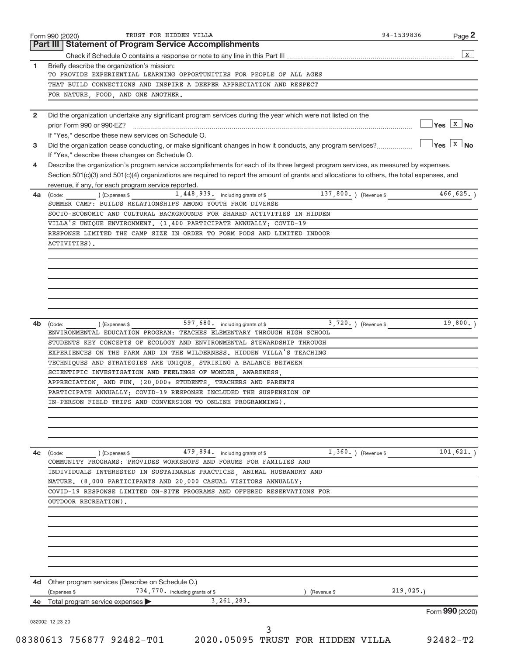| 1<br>$\mathbf{2}$<br>3<br>4<br>4a | Briefly describe the organization's mission:<br>TO PROVIDE EXPERIENTIAL LEARNING OPPORTUNITIES FOR PEOPLE OF ALL AGES<br>THAT BUILD CONNECTIONS AND INSPIRE A DEEPER APPRECIATION AND RESPECT<br>FOR NATURE, FOOD, AND ONE ANOTHER.<br>Did the organization undertake any significant program services during the year which were not listed on the<br>prior Form 990 or 990-EZ?<br>If "Yes," describe these new services on Schedule O.<br>Did the organization cease conducting, or make significant changes in how it conducts, any program services?<br>If "Yes," describe these changes on Schedule O.<br>Describe the organization's program service accomplishments for each of its three largest program services, as measured by expenses.<br>Section 501(c)(3) and 501(c)(4) organizations are required to report the amount of grants and allocations to others, the total expenses, and | $Yes \quad X \quad No$ | $\mathbf X$<br>$\sqrt{}$ Yes $\sqrt{X}$ No |
|-----------------------------------|-----------------------------------------------------------------------------------------------------------------------------------------------------------------------------------------------------------------------------------------------------------------------------------------------------------------------------------------------------------------------------------------------------------------------------------------------------------------------------------------------------------------------------------------------------------------------------------------------------------------------------------------------------------------------------------------------------------------------------------------------------------------------------------------------------------------------------------------------------------------------------------------------------|------------------------|--------------------------------------------|
|                                   |                                                                                                                                                                                                                                                                                                                                                                                                                                                                                                                                                                                                                                                                                                                                                                                                                                                                                                     |                        |                                            |
|                                   |                                                                                                                                                                                                                                                                                                                                                                                                                                                                                                                                                                                                                                                                                                                                                                                                                                                                                                     |                        |                                            |
|                                   |                                                                                                                                                                                                                                                                                                                                                                                                                                                                                                                                                                                                                                                                                                                                                                                                                                                                                                     |                        |                                            |
|                                   |                                                                                                                                                                                                                                                                                                                                                                                                                                                                                                                                                                                                                                                                                                                                                                                                                                                                                                     |                        |                                            |
|                                   |                                                                                                                                                                                                                                                                                                                                                                                                                                                                                                                                                                                                                                                                                                                                                                                                                                                                                                     |                        |                                            |
|                                   |                                                                                                                                                                                                                                                                                                                                                                                                                                                                                                                                                                                                                                                                                                                                                                                                                                                                                                     |                        |                                            |
|                                   |                                                                                                                                                                                                                                                                                                                                                                                                                                                                                                                                                                                                                                                                                                                                                                                                                                                                                                     |                        |                                            |
|                                   |                                                                                                                                                                                                                                                                                                                                                                                                                                                                                                                                                                                                                                                                                                                                                                                                                                                                                                     |                        |                                            |
|                                   |                                                                                                                                                                                                                                                                                                                                                                                                                                                                                                                                                                                                                                                                                                                                                                                                                                                                                                     |                        |                                            |
|                                   |                                                                                                                                                                                                                                                                                                                                                                                                                                                                                                                                                                                                                                                                                                                                                                                                                                                                                                     |                        |                                            |
|                                   |                                                                                                                                                                                                                                                                                                                                                                                                                                                                                                                                                                                                                                                                                                                                                                                                                                                                                                     |                        |                                            |
|                                   |                                                                                                                                                                                                                                                                                                                                                                                                                                                                                                                                                                                                                                                                                                                                                                                                                                                                                                     |                        |                                            |
|                                   |                                                                                                                                                                                                                                                                                                                                                                                                                                                                                                                                                                                                                                                                                                                                                                                                                                                                                                     |                        |                                            |
|                                   | revenue, if any, for each program service reported.                                                                                                                                                                                                                                                                                                                                                                                                                                                                                                                                                                                                                                                                                                                                                                                                                                                 |                        |                                            |
|                                   | 1,448,939. including grants of \$<br>137,800.) (Revenue \$<br>(Code:<br>(Expenses \$                                                                                                                                                                                                                                                                                                                                                                                                                                                                                                                                                                                                                                                                                                                                                                                                                |                        | 466, 625.                                  |
|                                   | SUMMER CAMP: BUILDS RELATIONSHIPS AMONG YOUTH FROM DIVERSE                                                                                                                                                                                                                                                                                                                                                                                                                                                                                                                                                                                                                                                                                                                                                                                                                                          |                        |                                            |
|                                   | SOCIO-ECONOMIC AND CULTURAL BACKGROUNDS FOR SHARED ACTIVITIES IN HIDDEN                                                                                                                                                                                                                                                                                                                                                                                                                                                                                                                                                                                                                                                                                                                                                                                                                             |                        |                                            |
|                                   | VILLA'S UNIQUE ENVIRONMENT. (1,400 PARTICIPATE ANNUALLY; COVID-19                                                                                                                                                                                                                                                                                                                                                                                                                                                                                                                                                                                                                                                                                                                                                                                                                                   |                        |                                            |
|                                   | RESPONSE LIMITED THE CAMP SIZE IN ORDER TO FORM PODS AND LIMITED INDOOR                                                                                                                                                                                                                                                                                                                                                                                                                                                                                                                                                                                                                                                                                                                                                                                                                             |                        |                                            |
|                                   | ACTIVITIES).                                                                                                                                                                                                                                                                                                                                                                                                                                                                                                                                                                                                                                                                                                                                                                                                                                                                                        |                        |                                            |
|                                   |                                                                                                                                                                                                                                                                                                                                                                                                                                                                                                                                                                                                                                                                                                                                                                                                                                                                                                     |                        |                                            |
|                                   |                                                                                                                                                                                                                                                                                                                                                                                                                                                                                                                                                                                                                                                                                                                                                                                                                                                                                                     |                        |                                            |
|                                   |                                                                                                                                                                                                                                                                                                                                                                                                                                                                                                                                                                                                                                                                                                                                                                                                                                                                                                     |                        |                                            |
|                                   |                                                                                                                                                                                                                                                                                                                                                                                                                                                                                                                                                                                                                                                                                                                                                                                                                                                                                                     |                        |                                            |
|                                   |                                                                                                                                                                                                                                                                                                                                                                                                                                                                                                                                                                                                                                                                                                                                                                                                                                                                                                     |                        |                                            |
|                                   |                                                                                                                                                                                                                                                                                                                                                                                                                                                                                                                                                                                                                                                                                                                                                                                                                                                                                                     |                        |                                            |
|                                   |                                                                                                                                                                                                                                                                                                                                                                                                                                                                                                                                                                                                                                                                                                                                                                                                                                                                                                     |                        |                                            |
| 4b                                | 597, 680. including grants of \$<br>3,720.<br>(Code:<br>) (Expenses \$<br>(Revenue \$                                                                                                                                                                                                                                                                                                                                                                                                                                                                                                                                                                                                                                                                                                                                                                                                               |                        | 19,800.                                    |
|                                   | ENVIRONMENTAL EDUCATION PROGRAM: TEACHES ELEMENTARY THROUGH HIGH SCHOOL                                                                                                                                                                                                                                                                                                                                                                                                                                                                                                                                                                                                                                                                                                                                                                                                                             |                        |                                            |
|                                   | STUDENTS KEY CONCEPTS OF ECOLOGY AND ENVIRONMENTAL STEWARDSHIP THROUGH                                                                                                                                                                                                                                                                                                                                                                                                                                                                                                                                                                                                                                                                                                                                                                                                                              |                        |                                            |
|                                   | EXPERIENCES ON THE FARM AND IN THE WILDERNESS. HIDDEN VILLA'S TEACHING                                                                                                                                                                                                                                                                                                                                                                                                                                                                                                                                                                                                                                                                                                                                                                                                                              |                        |                                            |
|                                   | TECHNIQUES AND STRATEGIES ARE UNIQUE, STRIKING A BALANCE BETWEEN                                                                                                                                                                                                                                                                                                                                                                                                                                                                                                                                                                                                                                                                                                                                                                                                                                    |                        |                                            |
|                                   | SCIENTIFIC INVESTIGATION AND FEELINGS OF WONDER, AWARENESS,                                                                                                                                                                                                                                                                                                                                                                                                                                                                                                                                                                                                                                                                                                                                                                                                                                         |                        |                                            |
|                                   | APPRECIATION, AND FUN. (20,000+ STUDENTS, TEACHERS AND PARENTS                                                                                                                                                                                                                                                                                                                                                                                                                                                                                                                                                                                                                                                                                                                                                                                                                                      |                        |                                            |
|                                   | PARTICIPATE ANNUALLY; COVID-19 RESPONSE INCLUDED THE SUSPENSION OF                                                                                                                                                                                                                                                                                                                                                                                                                                                                                                                                                                                                                                                                                                                                                                                                                                  |                        |                                            |
|                                   |                                                                                                                                                                                                                                                                                                                                                                                                                                                                                                                                                                                                                                                                                                                                                                                                                                                                                                     |                        |                                            |
|                                   | IN-PERSON FIELD TRIPS AND CONVERSION TO ONLINE PROGRAMMING).                                                                                                                                                                                                                                                                                                                                                                                                                                                                                                                                                                                                                                                                                                                                                                                                                                        |                        |                                            |
|                                   |                                                                                                                                                                                                                                                                                                                                                                                                                                                                                                                                                                                                                                                                                                                                                                                                                                                                                                     |                        |                                            |
|                                   |                                                                                                                                                                                                                                                                                                                                                                                                                                                                                                                                                                                                                                                                                                                                                                                                                                                                                                     |                        |                                            |
|                                   |                                                                                                                                                                                                                                                                                                                                                                                                                                                                                                                                                                                                                                                                                                                                                                                                                                                                                                     |                        |                                            |
|                                   |                                                                                                                                                                                                                                                                                                                                                                                                                                                                                                                                                                                                                                                                                                                                                                                                                                                                                                     |                        |                                            |
| 4c                                | 479,894. including grants of \$<br>$1,360.$ (Revenue \$<br>(Expenses \$<br>(Code:                                                                                                                                                                                                                                                                                                                                                                                                                                                                                                                                                                                                                                                                                                                                                                                                                   |                        | 101, 621.                                  |
|                                   | COMMUNITY PROGRAMS: PROVIDES WORKSHOPS AND FORUMS FOR FAMILIES AND                                                                                                                                                                                                                                                                                                                                                                                                                                                                                                                                                                                                                                                                                                                                                                                                                                  |                        |                                            |
|                                   | INDIVIDUALS INTERESTED IN SUSTAINABLE PRACTICES, ANIMAL HUSBANDRY AND                                                                                                                                                                                                                                                                                                                                                                                                                                                                                                                                                                                                                                                                                                                                                                                                                               |                        |                                            |
|                                   | NATURE. (8,000 PARTICIPANTS AND 20,000 CASUAL VISITORS ANNUALLY;                                                                                                                                                                                                                                                                                                                                                                                                                                                                                                                                                                                                                                                                                                                                                                                                                                    |                        |                                            |
|                                   | COVID-19 RESPONSE LIMITED ON-SITE PROGRAMS AND OFFERED RESERVATIONS FOR                                                                                                                                                                                                                                                                                                                                                                                                                                                                                                                                                                                                                                                                                                                                                                                                                             |                        |                                            |
|                                   | OUTDOOR RECREATION).                                                                                                                                                                                                                                                                                                                                                                                                                                                                                                                                                                                                                                                                                                                                                                                                                                                                                |                        |                                            |
|                                   |                                                                                                                                                                                                                                                                                                                                                                                                                                                                                                                                                                                                                                                                                                                                                                                                                                                                                                     |                        |                                            |
|                                   |                                                                                                                                                                                                                                                                                                                                                                                                                                                                                                                                                                                                                                                                                                                                                                                                                                                                                                     |                        |                                            |
|                                   |                                                                                                                                                                                                                                                                                                                                                                                                                                                                                                                                                                                                                                                                                                                                                                                                                                                                                                     |                        |                                            |
|                                   |                                                                                                                                                                                                                                                                                                                                                                                                                                                                                                                                                                                                                                                                                                                                                                                                                                                                                                     |                        |                                            |
|                                   |                                                                                                                                                                                                                                                                                                                                                                                                                                                                                                                                                                                                                                                                                                                                                                                                                                                                                                     |                        |                                            |
|                                   |                                                                                                                                                                                                                                                                                                                                                                                                                                                                                                                                                                                                                                                                                                                                                                                                                                                                                                     |                        |                                            |
|                                   |                                                                                                                                                                                                                                                                                                                                                                                                                                                                                                                                                                                                                                                                                                                                                                                                                                                                                                     |                        |                                            |
| 4d -                              | Other program services (Describe on Schedule O.)                                                                                                                                                                                                                                                                                                                                                                                                                                                                                                                                                                                                                                                                                                                                                                                                                                                    |                        |                                            |
|                                   | 734, 770. including grants of \$<br>(Expenses \$<br>(Revenue \$                                                                                                                                                                                                                                                                                                                                                                                                                                                                                                                                                                                                                                                                                                                                                                                                                                     | 219,025.               |                                            |
| 4e                                | 3, 261, 283.<br>Total program service expenses                                                                                                                                                                                                                                                                                                                                                                                                                                                                                                                                                                                                                                                                                                                                                                                                                                                      |                        |                                            |
|                                   |                                                                                                                                                                                                                                                                                                                                                                                                                                                                                                                                                                                                                                                                                                                                                                                                                                                                                                     | Form 990 (2020)        |                                            |
|                                   | 032002 12-23-20                                                                                                                                                                                                                                                                                                                                                                                                                                                                                                                                                                                                                                                                                                                                                                                                                                                                                     |                        |                                            |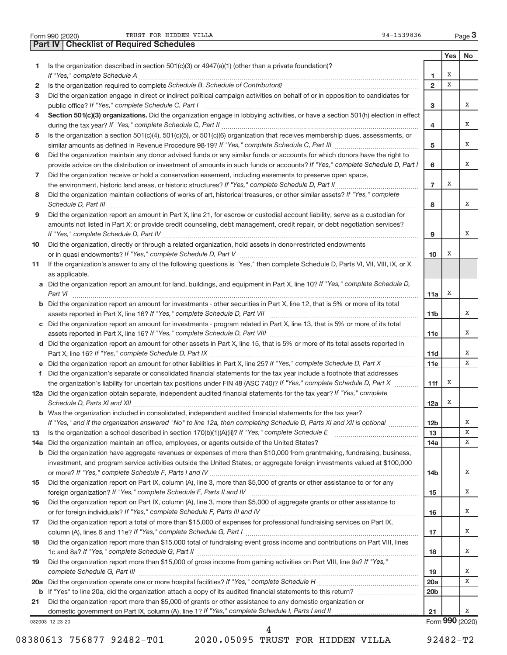|  | Form 990 (2020 |
|--|----------------|
|  |                |

Form 990 (2020) Page Page Page Page Page Page Page Page Page Page Page Page Page Page Page Page Page Page Page Page Page Page Page Page Page Page Page Page Page P

032003 12-23-20 **Yes No 1** Is the organization described in section 501(c)(3) or 4947(a)(1) (other than a private foundation)? **2 3 4 5 6 7 8 9 10 11 12a** Did the organization obtain separate, independent audited financial statements for the tax year? If "Yes," complete **13 14 a** Did the organization maintain an office, employees, or agents outside of the United States? ~~~~~~~~~~~~~~~~ **15 16 17 18 19 1 2 3 4 5 6 7 8 9 10** Section 501(c)(3) organizations. Did the organization engage in lobbying activities, or have a section 501(h) election in effect **a** Did the organization report an amount for land, buildings, and equipment in Part X, line 10? If "Yes," complete Schedule D, **b** Did the organization report an amount for investments - other securities in Part X, line 12, that is 5% or more of its total **c** Did the organization report an amount for investments - program related in Part X, line 13, that is 5% or more of its total **d** Did the organization report an amount for other assets in Part X, line 15, that is 5% or more of its total assets reported in **e** Did the organization report an amount for other liabilities in Part X, line 25? If "Yes," complete Schedule D, Part X .................. **f b** Was the organization included in consolidated, independent audited financial statements for the tax year? **11a 11b 11c 11d 11e 11f 12a 12b 13 14a 14b 15 16 17 18 19 20a 20b 21 b** Did the organization have aggregate revenues or expenses of more than \$10,000 from grantmaking, fundraising, business, **20 a** *If "Yes," complete Schedule H* Did the organization operate one or more hospital facilities? ~~~~~~~~~~~~~~~~~ **21 b** If "Yes" to line 20a, did the organization attach a copy of its audited financial statements to this return?  $\ldots$  $\ldots$  $\ldots$  $\ldots$ *If "Yes," complete Schedule A* ~~~~~~~~~~~~~~~~~~~~~~~~~~~~~~~~~~~~~~~~~~~~~~~ Is the organization required to complete Schedule B, Schedule of Contributors? **completed and the Contributors**? *If "Yes," complete Schedule C, Part I* public office? ~~~~~~~~~~~~~~~~~~~~~~~~~~~~~~~~~~~~ *If "Yes," complete Schedule C, Part II* during the tax year? ~~~~~~~~~~~~~~~~~~~~~~~~~~~~~~~~~ similar amounts as defined in Revenue Procedure 98-19? If "Yes," complete Schedule C, Part III *marroum and the If "Yes," complete Schedule D, Part I* provide advice on the distribution or investment of amounts in such funds or accounts? *If "Yes," complete Schedule D, Part II* the environment, historic land areas, or historic structures? ~~~~~~~~~~~~~~ Did the organization maintain collections of works of art, historical treasures, or other similar assets? If "Yes," complete *Schedule D, Part III* ~~~~~~~~~~~~~~~~~~~~~~~~~~~~~~~~~~~~~~~~~~~~~~~~~~~~ *If "Yes," complete Schedule D, Part IV* ~~~~~~~~~~~~~~~~~~~~~~~~~~~~~~~~~~~~~~~~~~~ *If "Yes," complete Schedule D, Part V* or in quasi endowments? ~~~~~~~~~~~~~~~~~~~~~~~~~~~~~~ *Part VI* ~~~~~~~~~~~~~~~~~~~~~~~~~~~~~~~~~~~~~~~~~~~~~~~~~~~~~~~~~~ assets reported in Part X, line 16? If "Yes," complete Schedule D, Part VII **manual completers** (*III* manual compo *If "Yes," complete Schedule D, Part VIII* assets reported in Part X, line 16? ~~~~~~~~~~~~~~~~~~~~~~~~~ Part X, line 16? If "Yes," complete Schedule D, Part IX **mature in the comparison of the Constantine Constantine i** the organization's liability for uncertain tax positions under FIN 48 (ASC 740)? If "Yes," complete Schedule D, Part X *Schedule D, Parts XI and XII* ~~~~~~~~~~~~~~~~~~~~~~~~~~~~~~~~~~~~~~~~~~~~~~~~ If "Yes," and if the organization answered "No" to line 12a, then completing Schedule D, Parts XI and XII is optional *…………*… Is the organization a school described in section 170(b)(1)(A)(ii)? If "Yes," complete Schedule E *If "Yes," complete Schedule F, Parts I and IV* or more? ~~~~~~~~~~~~~~~~~~~~~~~~~~~~~~~~~~~ foreign organization? If "Yes," complete Schedule F, Parts II and IV **completed and the contract of the contract o** or for foreign individuals? If "Yes," complete Schedule F, Parts III and IV **manual completers** (*If we are the b If "Yes," complete Schedule G, Part I* column (A), lines 6 and 11e? ~~~~~~~~~~~~~~~~~~~~~~~~~~~~~ *If "Yes," complete Schedule G, Part II* 1c and 8a? ~~~~~~~~~~~~~~~~~~~~~~~~~~~~~~~~~~~~~ Did the organization report more than \$15,000 of gross income from gaming activities on Part VIII, line 9a? If "Yes," *complete Schedule G, Part III* ~~~~~~~~~~~~~~~~~~~~~~~~~~~~~~~~~~~~~~~~~~~~~~~ domestic government on Part IX, column (A), line 1? If "Yes," complete Schedule I, Parts I and II <sub>completion</sub> manusure Did the organization engage in direct or indirect political campaign activities on behalf of or in opposition to candidates for Is the organization a section 501(c)(4), 501(c)(5), or 501(c)(6) organization that receives membership dues, assessments, or Did the organization maintain any donor advised funds or any similar funds or accounts for which donors have the right to Did the organization receive or hold a conservation easement, including easements to preserve open space, Did the organization report an amount in Part X, line 21, for escrow or custodial account liability, serve as a custodian for amounts not listed in Part X; or provide credit counseling, debt management, credit repair, or debt negotiation services? Did the organization, directly or through a related organization, hold assets in donor-restricted endowments If the organization's answer to any of the following questions is "Yes," then complete Schedule D, Parts VI, VII, VIII, IX, or X as applicable. Did the organization's separate or consolidated financial statements for the tax year include a footnote that addresses ~~~~~~~~~~~ ………………………………………… investment, and program service activities outside the United States, or aggregate foreign investments valued at \$100,000 Did the organization report on Part IX, column (A), line 3, more than \$5,000 of grants or other assistance to or for any Did the organization report on Part IX, column (A), line 3, more than \$5,000 of aggregate grants or other assistance to Did the organization report a total of more than \$15,000 of expenses for professional fundraising services on Part IX, Did the organization report more than \$15,000 total of fundraising event gross income and contributions on Part VIII, lines Did the organization report more than \$5,000 of grants or other assistance to any domestic organization or Form **990** (2020) **Part IV Checklist of Required Schedules** X X X X X X X X X X X X X X X X X X X X X X X X X X X X 4

08380613 756877 92482-T01 2020.05095 TRUST FOR HIDDEN VILLA 92482-T2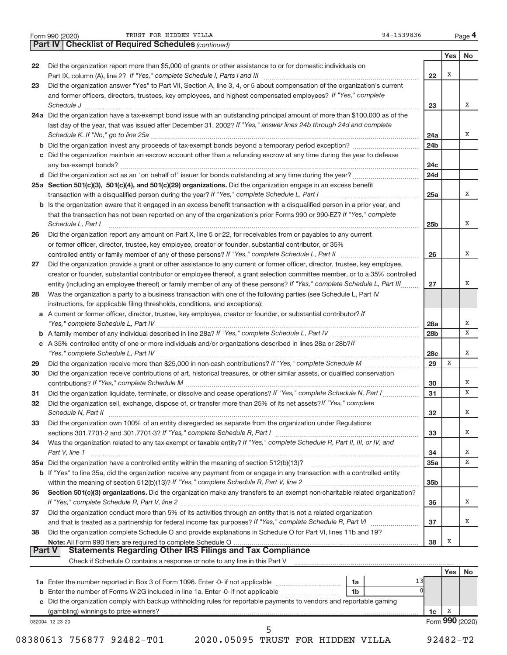|  | Form 990 (2020) |
|--|-----------------|
|  |                 |

Form 990 (2020) Page Page Page Page Page Page Page Page Page Page Page Page Page Page Page Page Page Page Page Page Page Page Page Page Page Page Page Page Page P

|               | <b>Part IV   Checklist of Required Schedules (continued)</b>                                                                                                                                                                   |                 |     |    |
|---------------|--------------------------------------------------------------------------------------------------------------------------------------------------------------------------------------------------------------------------------|-----------------|-----|----|
|               |                                                                                                                                                                                                                                |                 | Yes | No |
| 22            | Did the organization report more than \$5,000 of grants or other assistance to or for domestic individuals on                                                                                                                  |                 |     |    |
|               |                                                                                                                                                                                                                                | 22              | Х   |    |
| 23            | Did the organization answer "Yes" to Part VII, Section A, line 3, 4, or 5 about compensation of the organization's current                                                                                                     |                 |     |    |
|               | and former officers, directors, trustees, key employees, and highest compensated employees? If "Yes," complete                                                                                                                 |                 |     |    |
|               |                                                                                                                                                                                                                                | 23              |     | X  |
|               | 24a Did the organization have a tax-exempt bond issue with an outstanding principal amount of more than \$100,000 as of the                                                                                                    |                 |     |    |
|               | last day of the year, that was issued after December 31, 2002? If "Yes," answer lines 24b through 24d and complete                                                                                                             |                 |     |    |
|               |                                                                                                                                                                                                                                | 24a             |     | X  |
|               | <b>b</b> Did the organization invest any proceeds of tax-exempt bonds beyond a temporary period exception?                                                                                                                     | 24 <sub>b</sub> |     |    |
|               | c Did the organization maintain an escrow account other than a refunding escrow at any time during the year to defease                                                                                                         |                 |     |    |
|               |                                                                                                                                                                                                                                | 24c             |     |    |
|               |                                                                                                                                                                                                                                | 24d             |     |    |
|               | 25a Section 501(c)(3), 501(c)(4), and 501(c)(29) organizations. Did the organization engage in an excess benefit                                                                                                               |                 |     |    |
|               |                                                                                                                                                                                                                                | 25a             |     | X  |
|               | <b>b</b> Is the organization aware that it engaged in an excess benefit transaction with a disqualified person in a prior year, and                                                                                            |                 |     |    |
|               | that the transaction has not been reported on any of the organization's prior Forms 990 or 990-EZ? If "Yes," complete                                                                                                          |                 |     |    |
|               | Schedule L, Part I                                                                                                                                                                                                             | 25 <sub>b</sub> |     | X  |
| 26            | Did the organization report any amount on Part X, line 5 or 22, for receivables from or payables to any current                                                                                                                |                 |     |    |
|               | or former officer, director, trustee, key employee, creator or founder, substantial contributor, or 35%                                                                                                                        |                 |     |    |
|               | controlled entity or family member of any of these persons? If "Yes," complete Schedule L, Part II [ [ [ [ [ [ ] ] ]                                                                                                           | 26              |     | х  |
| 27            | Did the organization provide a grant or other assistance to any current or former officer, director, trustee, key employee,                                                                                                    |                 |     |    |
|               | creator or founder, substantial contributor or employee thereof, a grant selection committee member, or to a 35% controlled                                                                                                    |                 |     |    |
|               | entity (including an employee thereof) or family member of any of these persons? If "Yes," complete Schedule L, Part III                                                                                                       | 27              |     | X  |
| 28            | Was the organization a party to a business transaction with one of the following parties (see Schedule L, Part IV                                                                                                              |                 |     |    |
|               | instructions, for applicable filing thresholds, conditions, and exceptions):                                                                                                                                                   |                 |     |    |
|               | a A current or former officer, director, trustee, key employee, creator or founder, or substantial contributor? If                                                                                                             |                 |     |    |
|               |                                                                                                                                                                                                                                | 28a             |     | х  |
|               |                                                                                                                                                                                                                                | 28 <sub>b</sub> |     | x  |
|               | c A 35% controlled entity of one or more individuals and/or organizations described in lines 28a or 28b?/f                                                                                                                     |                 |     |    |
|               |                                                                                                                                                                                                                                | 28c             |     | X  |
| 29            |                                                                                                                                                                                                                                | 29              | X   |    |
| 30            | Did the organization receive contributions of art, historical treasures, or other similar assets, or qualified conservation                                                                                                    |                 |     |    |
|               |                                                                                                                                                                                                                                | 30              |     | х  |
| 31            | Did the organization liquidate, terminate, or dissolve and cease operations? If "Yes," complete Schedule N, Part I                                                                                                             | 31              |     | X  |
| 32            | Did the organization sell, exchange, dispose of, or transfer more than 25% of its net assets? If "Yes," complete                                                                                                               |                 |     |    |
|               | Schedule N, Part II                                                                                                                                                                                                            | 32              |     | х  |
| 33            | Did the organization own 100% of an entity disregarded as separate from the organization under Regulations                                                                                                                     |                 |     | х  |
|               | Was the organization related to any tax-exempt or taxable entity? If "Yes," complete Schedule R, Part II, III, or IV, and                                                                                                      | 33              |     |    |
| 34            |                                                                                                                                                                                                                                | 34              |     | Х  |
|               | Part V, line 1                                                                                                                                                                                                                 | 35a             |     | X  |
|               | b If "Yes" to line 35a, did the organization receive any payment from or engage in any transaction with a controlled entity                                                                                                    |                 |     |    |
|               |                                                                                                                                                                                                                                | 35 <sub>b</sub> |     |    |
| 36            | Section 501(c)(3) organizations. Did the organization make any transfers to an exempt non-charitable related organization?                                                                                                     |                 |     |    |
|               |                                                                                                                                                                                                                                | 36              |     | х  |
| 37            | Did the organization conduct more than 5% of its activities through an entity that is not a related organization                                                                                                               |                 |     |    |
|               |                                                                                                                                                                                                                                | 37              |     | X  |
| 38            | Did the organization complete Schedule O and provide explanations in Schedule O for Part VI, lines 11b and 19?                                                                                                                 |                 |     |    |
|               |                                                                                                                                                                                                                                | 38              | х   |    |
| <b>Part V</b> | <b>Statements Regarding Other IRS Filings and Tax Compliance</b>                                                                                                                                                               |                 |     |    |
|               | Check if Schedule O contains a response or note to any line in this Part V [11] [12] manument contains a response or note to any line in this Part V [11] manument contains and contains and contains and changed in the Sched |                 |     |    |
|               |                                                                                                                                                                                                                                |                 | Yes | No |
|               | 13<br>1a Enter the number reported in Box 3 of Form 1096. Enter -0- if not applicable<br>1a                                                                                                                                    |                 |     |    |
|               | <b>b</b> Enter the number of Forms W-2G included in line 1a. Enter -0- if not applicable<br>1b                                                                                                                                 |                 |     |    |

| c Did the organization comply with backup withholding rules for reportable payments to vendors and reportable gaming |
|----------------------------------------------------------------------------------------------------------------------|
| (gambling) winnings to prize winners?                                                                                |

032004 12-23-20

Form **990** (2020) X

**1c**

08380613 756877 92482-T01 2020.05095 TRUST FOR HIDDEN VILLA 92482-T2

5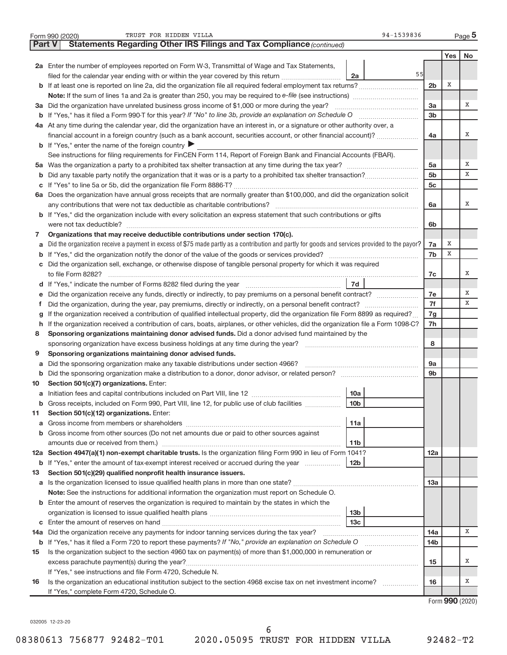|               | 94-1539836<br>TRUST FOR HIDDEN VILLA<br>Form 990 (2020)                                                                                         |                |     | Page 5            |  |  |  |  |  |  |  |  |
|---------------|-------------------------------------------------------------------------------------------------------------------------------------------------|----------------|-----|-------------------|--|--|--|--|--|--|--|--|
| <b>Part V</b> | <b>Statements Regarding Other IRS Filings and Tax Compliance (continued)</b>                                                                    |                |     |                   |  |  |  |  |  |  |  |  |
|               |                                                                                                                                                 |                | Yes | No                |  |  |  |  |  |  |  |  |
|               | 2a Enter the number of employees reported on Form W-3, Transmittal of Wage and Tax Statements,                                                  |                |     |                   |  |  |  |  |  |  |  |  |
|               | 55<br>filed for the calendar year ending with or within the year covered by this return<br>2a                                                   |                |     |                   |  |  |  |  |  |  |  |  |
|               | 2 <sub>b</sub>                                                                                                                                  |                |     |                   |  |  |  |  |  |  |  |  |
|               |                                                                                                                                                 |                |     |                   |  |  |  |  |  |  |  |  |
|               | 3a Did the organization have unrelated business gross income of \$1,000 or more during the year?                                                |                |     |                   |  |  |  |  |  |  |  |  |
|               |                                                                                                                                                 |                |     |                   |  |  |  |  |  |  |  |  |
|               | 4a At any time during the calendar year, did the organization have an interest in, or a signature or other authority over, a                    |                |     |                   |  |  |  |  |  |  |  |  |
|               | financial account in a foreign country (such as a bank account, securities account, or other financial account)?                                | 4a             |     | х                 |  |  |  |  |  |  |  |  |
|               | <b>b</b> If "Yes," enter the name of the foreign country $\blacktriangleright$                                                                  |                |     |                   |  |  |  |  |  |  |  |  |
|               | See instructions for filing requirements for FinCEN Form 114, Report of Foreign Bank and Financial Accounts (FBAR).                             |                |     |                   |  |  |  |  |  |  |  |  |
|               |                                                                                                                                                 | 5a             |     | х                 |  |  |  |  |  |  |  |  |
|               |                                                                                                                                                 | 5 <sub>b</sub> |     | X                 |  |  |  |  |  |  |  |  |
| b             |                                                                                                                                                 | 5c             |     |                   |  |  |  |  |  |  |  |  |
|               |                                                                                                                                                 |                |     |                   |  |  |  |  |  |  |  |  |
|               | 6a Does the organization have annual gross receipts that are normally greater than \$100,000, and did the organization solicit                  |                |     | х                 |  |  |  |  |  |  |  |  |
|               |                                                                                                                                                 | 6a             |     |                   |  |  |  |  |  |  |  |  |
|               | <b>b</b> If "Yes," did the organization include with every solicitation an express statement that such contributions or gifts                   |                |     |                   |  |  |  |  |  |  |  |  |
|               |                                                                                                                                                 | 6b             |     |                   |  |  |  |  |  |  |  |  |
| 7             | Organizations that may receive deductible contributions under section 170(c).                                                                   |                |     |                   |  |  |  |  |  |  |  |  |
| a             | Did the organization receive a payment in excess of \$75 made partly as a contribution and partly for goods and services provided to the payor? | 7a             | Χ   |                   |  |  |  |  |  |  |  |  |
|               |                                                                                                                                                 | 7b             | X   |                   |  |  |  |  |  |  |  |  |
|               | c Did the organization sell, exchange, or otherwise dispose of tangible personal property for which it was required                             |                |     |                   |  |  |  |  |  |  |  |  |
|               |                                                                                                                                                 | 7c             |     | х                 |  |  |  |  |  |  |  |  |
|               | 7d                                                                                                                                              |                |     |                   |  |  |  |  |  |  |  |  |
| е             | Did the organization receive any funds, directly or indirectly, to pay premiums on a personal benefit contract?                                 | 7e             |     | х                 |  |  |  |  |  |  |  |  |
| Ť.            |                                                                                                                                                 | 7f             |     | X                 |  |  |  |  |  |  |  |  |
| g             | If the organization received a contribution of qualified intellectual property, did the organization file Form 8899 as required?                | 7g             |     |                   |  |  |  |  |  |  |  |  |
| h             | If the organization received a contribution of cars, boats, airplanes, or other vehicles, did the organization file a Form 1098-C?              | 7h             |     |                   |  |  |  |  |  |  |  |  |
| 8             | Sponsoring organizations maintaining donor advised funds. Did a donor advised fund maintained by the                                            |                |     |                   |  |  |  |  |  |  |  |  |
|               |                                                                                                                                                 | 8              |     |                   |  |  |  |  |  |  |  |  |
| 9             | Sponsoring organizations maintaining donor advised funds.                                                                                       |                |     |                   |  |  |  |  |  |  |  |  |
| а             | Did the sponsoring organization make any taxable distributions under section 4966?                                                              | <b>9a</b>      |     |                   |  |  |  |  |  |  |  |  |
| b             |                                                                                                                                                 | 9 <sub>b</sub> |     |                   |  |  |  |  |  |  |  |  |
| 10            | Section 501(c)(7) organizations. Enter:                                                                                                         |                |     |                   |  |  |  |  |  |  |  |  |
|               | 10a                                                                                                                                             |                |     |                   |  |  |  |  |  |  |  |  |
|               | 10 <sub>b</sub><br>Gross receipts, included on Form 990, Part VIII, line 12, for public use of club facilities                                  |                |     |                   |  |  |  |  |  |  |  |  |
| 11            | Section 501(c)(12) organizations. Enter:                                                                                                        |                |     |                   |  |  |  |  |  |  |  |  |
| a             | 11a                                                                                                                                             |                |     |                   |  |  |  |  |  |  |  |  |
|               | b Gross income from other sources (Do not net amounts due or paid to other sources against                                                      |                |     |                   |  |  |  |  |  |  |  |  |
|               | 11b                                                                                                                                             |                |     |                   |  |  |  |  |  |  |  |  |
|               | 12a Section 4947(a)(1) non-exempt charitable trusts. Is the organization filing Form 990 in lieu of Form 1041?                                  | 12a            |     |                   |  |  |  |  |  |  |  |  |
|               | <b>b</b> If "Yes," enter the amount of tax-exempt interest received or accrued during the year<br>12 <sub>b</sub>                               |                |     |                   |  |  |  |  |  |  |  |  |
| 13            | Section 501(c)(29) qualified nonprofit health insurance issuers.                                                                                |                |     |                   |  |  |  |  |  |  |  |  |
|               |                                                                                                                                                 | 13a            |     |                   |  |  |  |  |  |  |  |  |
|               | Note: See the instructions for additional information the organization must report on Schedule O.                                               |                |     |                   |  |  |  |  |  |  |  |  |
|               | <b>b</b> Enter the amount of reserves the organization is required to maintain by the states in which the                                       |                |     |                   |  |  |  |  |  |  |  |  |
|               | 13 <sub>b</sub>                                                                                                                                 |                |     |                   |  |  |  |  |  |  |  |  |
|               | 13 <sub>c</sub>                                                                                                                                 |                |     |                   |  |  |  |  |  |  |  |  |
|               | 14a Did the organization receive any payments for indoor tanning services during the tax year?                                                  | 14a            |     | X                 |  |  |  |  |  |  |  |  |
|               | <b>b</b> If "Yes," has it filed a Form 720 to report these payments? If "No," provide an explanation on Schedule O                              | 14b            |     |                   |  |  |  |  |  |  |  |  |
| 15            | Is the organization subject to the section 4960 tax on payment(s) of more than \$1,000,000 in remuneration or                                   |                |     |                   |  |  |  |  |  |  |  |  |
|               |                                                                                                                                                 | 15             |     | х                 |  |  |  |  |  |  |  |  |
|               |                                                                                                                                                 |                |     |                   |  |  |  |  |  |  |  |  |
|               | If "Yes," see instructions and file Form 4720, Schedule N.                                                                                      |                |     | Χ                 |  |  |  |  |  |  |  |  |
| 16            | Is the organization an educational institution subject to the section 4968 excise tax on net investment income?                                 | 16             |     |                   |  |  |  |  |  |  |  |  |
|               | If "Yes," complete Form 4720, Schedule O.                                                                                                       |                |     | $Form$ QQQ (2020) |  |  |  |  |  |  |  |  |

Form (2020) **990**

032005 12-23-20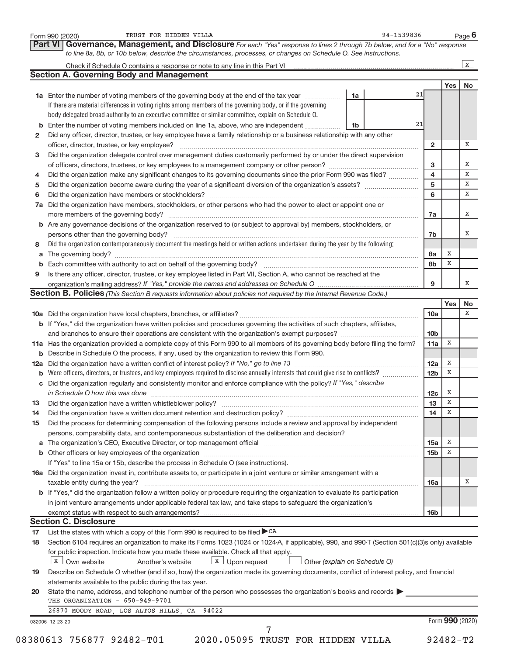|    | TRUST FOR HIDDEN VILLA<br>Form 990 (2020)                                                                                                                                                                                      |    | 94-1539836 |                         |                  | Page 6      |
|----|--------------------------------------------------------------------------------------------------------------------------------------------------------------------------------------------------------------------------------|----|------------|-------------------------|------------------|-------------|
|    | Governance, Management, and Disclosure For each "Yes" response to lines 2 through 7b below, and for a "No" response<br>Part VI                                                                                                 |    |            |                         |                  |             |
|    | to line 8a, 8b, or 10b below, describe the circumstances, processes, or changes on Schedule O. See instructions.                                                                                                               |    |            |                         |                  |             |
|    |                                                                                                                                                                                                                                |    |            |                         |                  | $\,$ X $\,$ |
|    | <b>Section A. Governing Body and Management</b>                                                                                                                                                                                |    |            |                         |                  |             |
|    | 1a Enter the number of voting members of the governing body at the end of the tax year                                                                                                                                         | 1a |            | 21                      | Yes              | No          |
|    | If there are material differences in voting rights among members of the governing body, or if the governing                                                                                                                    |    |            |                         |                  |             |
|    | body delegated broad authority to an executive committee or similar committee, explain on Schedule O.                                                                                                                          |    |            |                         |                  |             |
|    | <b>b</b> Enter the number of voting members included on line 1a, above, who are independent                                                                                                                                    | 1b |            | 21                      |                  |             |
| 2  | Did any officer, director, trustee, or key employee have a family relationship or a business relationship with any other                                                                                                       |    |            |                         |                  |             |
|    | officer, director, trustee, or key employee?                                                                                                                                                                                   |    |            | $\overline{2}$          |                  | Χ           |
| 3  | Did the organization delegate control over management duties customarily performed by or under the direct supervision                                                                                                          |    |            |                         |                  |             |
|    |                                                                                                                                                                                                                                |    |            | 3                       |                  | Χ           |
| 4  | Did the organization make any significant changes to its governing documents since the prior Form 990 was filed?                                                                                                               |    |            | $\overline{\mathbf{4}}$ |                  | X           |
| 5  |                                                                                                                                                                                                                                |    |            | 5                       |                  | X           |
| 6  |                                                                                                                                                                                                                                |    |            | 6                       |                  | x           |
| 7a | Did the organization have members, stockholders, or other persons who had the power to elect or appoint one or                                                                                                                 |    |            |                         |                  |             |
|    |                                                                                                                                                                                                                                |    |            | 7a                      |                  | Х           |
|    | b Are any governance decisions of the organization reserved to (or subject to approval by) members, stockholders, or                                                                                                           |    |            |                         |                  |             |
|    | persons other than the governing body?                                                                                                                                                                                         |    |            | 7b                      |                  | Х           |
| 8  | Did the organization contemporaneously document the meetings held or written actions undertaken during the year by the following:                                                                                              |    |            |                         |                  |             |
| a  |                                                                                                                                                                                                                                |    |            | 8а                      | х                |             |
| b  |                                                                                                                                                                                                                                |    |            | 8b                      | х                |             |
| 9  | Is there any officer, director, trustee, or key employee listed in Part VII, Section A, who cannot be reached at the                                                                                                           |    |            |                         |                  |             |
|    |                                                                                                                                                                                                                                |    |            | 9                       |                  | х           |
|    | <b>Section B. Policies</b> (This Section B requests information about policies not required by the Internal Revenue Code.)                                                                                                     |    |            |                         |                  |             |
|    |                                                                                                                                                                                                                                |    |            |                         | Yes              | No          |
|    |                                                                                                                                                                                                                                |    |            | 10a                     |                  | X           |
|    | b If "Yes," did the organization have written policies and procedures governing the activities of such chapters, affiliates,                                                                                                   |    |            |                         |                  |             |
|    |                                                                                                                                                                                                                                |    |            | 10 <sub>b</sub>         |                  |             |
|    | 11a Has the organization provided a complete copy of this Form 990 to all members of its governing body before filing the form?                                                                                                |    |            | 11a                     | x                |             |
|    | <b>b</b> Describe in Schedule O the process, if any, used by the organization to review this Form 990.                                                                                                                         |    |            |                         |                  |             |
|    |                                                                                                                                                                                                                                |    |            | 12a                     | X                |             |
|    | <b>b</b> Were officers, directors, or trustees, and key employees required to disclose annually interests that could give rise to conflicts?                                                                                   |    |            | 12 <sub>b</sub>         | X                |             |
|    | c Did the organization regularly and consistently monitor and enforce compliance with the policy? If "Yes," describe                                                                                                           |    |            |                         |                  |             |
|    | in Schedule O how this was done <i>manufacture contract to the schedule O</i> how this was done                                                                                                                                |    |            | 12c                     | X<br>$\mathbf X$ |             |
| 13 |                                                                                                                                                                                                                                |    |            | 13                      | Х                |             |
| 14 |                                                                                                                                                                                                                                |    |            | 14                      |                  |             |
| 15 | Did the process for determining compensation of the following persons include a review and approval by independent                                                                                                             |    |            |                         |                  |             |
|    | persons, comparability data, and contemporaneous substantiation of the deliberation and decision?                                                                                                                              |    |            |                         | х                |             |
| a  | The organization's CEO, Executive Director, or top management official manufactured content of the organization's CEO, Executive Director, or top management official manufactured content of the organization's CEO, Executiv |    |            | 15a<br>15 <sub>b</sub>  | Χ                |             |
|    |                                                                                                                                                                                                                                |    |            |                         |                  |             |
|    | If "Yes" to line 15a or 15b, describe the process in Schedule O (see instructions).<br>16a Did the organization invest in, contribute assets to, or participate in a joint venture or similar arrangement with a               |    |            |                         |                  |             |
|    | taxable entity during the year?                                                                                                                                                                                                |    |            | 16a                     |                  | Χ           |
|    | b If "Yes," did the organization follow a written policy or procedure requiring the organization to evaluate its participation                                                                                                 |    |            |                         |                  |             |
|    | in joint venture arrangements under applicable federal tax law, and take steps to safequard the organization's                                                                                                                 |    |            |                         |                  |             |
|    |                                                                                                                                                                                                                                |    |            | 16 <sub>b</sub>         |                  |             |
|    | <b>Section C. Disclosure</b>                                                                                                                                                                                                   |    |            |                         |                  |             |
| 17 | List the states with which a copy of this Form 990 is required to be filed $\blacktriangleright$ CA                                                                                                                            |    |            |                         |                  |             |
| 18 | Section 6104 requires an organization to make its Forms 1023 (1024 or 1024-A, if applicable), 990, and 990-T (Section 501(c)(3)s only) available                                                                               |    |            |                         |                  |             |
|    | for public inspection. Indicate how you made these available. Check all that apply.                                                                                                                                            |    |            |                         |                  |             |
|    | $X$ Own website<br>$\boxed{\text{X}}$ Upon request<br>Another's website<br>Other (explain on Schedule O)                                                                                                                       |    |            |                         |                  |             |
| 19 | Describe on Schedule O whether (and if so, how) the organization made its governing documents, conflict of interest policy, and financial                                                                                      |    |            |                         |                  |             |
|    | statements available to the public during the tax year.                                                                                                                                                                        |    |            |                         |                  |             |
| 20 | State the name, address, and telephone number of the person who possesses the organization's books and records                                                                                                                 |    |            |                         |                  |             |
|    | THE ORGANIZATION - 650-949-9701                                                                                                                                                                                                |    |            |                         |                  |             |
|    | 26870 MOODY ROAD, LOS ALTOS HILLS, CA 94022                                                                                                                                                                                    |    |            |                         |                  |             |
|    | 032006 12-23-20                                                                                                                                                                                                                |    |            |                         | Form 990 (2020)  |             |
|    | 7                                                                                                                                                                                                                              |    |            |                         |                  |             |
|    | 08380613 756877 92482-T01<br>2020.05095 TRUST FOR HIDDEN VILLA                                                                                                                                                                 |    |            |                         | $92482 - T2$     |             |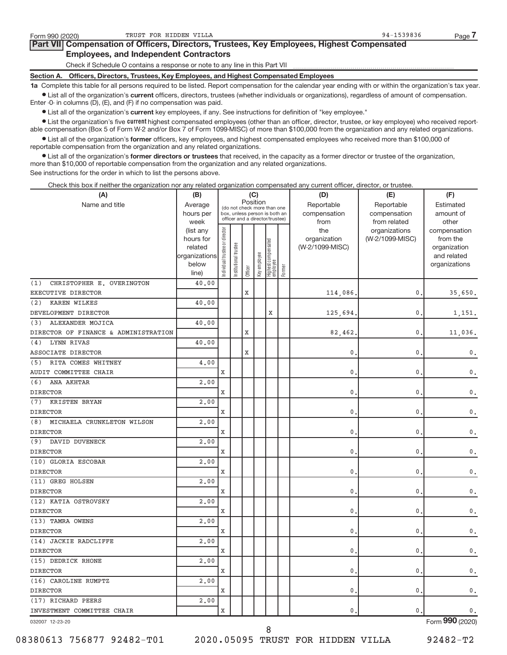### **Part VII Compensation of Officers, Directors, Trustees, Key Employees, Highest Compensated Employees, and Independent Contractors**

Check if Schedule O contains a response or note to any line in this Part VII

**Section A. Officers, Directors, Trustees, Key Employees, and Highest Compensated Employees**

**1a**  Complete this table for all persons required to be listed. Report compensation for the calendar year ending with or within the organization's tax year.  $\bullet$  List all of the organization's current officers, directors, trustees (whether individuals or organizations), regardless of amount of compensation.

Enter -0- in columns (D), (E), and (F) if no compensation was paid.

**•** List all of the organization's current key employees, if any. See instructions for definition of "key employee."

**Examber 1** List the organization's five *current* highest compensated employees (other than an officer, director, trustee, or key employee) who received reportable compensation (Box 5 of Form W-2 and/or Box 7 of Form 1099-MISC) of more than \$100,000 from the organization and any related organizations.

 $\bullet$  List all of the organization's former officers, key employees, and highest compensated employees who received more than \$100,000 of reportable compensation from the organization and any related organizations.

**•** List all of the organization's former directors or trustees that received, in the capacity as a former director or trustee of the organization, more than \$10,000 of reportable compensation from the organization and any related organizations.

See instructions for the order in which to list the persons above.

Check this box if neither the organization nor any related organization compensated any current officer, director, or trustee.

| (A)                                  | (B)               |                               |               |         | (C)          |                                                                  |        | (D)             | (E)                           | (F)                   |
|--------------------------------------|-------------------|-------------------------------|---------------|---------|--------------|------------------------------------------------------------------|--------|-----------------|-------------------------------|-----------------------|
| Name and title                       | Average           |                               |               |         | Position     | (do not check more than one                                      |        | Reportable      | Reportable                    | Estimated             |
|                                      | hours per         |                               |               |         |              | box, unless person is both an<br>officer and a director/trustee) |        | compensation    | compensation                  | amount of             |
|                                      | week<br>(list any |                               |               |         |              |                                                                  |        | from<br>the     | from related<br>organizations | other<br>compensation |
|                                      | hours for         |                               |               |         |              |                                                                  |        | organization    | (W-2/1099-MISC)               | from the              |
|                                      | related           |                               | trustee       |         |              |                                                                  |        | (W-2/1099-MISC) |                               | organization          |
|                                      | organizations     |                               |               |         |              |                                                                  |        |                 |                               | and related           |
|                                      | below             | ndividual trustee or director | Institutional |         | Key employee | Highest compensated<br>employee                                  |        |                 |                               | organizations         |
|                                      | line)             |                               |               | Officer |              |                                                                  | Former |                 |                               |                       |
| (1)<br>CHRISTOPHER E. OVERINGTON     | 40.00             |                               |               |         |              |                                                                  |        |                 |                               |                       |
| EXECUTIVE DIRECTOR                   |                   |                               |               | X       |              |                                                                  |        | 114,086,        | 0                             | 35,650.               |
| (2)<br><b>KAREN WILKES</b>           | 40.00             |                               |               |         |              |                                                                  |        |                 |                               |                       |
| DEVELOPMENT DIRECTOR                 |                   |                               |               |         |              | X                                                                |        | 125,694         | $\mathbf 0$                   | 1,151.                |
| ALEXANDER MOJICA<br>(3)              | 40.00             |                               |               |         |              |                                                                  |        |                 |                               |                       |
| DIRECTOR OF FINANCE & ADMINISTRATION |                   |                               |               | X       |              |                                                                  |        | 82,462          | 0                             | 11,036.               |
| <b>LYNN RIVAS</b><br>(4)             | 40.00             |                               |               |         |              |                                                                  |        |                 |                               |                       |
| <b>ASSOCIATE DIRECTOR</b>            |                   |                               |               | X       |              |                                                                  |        | $\mathbf{0}$    | 0                             | 0.                    |
| RITA COMES WHITNEY<br>(5)            | 4.00              |                               |               |         |              |                                                                  |        |                 |                               |                       |
| AUDIT COMMITTEE CHAIR                |                   | X                             |               |         |              |                                                                  |        | 0.              | 0                             | 0.                    |
| ANA AKHTAR<br>(6)                    | 2,00              |                               |               |         |              |                                                                  |        |                 |                               |                       |
| <b>DIRECTOR</b>                      |                   | X                             |               |         |              |                                                                  |        | 0.              | 0                             | 0.                    |
| (7)<br>KRISTEN BRYAN                 | 2,00              |                               |               |         |              |                                                                  |        |                 |                               |                       |
| <b>DIRECTOR</b>                      |                   | X                             |               |         |              |                                                                  |        | 0.              | 0                             | 0.                    |
| MICHAELA CRUNKLETON WILSON<br>(8)    | 2.00              |                               |               |         |              |                                                                  |        |                 |                               |                       |
| <b>DIRECTOR</b>                      |                   | X                             |               |         |              |                                                                  |        | $\mathbf{0}$    | $\mathbf 0$                   | $\mathsf{0}$ .        |
| (9)<br>DAVID DUVENECK                | 2,00              |                               |               |         |              |                                                                  |        |                 |                               |                       |
| <b>DIRECTOR</b>                      |                   | Х                             |               |         |              |                                                                  |        | 0               | 0                             | 0.                    |
| (10) GLORIA ESCOBAR                  | 2,00              |                               |               |         |              |                                                                  |        |                 |                               |                       |
| <b>DIRECTOR</b>                      |                   | X                             |               |         |              |                                                                  |        | $\mathbf{0}$ .  | $\mathbf 0$                   | 0.                    |
| (11) GREG HOLSEN                     | 2.00              |                               |               |         |              |                                                                  |        |                 |                               |                       |
| <b>DIRECTOR</b>                      |                   | X                             |               |         |              |                                                                  |        | $\mathbf{0}$    | 0                             | $\mathsf{0}$ .        |
| (12) KATIA OSTROVSKY                 | 2.00              |                               |               |         |              |                                                                  |        |                 |                               |                       |
| <b>DIRECTOR</b>                      |                   | X                             |               |         |              |                                                                  |        | 0.              | 0                             | $\mathsf{0}$ .        |
| (13) TAMRA OWENS                     | 2.00              |                               |               |         |              |                                                                  |        |                 |                               |                       |
| <b>DIRECTOR</b>                      |                   | Х                             |               |         |              |                                                                  |        | $\mathbf{0}$ .  | 0                             | 0.                    |
| (14) JACKIE RADCLIFFE                | 2,00              |                               |               |         |              |                                                                  |        |                 |                               |                       |
| <b>DIRECTOR</b>                      |                   | Х                             |               |         |              |                                                                  |        | $\mathbf{0}$ .  | 0                             | 0.                    |
| (15) DEDRICK RHONE                   | 2.00              |                               |               |         |              |                                                                  |        |                 |                               |                       |
| <b>DIRECTOR</b>                      |                   | X                             |               |         |              |                                                                  |        | $\mathbf{0}$ .  | $\pmb{0}$                     | $\mathsf{0}$ .        |
| (16) CAROLINE RUMPTZ                 | 2.00              |                               |               |         |              |                                                                  |        |                 |                               |                       |
| <b>DIRECTOR</b>                      |                   | X                             |               |         |              |                                                                  |        | 0.              | 0                             | $\mathsf{0}$ .        |
| (17) RICHARD PEERS                   | 2.00              |                               |               |         |              |                                                                  |        |                 |                               |                       |
| INVESTMENT COMMITTEE CHAIR           |                   | Х                             |               |         |              |                                                                  |        | 0.              | 0                             | 0.                    |
|                                      |                   |                               |               |         |              |                                                                  |        |                 |                               | $\overline{000}$      |

032007 12-23-20

08380613 756877 92482-T01 2020.05095 TRUST FOR HIDDEN VILLA 92482-T2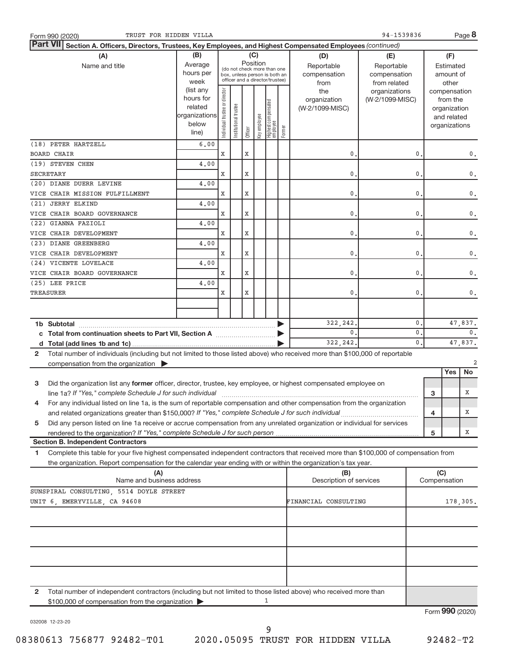| TRUST FOR HIDDEN VILLA<br>Form 990 (2020)                                                                                                    |                   |                                |                       |         |              |                                                                  |        |                                | 94-1539836                       |               |   |                          | Page 8                    |
|----------------------------------------------------------------------------------------------------------------------------------------------|-------------------|--------------------------------|-----------------------|---------|--------------|------------------------------------------------------------------|--------|--------------------------------|----------------------------------|---------------|---|--------------------------|---------------------------|
| <b>Part VII</b><br>Section A. Officers, Directors, Trustees, Key Employees, and Highest Compensated Employees (continued)                    |                   |                                |                       |         |              |                                                                  |        |                                |                                  |               |   |                          |                           |
| (A)                                                                                                                                          | (B)               |                                |                       |         | (C)          |                                                                  |        | (D)                            | (E)                              |               |   | (F)                      |                           |
| Name and title                                                                                                                               | Average           |                                |                       |         | Position     | (do not check more than one                                      |        | Reportable                     | Reportable                       |               |   | Estimated                |                           |
|                                                                                                                                              | hours per         |                                |                       |         |              | box, unless person is both an<br>officer and a director/trustee) |        | compensation                   | compensation                     |               |   | amount of                |                           |
|                                                                                                                                              | week<br>(list any |                                |                       |         |              |                                                                  |        | from                           | from related                     |               |   | other                    |                           |
|                                                                                                                                              | hours for         | Individual trustee or director |                       |         |              |                                                                  |        | the<br>organization            | organizations<br>(W-2/1099-MISC) |               |   | compensation<br>from the |                           |
|                                                                                                                                              | related           |                                |                       |         |              | Highest compensated<br>employee                                  |        | (W-2/1099-MISC)                |                                  |               |   | organization             |                           |
|                                                                                                                                              | organizations     |                                |                       |         |              |                                                                  |        |                                |                                  |               |   | and related              |                           |
|                                                                                                                                              | below             |                                | Institutional trustee |         | Key employee |                                                                  |        |                                |                                  |               |   | organizations            |                           |
|                                                                                                                                              | line)             |                                |                       | Officer |              |                                                                  | Former |                                |                                  |               |   |                          |                           |
| (18) PETER HARTZELL                                                                                                                          | 6,00              |                                |                       |         |              |                                                                  |        |                                |                                  |               |   |                          |                           |
| BOARD CHAIR                                                                                                                                  |                   | X                              |                       | X       |              |                                                                  |        | 0                              |                                  | 0             |   |                          | 0.                        |
| (19) STEVEN CHEN                                                                                                                             | 4,00              |                                |                       |         |              |                                                                  |        |                                |                                  |               |   |                          |                           |
| <b>SECRETARY</b>                                                                                                                             |                   | X                              |                       | X       |              |                                                                  |        | 0                              |                                  | 0             |   |                          | $\mathsf{0}$ .            |
| (20) DIANE DUERR LEVINE                                                                                                                      | 4,00              |                                |                       |         |              |                                                                  |        |                                |                                  |               |   |                          |                           |
| VICE CHAIR MISSION FULFILLMENT                                                                                                               |                   | X                              |                       | X       |              |                                                                  |        | 0                              |                                  | 0             |   |                          | 0.                        |
| (21) JERRY ELKIND                                                                                                                            | 4,00              |                                |                       |         |              |                                                                  |        |                                |                                  |               |   |                          |                           |
| VICE CHAIR BOARD GOVERNANCE                                                                                                                  |                   | X                              |                       | X       |              |                                                                  |        | 0                              |                                  | 0             |   |                          | 0.                        |
| (22) GIANNA FAZIOLI<br>VICE CHAIR DEVELOPMENT                                                                                                | 4,00              | X                              |                       | X       |              |                                                                  |        | 0                              |                                  | 0             |   |                          | 0.                        |
| (23) DIANE GREENBERG                                                                                                                         | 4,00              |                                |                       |         |              |                                                                  |        |                                |                                  |               |   |                          |                           |
| VICE CHAIR DEVELOPMENT                                                                                                                       |                   | X                              |                       | X       |              |                                                                  |        | 0                              |                                  | 0             |   |                          | 0.                        |
| (24) VICENTE LOVELACE                                                                                                                        | 4.00              |                                |                       |         |              |                                                                  |        |                                |                                  |               |   |                          |                           |
| VICE CHAIR BOARD GOVERNANCE                                                                                                                  |                   | X                              |                       | X       |              |                                                                  |        | 0                              |                                  | 0             |   |                          | 0.                        |
| (25) LEE PRICE                                                                                                                               | 4.00              |                                |                       |         |              |                                                                  |        |                                |                                  |               |   |                          |                           |
| TREASURER                                                                                                                                    |                   | X                              |                       | X       |              |                                                                  |        | 0                              |                                  | 0             |   |                          | 0.                        |
|                                                                                                                                              |                   |                                |                       |         |              |                                                                  |        |                                |                                  |               |   |                          |                           |
|                                                                                                                                              |                   |                                |                       |         |              |                                                                  |        |                                |                                  |               |   |                          |                           |
| 1b Subtotal                                                                                                                                  |                   |                                |                       |         |              |                                                                  |        | 322, 242.                      |                                  | 0             |   |                          | 47,837.                   |
| c Total from continuation sheets to Part VII, Section A [111] [2006]                                                                         |                   |                                |                       |         |              |                                                                  |        | $\mathbf{0}$ .                 |                                  | $\mathbf 0$   |   |                          | 0.                        |
|                                                                                                                                              |                   |                                |                       |         |              |                                                                  |        | 322, 242.                      |                                  | $\mathbf 0$ . |   |                          | 47,837.                   |
| Total number of individuals (including but not limited to those listed above) who received more than \$100,000 of reportable<br>$\mathbf{2}$ |                   |                                |                       |         |              |                                                                  |        |                                |                                  |               |   |                          | $\overline{2}$            |
| compensation from the organization $\blacktriangleright$                                                                                     |                   |                                |                       |         |              |                                                                  |        |                                |                                  |               |   | Yes                      | No                        |
| 3<br>Did the organization list any former officer, director, trustee, key employee, or highest compensated employee on                       |                   |                                |                       |         |              |                                                                  |        |                                |                                  |               |   |                          |                           |
|                                                                                                                                              |                   |                                |                       |         |              |                                                                  |        |                                |                                  |               | з |                          | Х                         |
| For any individual listed on line 1a, is the sum of reportable compensation and other compensation from the organization                     |                   |                                |                       |         |              |                                                                  |        |                                |                                  |               |   |                          |                           |
| and related organizations greater than \$150,000? If "Yes," complete Schedule J for such individual                                          |                   |                                |                       |         |              |                                                                  |        |                                |                                  |               | 4 |                          | х                         |
| Did any person listed on line 1a receive or accrue compensation from any unrelated organization or individual for services<br>5              |                   |                                |                       |         |              |                                                                  |        |                                |                                  |               |   |                          |                           |
| rendered to the organization? If "Yes," complete Schedule J for such person                                                                  |                   |                                |                       |         |              |                                                                  |        |                                |                                  |               | 5 |                          | х                         |
| <b>Section B. Independent Contractors</b>                                                                                                    |                   |                                |                       |         |              |                                                                  |        |                                |                                  |               |   |                          |                           |
| Complete this table for your five highest compensated independent contractors that received more than \$100,000 of compensation from<br>1.   |                   |                                |                       |         |              |                                                                  |        |                                |                                  |               |   |                          |                           |
| the organization. Report compensation for the calendar year ending with or within the organization's tax year.                               |                   |                                |                       |         |              |                                                                  |        |                                |                                  |               |   |                          |                           |
| (A)<br>Name and business address                                                                                                             |                   |                                |                       |         |              |                                                                  |        | (B)<br>Description of services |                                  |               |   | (C)<br>Compensation      |                           |
|                                                                                                                                              |                   |                                |                       |         |              |                                                                  |        |                                |                                  |               |   |                          |                           |
| SUNSPIRAL CONSULTING, 5514 DOYLE STREET<br>UNIT 6, EMERYVILLE, CA 94608<br>FINANCIAL CONSULTING                                              |                   |                                |                       |         |              |                                                                  |        |                                |                                  |               |   |                          | 178,305.                  |
|                                                                                                                                              |                   |                                |                       |         |              |                                                                  |        |                                |                                  |               |   |                          |                           |
|                                                                                                                                              |                   |                                |                       |         |              |                                                                  |        |                                |                                  |               |   |                          |                           |
|                                                                                                                                              |                   |                                |                       |         |              |                                                                  |        |                                |                                  |               |   |                          |                           |
|                                                                                                                                              |                   |                                |                       |         |              |                                                                  |        |                                |                                  |               |   |                          |                           |
|                                                                                                                                              |                   |                                |                       |         |              |                                                                  |        |                                |                                  |               |   |                          |                           |
|                                                                                                                                              |                   |                                |                       |         |              |                                                                  |        |                                |                                  |               |   |                          |                           |
|                                                                                                                                              |                   |                                |                       |         |              |                                                                  |        |                                |                                  |               |   |                          |                           |
| Total number of independent contractors (including but not limited to those listed above) who received more than<br>$\mathbf{2}$             |                   |                                |                       |         |              |                                                                  |        |                                |                                  |               |   |                          |                           |
| \$100,000 of compensation from the organization                                                                                              |                   |                                |                       |         |              | 1                                                                |        |                                |                                  |               |   |                          |                           |
|                                                                                                                                              |                   |                                |                       |         |              |                                                                  |        |                                |                                  |               |   |                          | $F_{\text{O}}$ QQO (2020) |

032008 12-23-20

Form (2020) **990**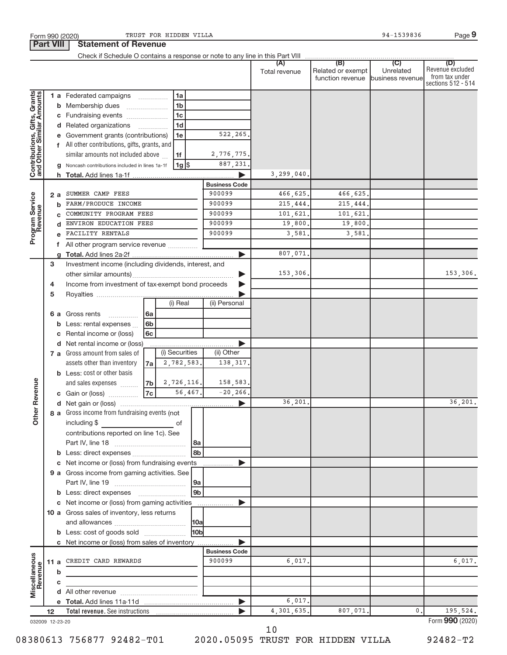|                                                           |    |    |                                                          |                      |                |                |                       | (A)<br>Total revenue | (B)<br>Related or exempt<br>function revenue business revenue | (C)<br>Unrelated | (D)<br>Revenue excluded<br>from tax under<br>sections 512 - 514 |
|-----------------------------------------------------------|----|----|----------------------------------------------------------|----------------------|----------------|----------------|-----------------------|----------------------|---------------------------------------------------------------|------------------|-----------------------------------------------------------------|
|                                                           |    |    | 1 a Federated campaigns                                  |                      | 1a             |                |                       |                      |                                                               |                  |                                                                 |
| Contributions, Gifts, Grants<br>and Other Similar Amounts |    |    | <b>b</b> Membership dues                                 |                      | 1 <sub>b</sub> |                |                       |                      |                                                               |                  |                                                                 |
|                                                           |    |    | c Fundraising events                                     |                      | 1 <sub>c</sub> |                |                       |                      |                                                               |                  |                                                                 |
|                                                           |    |    | d Related organizations                                  |                      | 1 <sub>d</sub> |                |                       |                      |                                                               |                  |                                                                 |
|                                                           |    |    | e Government grants (contributions)                      |                      | 1e             |                | 522,265               |                      |                                                               |                  |                                                                 |
|                                                           |    |    | f All other contributions, gifts, grants, and            |                      |                |                |                       |                      |                                                               |                  |                                                                 |
|                                                           |    |    | similar amounts not included above                       |                      | 1f             |                | 2,776,775.            |                      |                                                               |                  |                                                                 |
|                                                           |    | q  | Noncash contributions included in lines 1a-1f            |                      | 1g  \$         |                | 887, 231.             |                      |                                                               |                  |                                                                 |
|                                                           |    |    |                                                          |                      |                |                |                       | 3, 299, 040.         |                                                               |                  |                                                                 |
|                                                           |    |    |                                                          |                      |                |                | <b>Business Code</b>  |                      |                                                               |                  |                                                                 |
|                                                           |    | 2a | SUMMER CAMP FEES                                         |                      |                |                | 900099                | 466,625.             | 466,625.                                                      |                  |                                                                 |
| Program Service                                           |    | b  | FARM/PRODUCE INCOME                                      |                      |                |                | 900099                | 215,444.             | 215,444.                                                      |                  |                                                                 |
|                                                           |    | C  | COMMUNITY PROGRAM FEES                                   |                      |                |                | 900099                | 101,621.             | 101,621.                                                      |                  |                                                                 |
|                                                           |    | d  | ENVIRON EDUCATION FEES                                   |                      |                |                | 900099                | 19,800.              | 19,800.                                                       |                  |                                                                 |
|                                                           |    |    | FACILITY RENTALS                                         |                      |                |                | 900099                | 3,581                | 3,581,                                                        |                  |                                                                 |
|                                                           |    | f. | All other program service revenue                        |                      |                |                |                       |                      |                                                               |                  |                                                                 |
|                                                           |    | q  |                                                          |                      |                |                |                       | 807,071.             |                                                               |                  |                                                                 |
|                                                           | 3  |    | Investment income (including dividends, interest, and    |                      |                |                |                       |                      |                                                               |                  |                                                                 |
|                                                           |    |    |                                                          |                      |                |                |                       | 153,306.             |                                                               |                  | 153,306.                                                        |
|                                                           | 4  |    | Income from investment of tax-exempt bond proceeds       |                      |                |                |                       |                      |                                                               |                  |                                                                 |
|                                                           | 5  |    |                                                          |                      |                |                |                       |                      |                                                               |                  |                                                                 |
|                                                           |    |    |                                                          |                      | (i) Real       |                | (ii) Personal         |                      |                                                               |                  |                                                                 |
|                                                           |    |    | <b>6 a</b> Gross rents<br>.                              | 6a                   |                |                |                       |                      |                                                               |                  |                                                                 |
|                                                           |    |    | <b>b</b> Less: rental expenses                           | 6 <sub>b</sub><br>6c |                |                |                       |                      |                                                               |                  |                                                                 |
|                                                           |    | С  | Rental income or (loss)<br>d Net rental income or (loss) |                      |                |                | ▶                     |                      |                                                               |                  |                                                                 |
|                                                           |    |    | 7 a Gross amount from sales of                           |                      | (i) Securities |                | (ii) Other            |                      |                                                               |                  |                                                                 |
|                                                           |    |    | assets other than inventory                              | 7a                   | 2,782,583.     |                | 138,317.              |                      |                                                               |                  |                                                                 |
|                                                           |    |    | <b>b</b> Less: cost or other basis                       |                      |                |                |                       |                      |                                                               |                  |                                                                 |
|                                                           |    |    | and sales expenses                                       | 7 <sub>b</sub>       | 2,726,116.     |                | 158,583.              |                      |                                                               |                  |                                                                 |
|                                                           |    |    | c Gain or (loss)                                         | 7c                   |                | 56,467.        | $-20, 266.$           |                      |                                                               |                  |                                                                 |
| <b>Other Revenue</b>                                      |    |    |                                                          |                      |                |                | $\blacktriangleright$ | 36,201.              |                                                               |                  | 36,201.                                                         |
|                                                           |    |    | 8 a Gross income from fundraising events (not            |                      |                |                |                       |                      |                                                               |                  |                                                                 |
|                                                           |    |    | including \$                                             |                      | 0f             |                |                       |                      |                                                               |                  |                                                                 |
|                                                           |    |    | contributions reported on line 1c). See                  |                      |                |                |                       |                      |                                                               |                  |                                                                 |
|                                                           |    |    |                                                          |                      |                | 8a             |                       |                      |                                                               |                  |                                                                 |
|                                                           |    |    |                                                          |                      |                | 8 <sub>b</sub> |                       |                      |                                                               |                  |                                                                 |
|                                                           |    | c  | Net income or (loss) from fundraising events             |                      |                |                | ▶<br>.                |                      |                                                               |                  |                                                                 |
|                                                           |    |    | 9 a Gross income from gaming activities. See             |                      |                |                |                       |                      |                                                               |                  |                                                                 |
|                                                           |    |    |                                                          |                      |                | 9a             |                       |                      |                                                               |                  |                                                                 |
|                                                           |    |    |                                                          |                      |                | 9 <sub>b</sub> |                       |                      |                                                               |                  |                                                                 |
|                                                           |    |    | c Net income or (loss) from gaming activities            |                      |                |                | ▶                     |                      |                                                               |                  |                                                                 |
|                                                           |    |    | 10 a Gross sales of inventory, less returns              |                      |                |                |                       |                      |                                                               |                  |                                                                 |
|                                                           |    |    |                                                          |                      |                | 10a            |                       |                      |                                                               |                  |                                                                 |
|                                                           |    |    | <b>b</b> Less: cost of goods sold                        |                      |                | 10b            |                       |                      |                                                               |                  |                                                                 |
|                                                           |    |    | c Net income or (loss) from sales of inventory           |                      |                |                |                       |                      |                                                               |                  |                                                                 |
|                                                           |    |    |                                                          |                      |                |                | <b>Business Code</b>  |                      |                                                               |                  |                                                                 |
| Miscellaneous<br>Revenue                                  |    |    | 11 a CREDIT CARD REWARDS                                 |                      |                |                | 900099                | 6,017.               |                                                               |                  | 6,017.                                                          |
|                                                           |    | b  |                                                          |                      |                |                |                       |                      |                                                               |                  |                                                                 |
|                                                           |    | с  |                                                          |                      |                |                |                       |                      |                                                               |                  |                                                                 |
|                                                           |    |    |                                                          |                      |                |                |                       |                      |                                                               |                  |                                                                 |
|                                                           |    |    |                                                          |                      |                |                | ▶                     | 6,017.               |                                                               |                  |                                                                 |
|                                                           | 12 |    |                                                          |                      |                |                |                       | 4,301,635.           | 807,071.                                                      | $0$ .            | 195,524.                                                        |
| 032009 12-23-20                                           |    |    |                                                          |                      |                |                |                       |                      |                                                               |                  | Form 990 (2020)                                                 |

Form 990 (2020) Page Page Page Page Page Page Page Page Page Page Page Page Page Page Page Page Page Page Page Page Page Page Page Page Page Page Page Page Page P

08380613 756877 92482-T01 2020.05095 TRUST FOR HIDDEN VILLA 92482-T2

**Part VIII Statement of Revenue**

 <sup>10</sup>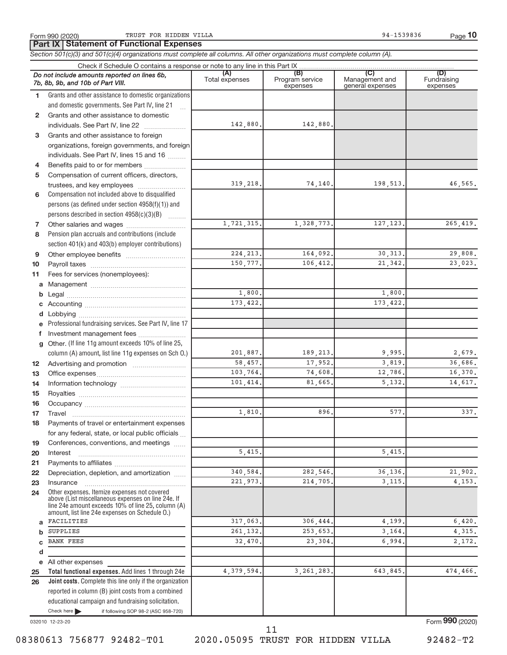Form 990 (2020) TRUST FOR HIDDEN VILLA PROPERTY AND THE SERVICE SERVICE SERVICE SERVICE SERVICE SERVICE SERVICE

**Part IX Statement of Functional Expenses**

*Section 501(c)(3) and 501(c)(4) organizations must complete all columns. All other organizations must complete column (A).*

|              | Do not include amounts reported on lines 6b,<br>7b, 8b, 9b, and 10b of Part VIII.                                                                                                                          | (A)<br>Total expenses | (B)<br>Program service<br>expenses | (C)<br>Management and<br>general expenses | (D)<br>Fundraising<br>expenses |  |  |  |  |
|--------------|------------------------------------------------------------------------------------------------------------------------------------------------------------------------------------------------------------|-----------------------|------------------------------------|-------------------------------------------|--------------------------------|--|--|--|--|
| 1.           | Grants and other assistance to domestic organizations                                                                                                                                                      |                       |                                    |                                           |                                |  |  |  |  |
|              | and domestic governments. See Part IV, line 21<br>$\mathcal{L}$                                                                                                                                            |                       |                                    |                                           |                                |  |  |  |  |
| $\mathbf{2}$ | Grants and other assistance to domestic                                                                                                                                                                    |                       |                                    |                                           |                                |  |  |  |  |
|              | individuals. See Part IV, line 22                                                                                                                                                                          | 142,880.              | 142,880.                           |                                           |                                |  |  |  |  |
| 3            | Grants and other assistance to foreign                                                                                                                                                                     |                       |                                    |                                           |                                |  |  |  |  |
|              | organizations, foreign governments, and foreign                                                                                                                                                            |                       |                                    |                                           |                                |  |  |  |  |
|              | individuals. See Part IV, lines 15 and 16                                                                                                                                                                  |                       |                                    |                                           |                                |  |  |  |  |
| 4            | Benefits paid to or for members                                                                                                                                                                            |                       |                                    |                                           |                                |  |  |  |  |
| 5            | Compensation of current officers, directors,                                                                                                                                                               |                       |                                    |                                           |                                |  |  |  |  |
|              |                                                                                                                                                                                                            | 319,218.              | 74,140.                            | 198,513.                                  | 46,565.                        |  |  |  |  |
| 6            | Compensation not included above to disqualified                                                                                                                                                            |                       |                                    |                                           |                                |  |  |  |  |
|              | persons (as defined under section 4958(f)(1)) and                                                                                                                                                          |                       |                                    |                                           |                                |  |  |  |  |
|              | persons described in section 4958(c)(3)(B)                                                                                                                                                                 |                       |                                    |                                           |                                |  |  |  |  |
| 7            |                                                                                                                                                                                                            | 1,721,315.            | 1,328,773.                         | 127, 123.                                 | 265, 419.                      |  |  |  |  |
| 8            | Pension plan accruals and contributions (include                                                                                                                                                           |                       |                                    |                                           |                                |  |  |  |  |
|              | section 401(k) and 403(b) employer contributions)                                                                                                                                                          |                       |                                    |                                           |                                |  |  |  |  |
| 9            |                                                                                                                                                                                                            | 224, 213.             | 164,092.                           | 30, 313.                                  | 29,808.                        |  |  |  |  |
| 10           |                                                                                                                                                                                                            | 150,777.              | 106,412.                           | 21,342.                                   | 23,023.                        |  |  |  |  |
| 11           | Fees for services (nonemployees):                                                                                                                                                                          |                       |                                    |                                           |                                |  |  |  |  |
| a            |                                                                                                                                                                                                            |                       |                                    |                                           |                                |  |  |  |  |
| b            |                                                                                                                                                                                                            | 1,800.                |                                    | 1,800.                                    |                                |  |  |  |  |
| с            |                                                                                                                                                                                                            | 173,422.              |                                    | 173, 422.                                 |                                |  |  |  |  |
| d            |                                                                                                                                                                                                            |                       |                                    |                                           |                                |  |  |  |  |
|              | Professional fundraising services. See Part IV, line 17                                                                                                                                                    |                       |                                    |                                           |                                |  |  |  |  |
| f            | Investment management fees                                                                                                                                                                                 |                       |                                    |                                           |                                |  |  |  |  |
| $\mathbf{q}$ | Other. (If line 11g amount exceeds 10% of line 25,                                                                                                                                                         |                       |                                    |                                           |                                |  |  |  |  |
|              | column (A) amount, list line 11g expenses on Sch O.)                                                                                                                                                       | 201,887.              | 189,213.                           | 9,995,                                    | 2,679.                         |  |  |  |  |
| 12           |                                                                                                                                                                                                            | 58,457.               | 17,952.                            | 3,819.                                    | 36,686.                        |  |  |  |  |
| 13           |                                                                                                                                                                                                            | 103,764.              | 74,608.                            | 12,786.                                   | 16,370.                        |  |  |  |  |
| 14           |                                                                                                                                                                                                            | 101,414.              | 81,665.                            | 5,132.                                    | 14,617.                        |  |  |  |  |
| 15           |                                                                                                                                                                                                            |                       |                                    |                                           |                                |  |  |  |  |
| 16           |                                                                                                                                                                                                            |                       |                                    |                                           |                                |  |  |  |  |
| 17           |                                                                                                                                                                                                            | 1,810                 | 896                                | 577                                       | 337.                           |  |  |  |  |
| 18           | Payments of travel or entertainment expenses                                                                                                                                                               |                       |                                    |                                           |                                |  |  |  |  |
|              | for any federal, state, or local public officials                                                                                                                                                          |                       |                                    |                                           |                                |  |  |  |  |
| 19           | Conferences, conventions, and meetings                                                                                                                                                                     |                       |                                    |                                           |                                |  |  |  |  |
| 20           | Interest                                                                                                                                                                                                   | 5,415.                |                                    | 5,415.                                    |                                |  |  |  |  |
| 21           |                                                                                                                                                                                                            |                       |                                    |                                           |                                |  |  |  |  |
| 22           | Depreciation, depletion, and amortization                                                                                                                                                                  | 340.584.              | 282,546.                           | 36,136.                                   | 21,902.                        |  |  |  |  |
| 23           | Insurance                                                                                                                                                                                                  | 221,973.              | 214,705.                           | 3, 115.                                   | 4,153.                         |  |  |  |  |
| 24           | Other expenses. Itemize expenses not covered<br>above (List miscellaneous expenses on line 24e. If<br>line 24e amount exceeds 10% of line 25, column (A)<br>amount, list line 24e expenses on Schedule O.) |                       |                                    |                                           |                                |  |  |  |  |
| a            | FACILITIES                                                                                                                                                                                                 | 317,063.              | 306,444,                           | 4,199.                                    | 6,420.                         |  |  |  |  |
| $\mathbf b$  | SUPPLIES                                                                                                                                                                                                   | 261,132.              | 253,653.                           | 3, 164.                                   | 4,315.                         |  |  |  |  |
| C            | <b>BANK FEES</b>                                                                                                                                                                                           | 32,470                | 23,304                             | 6,994                                     | 2,172.                         |  |  |  |  |
| d            |                                                                                                                                                                                                            |                       |                                    |                                           |                                |  |  |  |  |
| е            | All other expenses                                                                                                                                                                                         |                       |                                    |                                           |                                |  |  |  |  |
| 25           | Total functional expenses. Add lines 1 through 24e                                                                                                                                                         | 4,379,594             | 3, 261, 283,                       | 643,845.                                  | 474,466.                       |  |  |  |  |
| 26           | Joint costs. Complete this line only if the organization                                                                                                                                                   |                       |                                    |                                           |                                |  |  |  |  |
|              | reported in column (B) joint costs from a combined                                                                                                                                                         |                       |                                    |                                           |                                |  |  |  |  |
|              | educational campaign and fundraising solicitation.                                                                                                                                                         |                       |                                    |                                           |                                |  |  |  |  |
|              | Check here<br>if following SOP 98-2 (ASC 958-720)                                                                                                                                                          |                       |                                    |                                           |                                |  |  |  |  |
|              |                                                                                                                                                                                                            |                       |                                    |                                           |                                |  |  |  |  |

032010 12-23-20

Form (2020) **990**

08380613 756877 92482-T01 2020.05095 TRUST FOR HIDDEN VILLA 92482-T2

11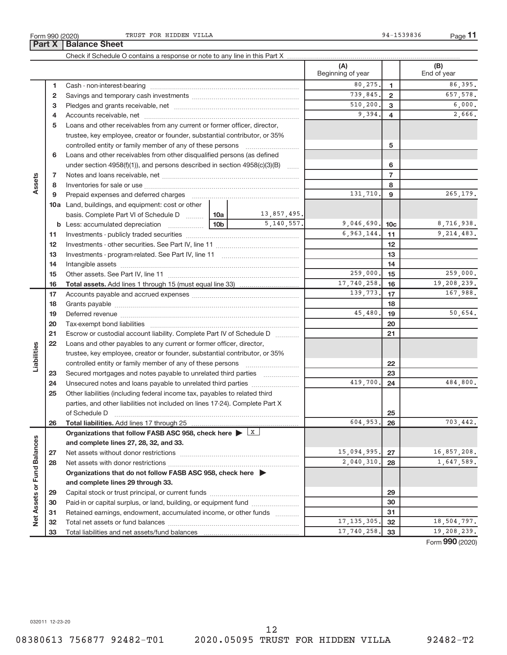|                             |    |                                                                                                                                                                                                                                                                                                                                                                                                                                                                   |                 |             | (A)<br>Beginning of year |                | (B)<br>End of year |
|-----------------------------|----|-------------------------------------------------------------------------------------------------------------------------------------------------------------------------------------------------------------------------------------------------------------------------------------------------------------------------------------------------------------------------------------------------------------------------------------------------------------------|-----------------|-------------|--------------------------|----------------|--------------------|
|                             | 1  |                                                                                                                                                                                                                                                                                                                                                                                                                                                                   |                 |             | 80,275.                  | $\mathbf{1}$   | 86,395.            |
|                             | 2  |                                                                                                                                                                                                                                                                                                                                                                                                                                                                   |                 |             | 739,845.                 | $\overline{2}$ | 657,578.           |
|                             | з  |                                                                                                                                                                                                                                                                                                                                                                                                                                                                   |                 |             | 510, 200.                | 3              | 6,000.             |
|                             | 4  |                                                                                                                                                                                                                                                                                                                                                                                                                                                                   |                 |             | 9,394.                   | $\overline{4}$ | 2,666.             |
|                             | 5  | Loans and other receivables from any current or former officer, director,                                                                                                                                                                                                                                                                                                                                                                                         |                 |             |                          |                |                    |
|                             |    | trustee, key employee, creator or founder, substantial contributor, or 35%                                                                                                                                                                                                                                                                                                                                                                                        |                 |             |                          |                |                    |
|                             |    | controlled entity or family member of any of these persons                                                                                                                                                                                                                                                                                                                                                                                                        |                 |             |                          | 5              |                    |
|                             | 6  | Loans and other receivables from other disqualified persons (as defined                                                                                                                                                                                                                                                                                                                                                                                           |                 |             |                          |                |                    |
|                             |    | under section 4958(f)(1)), and persons described in section 4958(c)(3)(B)                                                                                                                                                                                                                                                                                                                                                                                         |                 |             |                          | 6              |                    |
|                             | 7  |                                                                                                                                                                                                                                                                                                                                                                                                                                                                   |                 |             |                          | $\overline{7}$ |                    |
| Assets                      | 8  |                                                                                                                                                                                                                                                                                                                                                                                                                                                                   |                 |             |                          | 8              |                    |
|                             | 9  |                                                                                                                                                                                                                                                                                                                                                                                                                                                                   |                 |             | 131,710.                 | 9              | 265,179.           |
|                             |    | 10a Land, buildings, and equipment: cost or other                                                                                                                                                                                                                                                                                                                                                                                                                 |                 |             |                          |                |                    |
|                             |    | basis. Complete Part VI of Schedule D  10a                                                                                                                                                                                                                                                                                                                                                                                                                        |                 | 13,857,495. |                          |                |                    |
|                             |    | <b>b</b> Less: accumulated depreciation                                                                                                                                                                                                                                                                                                                                                                                                                           | 10 <sub>b</sub> | 5,140,557.  | $9,046,690.$ 10c         |                | 8,716,938.         |
|                             | 11 |                                                                                                                                                                                                                                                                                                                                                                                                                                                                   |                 |             | 6,963,144.               | 11             | 9, 214, 483.       |
|                             | 12 |                                                                                                                                                                                                                                                                                                                                                                                                                                                                   |                 |             | 12                       |                |                    |
|                             | 13 |                                                                                                                                                                                                                                                                                                                                                                                                                                                                   |                 | 13          |                          |                |                    |
|                             | 14 |                                                                                                                                                                                                                                                                                                                                                                                                                                                                   |                 | 14          |                          |                |                    |
|                             | 15 |                                                                                                                                                                                                                                                                                                                                                                                                                                                                   | 259,000.        | 15          | 259,000.                 |                |                    |
|                             | 16 |                                                                                                                                                                                                                                                                                                                                                                                                                                                                   |                 |             | 17,740,258.              | 16             | 19,208,239.        |
|                             | 17 |                                                                                                                                                                                                                                                                                                                                                                                                                                                                   |                 |             | 139,773.                 | 17             | 167,988.           |
|                             | 18 |                                                                                                                                                                                                                                                                                                                                                                                                                                                                   |                 | 18          |                          |                |                    |
|                             | 19 |                                                                                                                                                                                                                                                                                                                                                                                                                                                                   | 45,480.         | 19          | 50,654.                  |                |                    |
|                             | 20 |                                                                                                                                                                                                                                                                                                                                                                                                                                                                   |                 |             |                          | 20             |                    |
|                             | 21 | Escrow or custodial account liability. Complete Part IV of Schedule D                                                                                                                                                                                                                                                                                                                                                                                             |                 |             |                          | 21             |                    |
|                             | 22 | Loans and other payables to any current or former officer, director,                                                                                                                                                                                                                                                                                                                                                                                              |                 |             |                          |                |                    |
| Liabilities                 |    | trustee, key employee, creator or founder, substantial contributor, or 35%                                                                                                                                                                                                                                                                                                                                                                                        |                 |             |                          |                |                    |
|                             |    | controlled entity or family member of any of these persons                                                                                                                                                                                                                                                                                                                                                                                                        |                 |             |                          | 22             |                    |
|                             | 23 | Secured mortgages and notes payable to unrelated third parties                                                                                                                                                                                                                                                                                                                                                                                                    |                 |             |                          | 23             |                    |
|                             | 24 | Unsecured notes and loans payable to unrelated third parties                                                                                                                                                                                                                                                                                                                                                                                                      |                 |             | 419,700.                 | 24             | 484,800.           |
|                             | 25 | Other liabilities (including federal income tax, payables to related third                                                                                                                                                                                                                                                                                                                                                                                        |                 |             |                          |                |                    |
|                             |    | parties, and other liabilities not included on lines 17-24). Complete Part X                                                                                                                                                                                                                                                                                                                                                                                      |                 |             |                          |                |                    |
|                             |    | of Schedule D<br>$\begin{minipage}[c]{0.00\textwidth} \centering \begin{tabular}{ c c c c c } \hline \multicolumn{1}{ c }{\textbf{1}} & \multicolumn{1}{ c }{\textbf{2}} & \multicolumn{1}{ c }{\textbf{3}} & \multicolumn{1}{ c }{\textbf{4}} & \multicolumn{1}{ c }{\textbf{5}} & \multicolumn{1}{ c }{\textbf{6}} & \multicolumn{1}{ c }{\textbf{7}} & \multicolumn{1}{ c }{\textbf{8}} & \multicolumn{1}{ c }{\textbf{9}} & \multicolumn{1}{ c }{\textbf{1}}$ |                 |             |                          | 25             |                    |
|                             | 26 |                                                                                                                                                                                                                                                                                                                                                                                                                                                                   |                 |             | 604,953.                 | 26             | 703,442.           |
|                             |    | Organizations that follow FASB ASC 958, check here $\blacktriangleright \boxed{X}$                                                                                                                                                                                                                                                                                                                                                                                |                 |             |                          |                |                    |
|                             |    | and complete lines 27, 28, 32, and 33.                                                                                                                                                                                                                                                                                                                                                                                                                            |                 |             |                          |                |                    |
|                             | 27 |                                                                                                                                                                                                                                                                                                                                                                                                                                                                   |                 |             | 15,094,995.              | 27             | 16,857,208.        |
|                             | 28 |                                                                                                                                                                                                                                                                                                                                                                                                                                                                   |                 |             | 2,040,310.               | 28             | 1,647,589.         |
|                             |    | Organizations that do not follow FASB ASC 958, check here $\blacktriangleright$                                                                                                                                                                                                                                                                                                                                                                                   |                 |             |                          |                |                    |
|                             |    | and complete lines 29 through 33.                                                                                                                                                                                                                                                                                                                                                                                                                                 |                 |             |                          |                |                    |
|                             | 29 |                                                                                                                                                                                                                                                                                                                                                                                                                                                                   |                 |             |                          | 29             |                    |
| Net Assets or Fund Balances | 30 | Paid-in or capital surplus, or land, building, or equipment fund                                                                                                                                                                                                                                                                                                                                                                                                  |                 |             |                          | 30             |                    |
|                             | 31 | Retained earnings, endowment, accumulated income, or other funds                                                                                                                                                                                                                                                                                                                                                                                                  |                 |             |                          | 31             |                    |
|                             | 32 |                                                                                                                                                                                                                                                                                                                                                                                                                                                                   |                 |             | 17, 135, 305.            | 32             | 18,504,797.        |
|                             | 33 |                                                                                                                                                                                                                                                                                                                                                                                                                                                                   |                 |             | 17,740,258.              | 33             | 19,208,239.        |
|                             |    |                                                                                                                                                                                                                                                                                                                                                                                                                                                                   |                 |             |                          |                |                    |

Form (2020) **990**

032011 12-23-20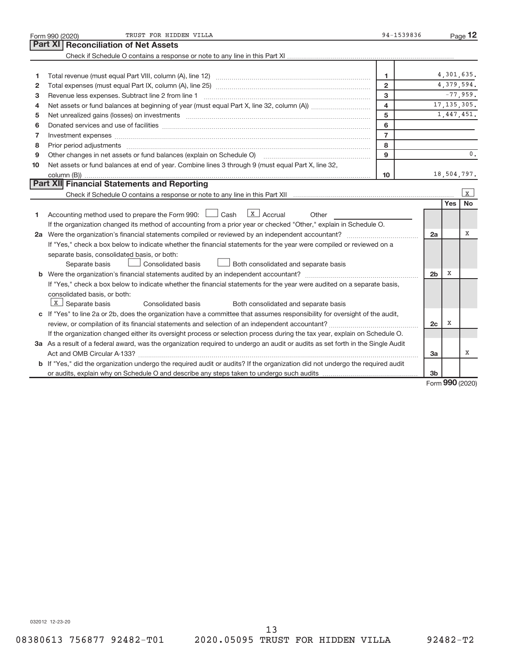|    | 94-1539836<br>TRUST FOR HIDDEN VILLA<br>Form 990 (2020)                                                                                                                                                                        |                         |                |              |               |  |  |
|----|--------------------------------------------------------------------------------------------------------------------------------------------------------------------------------------------------------------------------------|-------------------------|----------------|--------------|---------------|--|--|
|    | Part XI   Reconciliation of Net Assets                                                                                                                                                                                         |                         |                |              |               |  |  |
|    |                                                                                                                                                                                                                                |                         |                |              |               |  |  |
|    |                                                                                                                                                                                                                                |                         |                |              |               |  |  |
| 1  |                                                                                                                                                                                                                                | 1                       |                |              | 4,301,635.    |  |  |
| 2  |                                                                                                                                                                                                                                | $\overline{2}$          |                |              | 4,379,594.    |  |  |
| 3  |                                                                                                                                                                                                                                | 3                       |                |              | $-77,959.$    |  |  |
| 4  |                                                                                                                                                                                                                                | $\overline{\mathbf{4}}$ |                |              | 17, 135, 305. |  |  |
| 5  |                                                                                                                                                                                                                                | 5                       |                |              | 1,447,451.    |  |  |
| 6  |                                                                                                                                                                                                                                | 6                       |                |              |               |  |  |
| 7  |                                                                                                                                                                                                                                | $\overline{7}$          |                |              |               |  |  |
| 8  | Prior period adjustments [111] All and the contract of the contract of the contract of the contract of the contract of the contract of the contract of the contract of the contract of the contract of the contract of the con | 8                       |                |              |               |  |  |
| 9  |                                                                                                                                                                                                                                | 9                       |                |              | $0$ .         |  |  |
| 10 | Net assets or fund balances at end of year. Combine lines 3 through 9 (must equal Part X, line 32,                                                                                                                             |                         |                |              |               |  |  |
|    |                                                                                                                                                                                                                                | 10                      |                |              | 18,504,797.   |  |  |
|    | Part XII Financial Statements and Reporting                                                                                                                                                                                    |                         |                |              |               |  |  |
|    |                                                                                                                                                                                                                                |                         |                |              | $\mathbf{x}$  |  |  |
|    |                                                                                                                                                                                                                                |                         |                | <b>Yes</b>   | <b>No</b>     |  |  |
| 1  | Accounting method used to prepare the Form 990: $\Box$ Cash $\Box$ Accrual<br>Other                                                                                                                                            |                         |                |              |               |  |  |
|    | If the organization changed its method of accounting from a prior year or checked "Other," explain in Schedule O.                                                                                                              |                         |                |              |               |  |  |
|    |                                                                                                                                                                                                                                |                         | 2a             |              | х             |  |  |
|    | If "Yes," check a box below to indicate whether the financial statements for the year were compiled or reviewed on a                                                                                                           |                         |                |              |               |  |  |
|    | separate basis, consolidated basis, or both:                                                                                                                                                                                   |                         |                |              |               |  |  |
|    | Both consolidated and separate basis<br>Consolidated basis<br>Separate basis                                                                                                                                                   |                         |                |              |               |  |  |
|    |                                                                                                                                                                                                                                |                         | 2 <sub>b</sub> | X            |               |  |  |
|    | If "Yes," check a box below to indicate whether the financial statements for the year were audited on a separate basis,                                                                                                        |                         |                |              |               |  |  |
|    | consolidated basis, or both:                                                                                                                                                                                                   |                         |                |              |               |  |  |
|    | $\lfloor x \rfloor$ Separate basis<br>Consolidated basis<br>Both consolidated and separate basis                                                                                                                               |                         |                |              |               |  |  |
|    | c If "Yes" to line 2a or 2b, does the organization have a committee that assumes responsibility for oversight of the audit,                                                                                                    |                         |                |              |               |  |  |
|    |                                                                                                                                                                                                                                |                         | 2c             | Χ            |               |  |  |
|    | If the organization changed either its oversight process or selection process during the tax year, explain on Schedule O.                                                                                                      |                         |                |              |               |  |  |
|    | 3a As a result of a federal award, was the organization required to undergo an audit or audits as set forth in the Single Audit                                                                                                |                         |                |              |               |  |  |
|    |                                                                                                                                                                                                                                |                         | 3a             |              | X             |  |  |
|    | b If "Yes," did the organization undergo the required audit or audits? If the organization did not undergo the required audit                                                                                                  |                         |                |              |               |  |  |
|    |                                                                                                                                                                                                                                |                         | 3 <sub>b</sub> | $000 \text{$ |               |  |  |

Form (2020) **990**

032012 12-23-20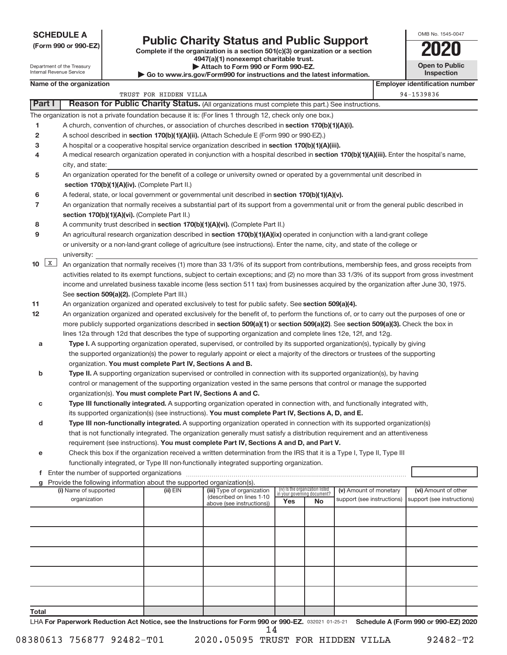**SCHEDULE A**

# **(Form 990 or 990-EZ) Complete if the organization is a section 501(c)(3) organization or a section Public Charity Status and Public Support 2020**

**4947(a)(1) nonexempt charitable trust.**

| OMB No. 1545-0047     |
|-----------------------|
| <b>'N2I</b>           |
| <b>Open to Public</b> |

| Attach to Form 990 or Form 990-EZ.<br>Department of the Treasury<br>Internal Revenue Service<br>$\triangleright$ Go to www.irs.gov/Form990 for instructions and the latest information. |                                                                                                                                                                                               |                        |                                                                                     |     |                                                                      |                                                      | <b>Open to Public</b><br><b>Inspection</b> |                                                    |  |  |  |
|-----------------------------------------------------------------------------------------------------------------------------------------------------------------------------------------|-----------------------------------------------------------------------------------------------------------------------------------------------------------------------------------------------|------------------------|-------------------------------------------------------------------------------------|-----|----------------------------------------------------------------------|------------------------------------------------------|--------------------------------------------|----------------------------------------------------|--|--|--|
|                                                                                                                                                                                         | Name of the organization                                                                                                                                                                      |                        |                                                                                     |     |                                                                      |                                                      |                                            | <b>Employer identification number</b>              |  |  |  |
|                                                                                                                                                                                         |                                                                                                                                                                                               | TRUST FOR HIDDEN VILLA |                                                                                     |     |                                                                      |                                                      |                                            | 94-1539836                                         |  |  |  |
| Part I                                                                                                                                                                                  | Reason for Public Charity Status. (All organizations must complete this part.) See instructions.                                                                                              |                        |                                                                                     |     |                                                                      |                                                      |                                            |                                                    |  |  |  |
|                                                                                                                                                                                         | The organization is not a private foundation because it is: (For lines 1 through 12, check only one box.)                                                                                     |                        |                                                                                     |     |                                                                      |                                                      |                                            |                                                    |  |  |  |
| 1                                                                                                                                                                                       | A church, convention of churches, or association of churches described in section 170(b)(1)(A)(i).                                                                                            |                        |                                                                                     |     |                                                                      |                                                      |                                            |                                                    |  |  |  |
| 2                                                                                                                                                                                       | A school described in section 170(b)(1)(A)(ii). (Attach Schedule E (Form 990 or 990-EZ).)                                                                                                     |                        |                                                                                     |     |                                                                      |                                                      |                                            |                                                    |  |  |  |
| 3                                                                                                                                                                                       | A hospital or a cooperative hospital service organization described in section 170(b)(1)(A)(iii).                                                                                             |                        |                                                                                     |     |                                                                      |                                                      |                                            |                                                    |  |  |  |
| 4                                                                                                                                                                                       | A medical research organization operated in conjunction with a hospital described in section 170(b)(1)(A)(iii). Enter the hospital's name,                                                    |                        |                                                                                     |     |                                                                      |                                                      |                                            |                                                    |  |  |  |
|                                                                                                                                                                                         | city, and state:                                                                                                                                                                              |                        |                                                                                     |     |                                                                      |                                                      |                                            |                                                    |  |  |  |
| 5                                                                                                                                                                                       | An organization operated for the benefit of a college or university owned or operated by a governmental unit described in                                                                     |                        |                                                                                     |     |                                                                      |                                                      |                                            |                                                    |  |  |  |
|                                                                                                                                                                                         | section 170(b)(1)(A)(iv). (Complete Part II.)                                                                                                                                                 |                        |                                                                                     |     |                                                                      |                                                      |                                            |                                                    |  |  |  |
| 6                                                                                                                                                                                       | A federal, state, or local government or governmental unit described in section 170(b)(1)(A)(v).                                                                                              |                        |                                                                                     |     |                                                                      |                                                      |                                            |                                                    |  |  |  |
| 7                                                                                                                                                                                       | An organization that normally receives a substantial part of its support from a governmental unit or from the general public described in                                                     |                        |                                                                                     |     |                                                                      |                                                      |                                            |                                                    |  |  |  |
|                                                                                                                                                                                         | section 170(b)(1)(A)(vi). (Complete Part II.)                                                                                                                                                 |                        |                                                                                     |     |                                                                      |                                                      |                                            |                                                    |  |  |  |
| 8                                                                                                                                                                                       | A community trust described in section 170(b)(1)(A)(vi). (Complete Part II.)                                                                                                                  |                        |                                                                                     |     |                                                                      |                                                      |                                            |                                                    |  |  |  |
| 9                                                                                                                                                                                       | An agricultural research organization described in section 170(b)(1)(A)(ix) operated in conjunction with a land-grant college                                                                 |                        |                                                                                     |     |                                                                      |                                                      |                                            |                                                    |  |  |  |
|                                                                                                                                                                                         | or university or a non-land-grant college of agriculture (see instructions). Enter the name, city, and state of the college or                                                                |                        |                                                                                     |     |                                                                      |                                                      |                                            |                                                    |  |  |  |
|                                                                                                                                                                                         | university:                                                                                                                                                                                   |                        |                                                                                     |     |                                                                      |                                                      |                                            |                                                    |  |  |  |
| 10                                                                                                                                                                                      | $\mathbf{X}$<br>An organization that normally receives (1) more than 33 1/3% of its support from contributions, membership fees, and gross receipts from                                      |                        |                                                                                     |     |                                                                      |                                                      |                                            |                                                    |  |  |  |
|                                                                                                                                                                                         | activities related to its exempt functions, subject to certain exceptions; and (2) no more than 33 1/3% of its support from gross investment                                                  |                        |                                                                                     |     |                                                                      |                                                      |                                            |                                                    |  |  |  |
|                                                                                                                                                                                         | income and unrelated business taxable income (less section 511 tax) from businesses acquired by the organization after June 30, 1975.                                                         |                        |                                                                                     |     |                                                                      |                                                      |                                            |                                                    |  |  |  |
|                                                                                                                                                                                         | See section 509(a)(2). (Complete Part III.)                                                                                                                                                   |                        |                                                                                     |     |                                                                      |                                                      |                                            |                                                    |  |  |  |
| 11                                                                                                                                                                                      | An organization organized and operated exclusively to test for public safety. See section 509(a)(4).                                                                                          |                        |                                                                                     |     |                                                                      |                                                      |                                            |                                                    |  |  |  |
| 12                                                                                                                                                                                      | An organization organized and operated exclusively for the benefit of, to perform the functions of, or to carry out the purposes of one or                                                    |                        |                                                                                     |     |                                                                      |                                                      |                                            |                                                    |  |  |  |
|                                                                                                                                                                                         | more publicly supported organizations described in section 509(a)(1) or section 509(a)(2). See section 509(a)(3). Check the box in                                                            |                        |                                                                                     |     |                                                                      |                                                      |                                            |                                                    |  |  |  |
|                                                                                                                                                                                         | lines 12a through 12d that describes the type of supporting organization and complete lines 12e, 12f, and 12g.                                                                                |                        |                                                                                     |     |                                                                      |                                                      |                                            |                                                    |  |  |  |
| а                                                                                                                                                                                       | Type I. A supporting organization operated, supervised, or controlled by its supported organization(s), typically by giving                                                                   |                        |                                                                                     |     |                                                                      |                                                      |                                            |                                                    |  |  |  |
|                                                                                                                                                                                         | the supported organization(s) the power to regularly appoint or elect a majority of the directors or trustees of the supporting<br>organization. You must complete Part IV, Sections A and B. |                        |                                                                                     |     |                                                                      |                                                      |                                            |                                                    |  |  |  |
| b                                                                                                                                                                                       | Type II. A supporting organization supervised or controlled in connection with its supported organization(s), by having                                                                       |                        |                                                                                     |     |                                                                      |                                                      |                                            |                                                    |  |  |  |
|                                                                                                                                                                                         | control or management of the supporting organization vested in the same persons that control or manage the supported                                                                          |                        |                                                                                     |     |                                                                      |                                                      |                                            |                                                    |  |  |  |
|                                                                                                                                                                                         | organization(s). You must complete Part IV, Sections A and C.                                                                                                                                 |                        |                                                                                     |     |                                                                      |                                                      |                                            |                                                    |  |  |  |
| с                                                                                                                                                                                       | Type III functionally integrated. A supporting organization operated in connection with, and functionally integrated with,                                                                    |                        |                                                                                     |     |                                                                      |                                                      |                                            |                                                    |  |  |  |
|                                                                                                                                                                                         | its supported organization(s) (see instructions). You must complete Part IV, Sections A, D, and E.                                                                                            |                        |                                                                                     |     |                                                                      |                                                      |                                            |                                                    |  |  |  |
| d                                                                                                                                                                                       | Type III non-functionally integrated. A supporting organization operated in connection with its supported organization(s)                                                                     |                        |                                                                                     |     |                                                                      |                                                      |                                            |                                                    |  |  |  |
|                                                                                                                                                                                         | that is not functionally integrated. The organization generally must satisfy a distribution requirement and an attentiveness                                                                  |                        |                                                                                     |     |                                                                      |                                                      |                                            |                                                    |  |  |  |
|                                                                                                                                                                                         | requirement (see instructions). You must complete Part IV, Sections A and D, and Part V.                                                                                                      |                        |                                                                                     |     |                                                                      |                                                      |                                            |                                                    |  |  |  |
| е                                                                                                                                                                                       | Check this box if the organization received a written determination from the IRS that it is a Type I, Type II, Type III                                                                       |                        |                                                                                     |     |                                                                      |                                                      |                                            |                                                    |  |  |  |
|                                                                                                                                                                                         | functionally integrated, or Type III non-functionally integrated supporting organization.                                                                                                     |                        |                                                                                     |     |                                                                      |                                                      |                                            |                                                    |  |  |  |
|                                                                                                                                                                                         |                                                                                                                                                                                               |                        |                                                                                     |     |                                                                      |                                                      |                                            |                                                    |  |  |  |
|                                                                                                                                                                                         | Provide the following information about the supported organization(s).                                                                                                                        |                        |                                                                                     |     |                                                                      |                                                      |                                            |                                                    |  |  |  |
|                                                                                                                                                                                         | (i) Name of supported<br>organization                                                                                                                                                         | $(ii)$ EIN             | (iii) Type of organization<br>(described on lines 1-10<br>above (see instructions)) | Yes | (iv) Is the organization listed<br>in vour aovernina document?<br>No | (v) Amount of monetary<br>support (see instructions) |                                            | (vi) Amount of other<br>support (see instructions) |  |  |  |
|                                                                                                                                                                                         |                                                                                                                                                                                               |                        |                                                                                     |     |                                                                      |                                                      |                                            |                                                    |  |  |  |
|                                                                                                                                                                                         |                                                                                                                                                                                               |                        |                                                                                     |     |                                                                      |                                                      |                                            |                                                    |  |  |  |
|                                                                                                                                                                                         |                                                                                                                                                                                               |                        |                                                                                     |     |                                                                      |                                                      |                                            |                                                    |  |  |  |
|                                                                                                                                                                                         |                                                                                                                                                                                               |                        |                                                                                     |     |                                                                      |                                                      |                                            |                                                    |  |  |  |
|                                                                                                                                                                                         |                                                                                                                                                                                               |                        |                                                                                     |     |                                                                      |                                                      |                                            |                                                    |  |  |  |
|                                                                                                                                                                                         |                                                                                                                                                                                               |                        |                                                                                     |     |                                                                      |                                                      |                                            |                                                    |  |  |  |
|                                                                                                                                                                                         |                                                                                                                                                                                               |                        |                                                                                     |     |                                                                      |                                                      |                                            |                                                    |  |  |  |
|                                                                                                                                                                                         |                                                                                                                                                                                               |                        |                                                                                     |     |                                                                      |                                                      |                                            |                                                    |  |  |  |

**Total**

LHA For Paperwork Reduction Act Notice, see the Instructions for Form 990 or 990-EZ. 032021 01-25-21 Schedule A (Form 990 or 990-EZ) 2020 14

 $\exists$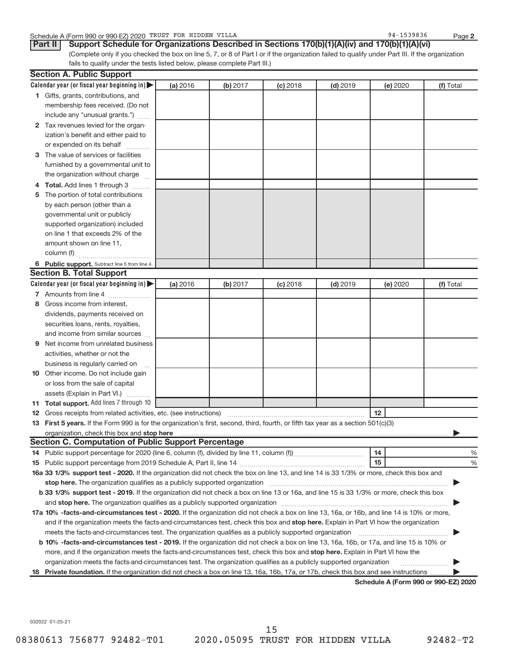#### Schedule A (Form 990 or 990-EZ) 2020 TRUST FOR HIDDEN VILLA 8 and the state of the state of the 94-1539836 Page

**2**

(Complete only if you checked the box on line 5, 7, or 8 of Part I or if the organization failed to qualify under Part III. If the organization fails to qualify under the tests listed below, please complete Part III.) **Part II** Support Schedule for Organizations Described in Sections 170(b)(1)(A)(iv) and 170(b)(1)(A)(vi)

| Calendar year (or fiscal year beginning in) $\blacktriangleright$<br>(a) 2016<br>(b) 2017<br>$(c)$ 2018<br>$(d)$ 2019<br>(e) 2020<br>(f) Total<br>1 Gifts, grants, contributions, and<br>membership fees received. (Do not<br>include any "unusual grants.")<br>2 Tax revenues levied for the organ-<br>ization's benefit and either paid to<br>or expended on its behalf<br>3 The value of services or facilities<br>furnished by a governmental unit to<br>the organization without charge<br>4 Total. Add lines 1 through 3<br>The portion of total contributions<br>5<br>by each person (other than a<br>governmental unit or publicly<br>supported organization) included<br>on line 1 that exceeds 2% of the<br>amount shown on line 11,<br>column (f)<br>6 Public support. Subtract line 5 from line 4.<br><b>Section B. Total Support</b><br>Calendar year (or fiscal year beginning in)<br>(a) 2016<br>(b) 2017<br>$(c)$ 2018<br>$(d)$ 2019<br>(e) 2020<br>(f) Total<br>7 Amounts from line 4<br>Gross income from interest,<br>8<br>dividends, payments received on<br>securities loans, rents, royalties,<br>and income from similar sources<br>Net income from unrelated business<br>9<br>activities, whether or not the<br>business is regularly carried on<br>10 Other income. Do not include gain<br>or loss from the sale of capital<br>assets (Explain in Part VI.)<br>11 Total support. Add lines 7 through 10<br>12 Gross receipts from related activities, etc. (see instructions)<br>$12 \,$<br>13 First 5 years. If the Form 990 is for the organization's first, second, third, fourth, or fifth tax year as a section 501(c)(3)<br>organization, check this box and stop here<br><b>Section C. Computation of Public Support Percentage</b><br>14<br>%<br>14 Public support percentage for 2020 (line 6, column (f), divided by line 11, column (f)<br>15<br>%<br>16a 33 1/3% support test - 2020. If the organization did not check the box on line 13, and line 14 is 33 1/3% or more, check this box and<br>b 33 1/3% support test - 2019. If the organization did not check a box on line 13 or 16a, and line 15 is 33 1/3% or more, check this box<br>17a 10% -facts-and-circumstances test - 2020. If the organization did not check a box on line 13, 16a, or 16b, and line 14 is 10% or more,<br>and if the organization meets the facts-and-circumstances test, check this box and stop here. Explain in Part VI how the organization<br>meets the facts-and-circumstances test. The organization qualifies as a publicly supported organization<br>b 10% -facts-and-circumstances test - 2019. If the organization did not check a box on line 13, 16a, 16b, or 17a, and line 15 is 10% or<br>more, and if the organization meets the facts-and-circumstances test, check this box and stop here. Explain in Part VI how the<br>organization meets the facts-and-circumstances test. The organization qualifies as a publicly supported organization<br>$\mathcal{L} = \{1, 2, \ldots, \ldots, \ldots \}$<br>Private foundation. If the organization did not check a box on line 13, 16a, 16b, 17a, or 17b, check this box and see instructions<br>18<br>Schedule A (Form 990 or 990-F7) 2020 | <b>Section A. Public Support</b> |  |  |  |
|---------------------------------------------------------------------------------------------------------------------------------------------------------------------------------------------------------------------------------------------------------------------------------------------------------------------------------------------------------------------------------------------------------------------------------------------------------------------------------------------------------------------------------------------------------------------------------------------------------------------------------------------------------------------------------------------------------------------------------------------------------------------------------------------------------------------------------------------------------------------------------------------------------------------------------------------------------------------------------------------------------------------------------------------------------------------------------------------------------------------------------------------------------------------------------------------------------------------------------------------------------------------------------------------------------------------------------------------------------------------------------------------------------------------------------------------------------------------------------------------------------------------------------------------------------------------------------------------------------------------------------------------------------------------------------------------------------------------------------------------------------------------------------------------------------------------------------------------------------------------------------------------------------------------------------------------------------------------------------------------------------------------------------------------------------------------------------------------------------------------------------------------------------------------------------------------------------------------------------------------------------------------------------------------------------------------------------------------------------------------------------------------------------------------------------------------------------------------------------------------------------------------------------------------------------------------------------------------------------------------------------------------------------------------------------------------------------------------------------------------------------------------------------------------------------------------------------------------------------------------------------------------------------------------------------------------------------------------------------------------------------------------------------------------------------------------------------------------------------------------------------------------------------------------------------------------------------------------------------|----------------------------------|--|--|--|
|                                                                                                                                                                                                                                                                                                                                                                                                                                                                                                                                                                                                                                                                                                                                                                                                                                                                                                                                                                                                                                                                                                                                                                                                                                                                                                                                                                                                                                                                                                                                                                                                                                                                                                                                                                                                                                                                                                                                                                                                                                                                                                                                                                                                                                                                                                                                                                                                                                                                                                                                                                                                                                                                                                                                                                                                                                                                                                                                                                                                                                                                                                                                                                                                                                 |                                  |  |  |  |
|                                                                                                                                                                                                                                                                                                                                                                                                                                                                                                                                                                                                                                                                                                                                                                                                                                                                                                                                                                                                                                                                                                                                                                                                                                                                                                                                                                                                                                                                                                                                                                                                                                                                                                                                                                                                                                                                                                                                                                                                                                                                                                                                                                                                                                                                                                                                                                                                                                                                                                                                                                                                                                                                                                                                                                                                                                                                                                                                                                                                                                                                                                                                                                                                                                 |                                  |  |  |  |
|                                                                                                                                                                                                                                                                                                                                                                                                                                                                                                                                                                                                                                                                                                                                                                                                                                                                                                                                                                                                                                                                                                                                                                                                                                                                                                                                                                                                                                                                                                                                                                                                                                                                                                                                                                                                                                                                                                                                                                                                                                                                                                                                                                                                                                                                                                                                                                                                                                                                                                                                                                                                                                                                                                                                                                                                                                                                                                                                                                                                                                                                                                                                                                                                                                 |                                  |  |  |  |
|                                                                                                                                                                                                                                                                                                                                                                                                                                                                                                                                                                                                                                                                                                                                                                                                                                                                                                                                                                                                                                                                                                                                                                                                                                                                                                                                                                                                                                                                                                                                                                                                                                                                                                                                                                                                                                                                                                                                                                                                                                                                                                                                                                                                                                                                                                                                                                                                                                                                                                                                                                                                                                                                                                                                                                                                                                                                                                                                                                                                                                                                                                                                                                                                                                 |                                  |  |  |  |
|                                                                                                                                                                                                                                                                                                                                                                                                                                                                                                                                                                                                                                                                                                                                                                                                                                                                                                                                                                                                                                                                                                                                                                                                                                                                                                                                                                                                                                                                                                                                                                                                                                                                                                                                                                                                                                                                                                                                                                                                                                                                                                                                                                                                                                                                                                                                                                                                                                                                                                                                                                                                                                                                                                                                                                                                                                                                                                                                                                                                                                                                                                                                                                                                                                 |                                  |  |  |  |
|                                                                                                                                                                                                                                                                                                                                                                                                                                                                                                                                                                                                                                                                                                                                                                                                                                                                                                                                                                                                                                                                                                                                                                                                                                                                                                                                                                                                                                                                                                                                                                                                                                                                                                                                                                                                                                                                                                                                                                                                                                                                                                                                                                                                                                                                                                                                                                                                                                                                                                                                                                                                                                                                                                                                                                                                                                                                                                                                                                                                                                                                                                                                                                                                                                 |                                  |  |  |  |
|                                                                                                                                                                                                                                                                                                                                                                                                                                                                                                                                                                                                                                                                                                                                                                                                                                                                                                                                                                                                                                                                                                                                                                                                                                                                                                                                                                                                                                                                                                                                                                                                                                                                                                                                                                                                                                                                                                                                                                                                                                                                                                                                                                                                                                                                                                                                                                                                                                                                                                                                                                                                                                                                                                                                                                                                                                                                                                                                                                                                                                                                                                                                                                                                                                 |                                  |  |  |  |
|                                                                                                                                                                                                                                                                                                                                                                                                                                                                                                                                                                                                                                                                                                                                                                                                                                                                                                                                                                                                                                                                                                                                                                                                                                                                                                                                                                                                                                                                                                                                                                                                                                                                                                                                                                                                                                                                                                                                                                                                                                                                                                                                                                                                                                                                                                                                                                                                                                                                                                                                                                                                                                                                                                                                                                                                                                                                                                                                                                                                                                                                                                                                                                                                                                 |                                  |  |  |  |
|                                                                                                                                                                                                                                                                                                                                                                                                                                                                                                                                                                                                                                                                                                                                                                                                                                                                                                                                                                                                                                                                                                                                                                                                                                                                                                                                                                                                                                                                                                                                                                                                                                                                                                                                                                                                                                                                                                                                                                                                                                                                                                                                                                                                                                                                                                                                                                                                                                                                                                                                                                                                                                                                                                                                                                                                                                                                                                                                                                                                                                                                                                                                                                                                                                 |                                  |  |  |  |
|                                                                                                                                                                                                                                                                                                                                                                                                                                                                                                                                                                                                                                                                                                                                                                                                                                                                                                                                                                                                                                                                                                                                                                                                                                                                                                                                                                                                                                                                                                                                                                                                                                                                                                                                                                                                                                                                                                                                                                                                                                                                                                                                                                                                                                                                                                                                                                                                                                                                                                                                                                                                                                                                                                                                                                                                                                                                                                                                                                                                                                                                                                                                                                                                                                 |                                  |  |  |  |
|                                                                                                                                                                                                                                                                                                                                                                                                                                                                                                                                                                                                                                                                                                                                                                                                                                                                                                                                                                                                                                                                                                                                                                                                                                                                                                                                                                                                                                                                                                                                                                                                                                                                                                                                                                                                                                                                                                                                                                                                                                                                                                                                                                                                                                                                                                                                                                                                                                                                                                                                                                                                                                                                                                                                                                                                                                                                                                                                                                                                                                                                                                                                                                                                                                 |                                  |  |  |  |
|                                                                                                                                                                                                                                                                                                                                                                                                                                                                                                                                                                                                                                                                                                                                                                                                                                                                                                                                                                                                                                                                                                                                                                                                                                                                                                                                                                                                                                                                                                                                                                                                                                                                                                                                                                                                                                                                                                                                                                                                                                                                                                                                                                                                                                                                                                                                                                                                                                                                                                                                                                                                                                                                                                                                                                                                                                                                                                                                                                                                                                                                                                                                                                                                                                 |                                  |  |  |  |
|                                                                                                                                                                                                                                                                                                                                                                                                                                                                                                                                                                                                                                                                                                                                                                                                                                                                                                                                                                                                                                                                                                                                                                                                                                                                                                                                                                                                                                                                                                                                                                                                                                                                                                                                                                                                                                                                                                                                                                                                                                                                                                                                                                                                                                                                                                                                                                                                                                                                                                                                                                                                                                                                                                                                                                                                                                                                                                                                                                                                                                                                                                                                                                                                                                 |                                  |  |  |  |
|                                                                                                                                                                                                                                                                                                                                                                                                                                                                                                                                                                                                                                                                                                                                                                                                                                                                                                                                                                                                                                                                                                                                                                                                                                                                                                                                                                                                                                                                                                                                                                                                                                                                                                                                                                                                                                                                                                                                                                                                                                                                                                                                                                                                                                                                                                                                                                                                                                                                                                                                                                                                                                                                                                                                                                                                                                                                                                                                                                                                                                                                                                                                                                                                                                 |                                  |  |  |  |
|                                                                                                                                                                                                                                                                                                                                                                                                                                                                                                                                                                                                                                                                                                                                                                                                                                                                                                                                                                                                                                                                                                                                                                                                                                                                                                                                                                                                                                                                                                                                                                                                                                                                                                                                                                                                                                                                                                                                                                                                                                                                                                                                                                                                                                                                                                                                                                                                                                                                                                                                                                                                                                                                                                                                                                                                                                                                                                                                                                                                                                                                                                                                                                                                                                 |                                  |  |  |  |
|                                                                                                                                                                                                                                                                                                                                                                                                                                                                                                                                                                                                                                                                                                                                                                                                                                                                                                                                                                                                                                                                                                                                                                                                                                                                                                                                                                                                                                                                                                                                                                                                                                                                                                                                                                                                                                                                                                                                                                                                                                                                                                                                                                                                                                                                                                                                                                                                                                                                                                                                                                                                                                                                                                                                                                                                                                                                                                                                                                                                                                                                                                                                                                                                                                 |                                  |  |  |  |
|                                                                                                                                                                                                                                                                                                                                                                                                                                                                                                                                                                                                                                                                                                                                                                                                                                                                                                                                                                                                                                                                                                                                                                                                                                                                                                                                                                                                                                                                                                                                                                                                                                                                                                                                                                                                                                                                                                                                                                                                                                                                                                                                                                                                                                                                                                                                                                                                                                                                                                                                                                                                                                                                                                                                                                                                                                                                                                                                                                                                                                                                                                                                                                                                                                 |                                  |  |  |  |
|                                                                                                                                                                                                                                                                                                                                                                                                                                                                                                                                                                                                                                                                                                                                                                                                                                                                                                                                                                                                                                                                                                                                                                                                                                                                                                                                                                                                                                                                                                                                                                                                                                                                                                                                                                                                                                                                                                                                                                                                                                                                                                                                                                                                                                                                                                                                                                                                                                                                                                                                                                                                                                                                                                                                                                                                                                                                                                                                                                                                                                                                                                                                                                                                                                 |                                  |  |  |  |
|                                                                                                                                                                                                                                                                                                                                                                                                                                                                                                                                                                                                                                                                                                                                                                                                                                                                                                                                                                                                                                                                                                                                                                                                                                                                                                                                                                                                                                                                                                                                                                                                                                                                                                                                                                                                                                                                                                                                                                                                                                                                                                                                                                                                                                                                                                                                                                                                                                                                                                                                                                                                                                                                                                                                                                                                                                                                                                                                                                                                                                                                                                                                                                                                                                 |                                  |  |  |  |
|                                                                                                                                                                                                                                                                                                                                                                                                                                                                                                                                                                                                                                                                                                                                                                                                                                                                                                                                                                                                                                                                                                                                                                                                                                                                                                                                                                                                                                                                                                                                                                                                                                                                                                                                                                                                                                                                                                                                                                                                                                                                                                                                                                                                                                                                                                                                                                                                                                                                                                                                                                                                                                                                                                                                                                                                                                                                                                                                                                                                                                                                                                                                                                                                                                 |                                  |  |  |  |
|                                                                                                                                                                                                                                                                                                                                                                                                                                                                                                                                                                                                                                                                                                                                                                                                                                                                                                                                                                                                                                                                                                                                                                                                                                                                                                                                                                                                                                                                                                                                                                                                                                                                                                                                                                                                                                                                                                                                                                                                                                                                                                                                                                                                                                                                                                                                                                                                                                                                                                                                                                                                                                                                                                                                                                                                                                                                                                                                                                                                                                                                                                                                                                                                                                 |                                  |  |  |  |
|                                                                                                                                                                                                                                                                                                                                                                                                                                                                                                                                                                                                                                                                                                                                                                                                                                                                                                                                                                                                                                                                                                                                                                                                                                                                                                                                                                                                                                                                                                                                                                                                                                                                                                                                                                                                                                                                                                                                                                                                                                                                                                                                                                                                                                                                                                                                                                                                                                                                                                                                                                                                                                                                                                                                                                                                                                                                                                                                                                                                                                                                                                                                                                                                                                 |                                  |  |  |  |
|                                                                                                                                                                                                                                                                                                                                                                                                                                                                                                                                                                                                                                                                                                                                                                                                                                                                                                                                                                                                                                                                                                                                                                                                                                                                                                                                                                                                                                                                                                                                                                                                                                                                                                                                                                                                                                                                                                                                                                                                                                                                                                                                                                                                                                                                                                                                                                                                                                                                                                                                                                                                                                                                                                                                                                                                                                                                                                                                                                                                                                                                                                                                                                                                                                 |                                  |  |  |  |
|                                                                                                                                                                                                                                                                                                                                                                                                                                                                                                                                                                                                                                                                                                                                                                                                                                                                                                                                                                                                                                                                                                                                                                                                                                                                                                                                                                                                                                                                                                                                                                                                                                                                                                                                                                                                                                                                                                                                                                                                                                                                                                                                                                                                                                                                                                                                                                                                                                                                                                                                                                                                                                                                                                                                                                                                                                                                                                                                                                                                                                                                                                                                                                                                                                 |                                  |  |  |  |
|                                                                                                                                                                                                                                                                                                                                                                                                                                                                                                                                                                                                                                                                                                                                                                                                                                                                                                                                                                                                                                                                                                                                                                                                                                                                                                                                                                                                                                                                                                                                                                                                                                                                                                                                                                                                                                                                                                                                                                                                                                                                                                                                                                                                                                                                                                                                                                                                                                                                                                                                                                                                                                                                                                                                                                                                                                                                                                                                                                                                                                                                                                                                                                                                                                 |                                  |  |  |  |
|                                                                                                                                                                                                                                                                                                                                                                                                                                                                                                                                                                                                                                                                                                                                                                                                                                                                                                                                                                                                                                                                                                                                                                                                                                                                                                                                                                                                                                                                                                                                                                                                                                                                                                                                                                                                                                                                                                                                                                                                                                                                                                                                                                                                                                                                                                                                                                                                                                                                                                                                                                                                                                                                                                                                                                                                                                                                                                                                                                                                                                                                                                                                                                                                                                 |                                  |  |  |  |
|                                                                                                                                                                                                                                                                                                                                                                                                                                                                                                                                                                                                                                                                                                                                                                                                                                                                                                                                                                                                                                                                                                                                                                                                                                                                                                                                                                                                                                                                                                                                                                                                                                                                                                                                                                                                                                                                                                                                                                                                                                                                                                                                                                                                                                                                                                                                                                                                                                                                                                                                                                                                                                                                                                                                                                                                                                                                                                                                                                                                                                                                                                                                                                                                                                 |                                  |  |  |  |
|                                                                                                                                                                                                                                                                                                                                                                                                                                                                                                                                                                                                                                                                                                                                                                                                                                                                                                                                                                                                                                                                                                                                                                                                                                                                                                                                                                                                                                                                                                                                                                                                                                                                                                                                                                                                                                                                                                                                                                                                                                                                                                                                                                                                                                                                                                                                                                                                                                                                                                                                                                                                                                                                                                                                                                                                                                                                                                                                                                                                                                                                                                                                                                                                                                 |                                  |  |  |  |
|                                                                                                                                                                                                                                                                                                                                                                                                                                                                                                                                                                                                                                                                                                                                                                                                                                                                                                                                                                                                                                                                                                                                                                                                                                                                                                                                                                                                                                                                                                                                                                                                                                                                                                                                                                                                                                                                                                                                                                                                                                                                                                                                                                                                                                                                                                                                                                                                                                                                                                                                                                                                                                                                                                                                                                                                                                                                                                                                                                                                                                                                                                                                                                                                                                 |                                  |  |  |  |
|                                                                                                                                                                                                                                                                                                                                                                                                                                                                                                                                                                                                                                                                                                                                                                                                                                                                                                                                                                                                                                                                                                                                                                                                                                                                                                                                                                                                                                                                                                                                                                                                                                                                                                                                                                                                                                                                                                                                                                                                                                                                                                                                                                                                                                                                                                                                                                                                                                                                                                                                                                                                                                                                                                                                                                                                                                                                                                                                                                                                                                                                                                                                                                                                                                 |                                  |  |  |  |
|                                                                                                                                                                                                                                                                                                                                                                                                                                                                                                                                                                                                                                                                                                                                                                                                                                                                                                                                                                                                                                                                                                                                                                                                                                                                                                                                                                                                                                                                                                                                                                                                                                                                                                                                                                                                                                                                                                                                                                                                                                                                                                                                                                                                                                                                                                                                                                                                                                                                                                                                                                                                                                                                                                                                                                                                                                                                                                                                                                                                                                                                                                                                                                                                                                 |                                  |  |  |  |
|                                                                                                                                                                                                                                                                                                                                                                                                                                                                                                                                                                                                                                                                                                                                                                                                                                                                                                                                                                                                                                                                                                                                                                                                                                                                                                                                                                                                                                                                                                                                                                                                                                                                                                                                                                                                                                                                                                                                                                                                                                                                                                                                                                                                                                                                                                                                                                                                                                                                                                                                                                                                                                                                                                                                                                                                                                                                                                                                                                                                                                                                                                                                                                                                                                 |                                  |  |  |  |
|                                                                                                                                                                                                                                                                                                                                                                                                                                                                                                                                                                                                                                                                                                                                                                                                                                                                                                                                                                                                                                                                                                                                                                                                                                                                                                                                                                                                                                                                                                                                                                                                                                                                                                                                                                                                                                                                                                                                                                                                                                                                                                                                                                                                                                                                                                                                                                                                                                                                                                                                                                                                                                                                                                                                                                                                                                                                                                                                                                                                                                                                                                                                                                                                                                 |                                  |  |  |  |
|                                                                                                                                                                                                                                                                                                                                                                                                                                                                                                                                                                                                                                                                                                                                                                                                                                                                                                                                                                                                                                                                                                                                                                                                                                                                                                                                                                                                                                                                                                                                                                                                                                                                                                                                                                                                                                                                                                                                                                                                                                                                                                                                                                                                                                                                                                                                                                                                                                                                                                                                                                                                                                                                                                                                                                                                                                                                                                                                                                                                                                                                                                                                                                                                                                 |                                  |  |  |  |
|                                                                                                                                                                                                                                                                                                                                                                                                                                                                                                                                                                                                                                                                                                                                                                                                                                                                                                                                                                                                                                                                                                                                                                                                                                                                                                                                                                                                                                                                                                                                                                                                                                                                                                                                                                                                                                                                                                                                                                                                                                                                                                                                                                                                                                                                                                                                                                                                                                                                                                                                                                                                                                                                                                                                                                                                                                                                                                                                                                                                                                                                                                                                                                                                                                 |                                  |  |  |  |
|                                                                                                                                                                                                                                                                                                                                                                                                                                                                                                                                                                                                                                                                                                                                                                                                                                                                                                                                                                                                                                                                                                                                                                                                                                                                                                                                                                                                                                                                                                                                                                                                                                                                                                                                                                                                                                                                                                                                                                                                                                                                                                                                                                                                                                                                                                                                                                                                                                                                                                                                                                                                                                                                                                                                                                                                                                                                                                                                                                                                                                                                                                                                                                                                                                 |                                  |  |  |  |
|                                                                                                                                                                                                                                                                                                                                                                                                                                                                                                                                                                                                                                                                                                                                                                                                                                                                                                                                                                                                                                                                                                                                                                                                                                                                                                                                                                                                                                                                                                                                                                                                                                                                                                                                                                                                                                                                                                                                                                                                                                                                                                                                                                                                                                                                                                                                                                                                                                                                                                                                                                                                                                                                                                                                                                                                                                                                                                                                                                                                                                                                                                                                                                                                                                 |                                  |  |  |  |
|                                                                                                                                                                                                                                                                                                                                                                                                                                                                                                                                                                                                                                                                                                                                                                                                                                                                                                                                                                                                                                                                                                                                                                                                                                                                                                                                                                                                                                                                                                                                                                                                                                                                                                                                                                                                                                                                                                                                                                                                                                                                                                                                                                                                                                                                                                                                                                                                                                                                                                                                                                                                                                                                                                                                                                                                                                                                                                                                                                                                                                                                                                                                                                                                                                 |                                  |  |  |  |
|                                                                                                                                                                                                                                                                                                                                                                                                                                                                                                                                                                                                                                                                                                                                                                                                                                                                                                                                                                                                                                                                                                                                                                                                                                                                                                                                                                                                                                                                                                                                                                                                                                                                                                                                                                                                                                                                                                                                                                                                                                                                                                                                                                                                                                                                                                                                                                                                                                                                                                                                                                                                                                                                                                                                                                                                                                                                                                                                                                                                                                                                                                                                                                                                                                 |                                  |  |  |  |
|                                                                                                                                                                                                                                                                                                                                                                                                                                                                                                                                                                                                                                                                                                                                                                                                                                                                                                                                                                                                                                                                                                                                                                                                                                                                                                                                                                                                                                                                                                                                                                                                                                                                                                                                                                                                                                                                                                                                                                                                                                                                                                                                                                                                                                                                                                                                                                                                                                                                                                                                                                                                                                                                                                                                                                                                                                                                                                                                                                                                                                                                                                                                                                                                                                 |                                  |  |  |  |
|                                                                                                                                                                                                                                                                                                                                                                                                                                                                                                                                                                                                                                                                                                                                                                                                                                                                                                                                                                                                                                                                                                                                                                                                                                                                                                                                                                                                                                                                                                                                                                                                                                                                                                                                                                                                                                                                                                                                                                                                                                                                                                                                                                                                                                                                                                                                                                                                                                                                                                                                                                                                                                                                                                                                                                                                                                                                                                                                                                                                                                                                                                                                                                                                                                 |                                  |  |  |  |
|                                                                                                                                                                                                                                                                                                                                                                                                                                                                                                                                                                                                                                                                                                                                                                                                                                                                                                                                                                                                                                                                                                                                                                                                                                                                                                                                                                                                                                                                                                                                                                                                                                                                                                                                                                                                                                                                                                                                                                                                                                                                                                                                                                                                                                                                                                                                                                                                                                                                                                                                                                                                                                                                                                                                                                                                                                                                                                                                                                                                                                                                                                                                                                                                                                 |                                  |  |  |  |
|                                                                                                                                                                                                                                                                                                                                                                                                                                                                                                                                                                                                                                                                                                                                                                                                                                                                                                                                                                                                                                                                                                                                                                                                                                                                                                                                                                                                                                                                                                                                                                                                                                                                                                                                                                                                                                                                                                                                                                                                                                                                                                                                                                                                                                                                                                                                                                                                                                                                                                                                                                                                                                                                                                                                                                                                                                                                                                                                                                                                                                                                                                                                                                                                                                 |                                  |  |  |  |
|                                                                                                                                                                                                                                                                                                                                                                                                                                                                                                                                                                                                                                                                                                                                                                                                                                                                                                                                                                                                                                                                                                                                                                                                                                                                                                                                                                                                                                                                                                                                                                                                                                                                                                                                                                                                                                                                                                                                                                                                                                                                                                                                                                                                                                                                                                                                                                                                                                                                                                                                                                                                                                                                                                                                                                                                                                                                                                                                                                                                                                                                                                                                                                                                                                 |                                  |  |  |  |
|                                                                                                                                                                                                                                                                                                                                                                                                                                                                                                                                                                                                                                                                                                                                                                                                                                                                                                                                                                                                                                                                                                                                                                                                                                                                                                                                                                                                                                                                                                                                                                                                                                                                                                                                                                                                                                                                                                                                                                                                                                                                                                                                                                                                                                                                                                                                                                                                                                                                                                                                                                                                                                                                                                                                                                                                                                                                                                                                                                                                                                                                                                                                                                                                                                 |                                  |  |  |  |
|                                                                                                                                                                                                                                                                                                                                                                                                                                                                                                                                                                                                                                                                                                                                                                                                                                                                                                                                                                                                                                                                                                                                                                                                                                                                                                                                                                                                                                                                                                                                                                                                                                                                                                                                                                                                                                                                                                                                                                                                                                                                                                                                                                                                                                                                                                                                                                                                                                                                                                                                                                                                                                                                                                                                                                                                                                                                                                                                                                                                                                                                                                                                                                                                                                 |                                  |  |  |  |
|                                                                                                                                                                                                                                                                                                                                                                                                                                                                                                                                                                                                                                                                                                                                                                                                                                                                                                                                                                                                                                                                                                                                                                                                                                                                                                                                                                                                                                                                                                                                                                                                                                                                                                                                                                                                                                                                                                                                                                                                                                                                                                                                                                                                                                                                                                                                                                                                                                                                                                                                                                                                                                                                                                                                                                                                                                                                                                                                                                                                                                                                                                                                                                                                                                 |                                  |  |  |  |
|                                                                                                                                                                                                                                                                                                                                                                                                                                                                                                                                                                                                                                                                                                                                                                                                                                                                                                                                                                                                                                                                                                                                                                                                                                                                                                                                                                                                                                                                                                                                                                                                                                                                                                                                                                                                                                                                                                                                                                                                                                                                                                                                                                                                                                                                                                                                                                                                                                                                                                                                                                                                                                                                                                                                                                                                                                                                                                                                                                                                                                                                                                                                                                                                                                 |                                  |  |  |  |
|                                                                                                                                                                                                                                                                                                                                                                                                                                                                                                                                                                                                                                                                                                                                                                                                                                                                                                                                                                                                                                                                                                                                                                                                                                                                                                                                                                                                                                                                                                                                                                                                                                                                                                                                                                                                                                                                                                                                                                                                                                                                                                                                                                                                                                                                                                                                                                                                                                                                                                                                                                                                                                                                                                                                                                                                                                                                                                                                                                                                                                                                                                                                                                                                                                 |                                  |  |  |  |
|                                                                                                                                                                                                                                                                                                                                                                                                                                                                                                                                                                                                                                                                                                                                                                                                                                                                                                                                                                                                                                                                                                                                                                                                                                                                                                                                                                                                                                                                                                                                                                                                                                                                                                                                                                                                                                                                                                                                                                                                                                                                                                                                                                                                                                                                                                                                                                                                                                                                                                                                                                                                                                                                                                                                                                                                                                                                                                                                                                                                                                                                                                                                                                                                                                 |                                  |  |  |  |

Schedule A (Form 990 or 990-E

032022 01-25-21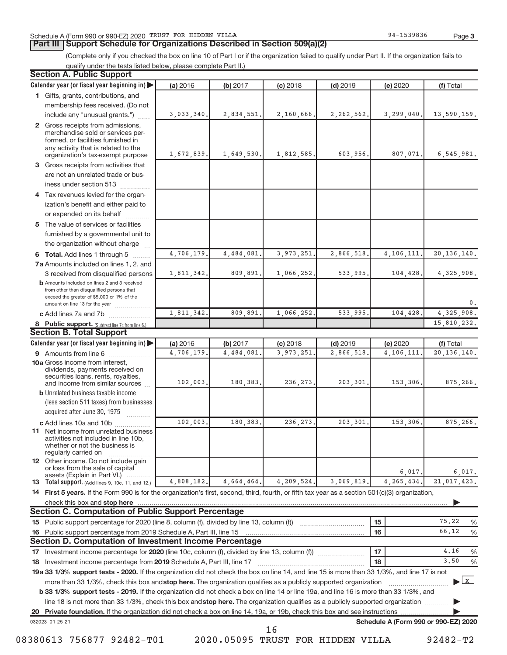**Part III | Support Schedule for Organizations Described in Section 509(a)(2)** 

(Complete only if you checked the box on line 10 of Part I or if the organization failed to qualify under Part II. If the organization fails to qualify under the tests listed below, please complete Part II.)

| <b>Section A. Public Support</b>                                                                                                                                                 |            |            |            |              |                                      |                  |
|----------------------------------------------------------------------------------------------------------------------------------------------------------------------------------|------------|------------|------------|--------------|--------------------------------------|------------------|
| Calendar year (or fiscal year beginning in)                                                                                                                                      | (a) 2016   | (b) 2017   | $(c)$ 2018 | $(d)$ 2019   | (e) 2020                             | (f) Total        |
| 1 Gifts, grants, contributions, and                                                                                                                                              |            |            |            |              |                                      |                  |
| membership fees received. (Do not                                                                                                                                                |            |            |            |              |                                      |                  |
| include any "unusual grants.")                                                                                                                                                   | 3,033,340. | 2,834,551. | 2,160,666. | 2, 262, 562. | 3,299,040.                           | 13,590,159.      |
| 2 Gross receipts from admissions,<br>merchandise sold or services per-<br>formed, or facilities furnished in<br>any activity that is related to the                              |            |            |            |              |                                      |                  |
| organization's tax-exempt purpose                                                                                                                                                | 1,672,839. | 1,649,530. | 1,812,585. | 603,956.     | 807,071.                             | 6,545,981.       |
| 3 Gross receipts from activities that                                                                                                                                            |            |            |            |              |                                      |                  |
| are not an unrelated trade or bus-                                                                                                                                               |            |            |            |              |                                      |                  |
| iness under section 513                                                                                                                                                          |            |            |            |              |                                      |                  |
| 4 Tax revenues levied for the organ-                                                                                                                                             |            |            |            |              |                                      |                  |
| ization's benefit and either paid to<br>or expended on its behalf                                                                                                                |            |            |            |              |                                      |                  |
| 5 The value of services or facilities                                                                                                                                            |            |            |            |              |                                      |                  |
| furnished by a governmental unit to                                                                                                                                              |            |            |            |              |                                      |                  |
| the organization without charge                                                                                                                                                  |            |            |            |              |                                      |                  |
| 6 Total. Add lines 1 through 5                                                                                                                                                   | 4,706,179. | 4,484,081  | 3,973,251  | 2,866,518    | 4, 106, 111                          | 20, 136, 140.    |
| 7a Amounts included on lines 1, 2, and                                                                                                                                           |            |            |            |              |                                      |                  |
| 3 received from disqualified persons                                                                                                                                             | 1,811,342. | 809,891.   | 1,066,252. | 533,995.     | 104,428                              | 4,325,908.       |
| <b>b</b> Amounts included on lines 2 and 3 received<br>from other than disqualified persons that<br>exceed the greater of \$5,000 or 1% of the<br>amount on line 13 for the year |            |            |            |              |                                      | 0.               |
| c Add lines 7a and 7b                                                                                                                                                            | 1,811,342. | 809,891    | 1,066,252  | 533,995      | 104,428                              | 4,325,908.       |
| 8 Public support. (Subtract line 7c from line 6.)                                                                                                                                |            |            |            |              |                                      | 15,810,232.      |
| <b>Section B. Total Support</b>                                                                                                                                                  |            |            |            |              |                                      |                  |
| Calendar year (or fiscal year beginning in)                                                                                                                                      | (a) 2016   | (b) 2017   | $(c)$ 2018 | $(d)$ 2019   | (e) 2020                             | (f) Total        |
| <b>9</b> Amounts from line 6                                                                                                                                                     | 4,706,179  | 4,484,081  | 3,973,251  | 2,866,518    | 4,106,111                            | 20, 136, 140.    |
| <b>10a</b> Gross income from interest,<br>dividends, payments received on<br>securities loans, rents, royalties,                                                                 |            |            |            |              |                                      |                  |
| and income from similar sources<br><b>b</b> Unrelated business taxable income                                                                                                    | 102,003.   | 180,383.   | 236, 273   | 203,301.     | 153,306                              | 875,266.         |
| (less section 511 taxes) from businesses<br>acquired after June 30, 1975                                                                                                         |            |            |            |              |                                      |                  |
| .                                                                                                                                                                                | 102,003    | 180,383    | 236, 273   | 203,301      | 153,306                              | 875,266.         |
| c Add lines 10a and 10b<br>11 Net income from unrelated business<br>activities not included in line 10b,<br>whether or not the business is<br>regularly carried on               |            |            |            |              |                                      |                  |
| 12 Other income. Do not include gain<br>or loss from the sale of capital<br>assets (Explain in Part VI.)                                                                         |            |            |            |              | 6,017.                               | 6,017.           |
| <b>13</b> Total support. (Add lines 9, 10c, 11, and 12.)                                                                                                                         | 4,808,182. | 4,664,464. | 4,209,524. | 3,069,819    | 4, 265, 434.                         | 21,017,423.      |
| 14 First 5 years. If the Form 990 is for the organization's first, second, third, fourth, or fifth tax year as a section 501(c)(3) organization,                                 |            |            |            |              |                                      |                  |
| check this box and stop here                                                                                                                                                     |            |            |            |              |                                      |                  |
| <b>Section C. Computation of Public Support Percentage</b>                                                                                                                       |            |            |            |              |                                      |                  |
|                                                                                                                                                                                  |            |            |            |              | 15                                   | 75.22<br>℅       |
| 16 Public support percentage from 2019 Schedule A, Part III, line 15                                                                                                             |            |            |            |              | 16                                   | 66.12<br>%       |
| <b>Section D. Computation of Investment Income Percentage</b>                                                                                                                    |            |            |            |              |                                      |                  |
| 17 Investment income percentage for 2020 (line 10c, column (f), divided by line 13, column (f))                                                                                  |            |            |            |              | 17                                   | 4.16<br>%        |
| 18 Investment income percentage from 2019 Schedule A, Part III, line 17                                                                                                          |            |            |            |              | 18                                   | 3,50<br>%        |
| 19a 33 1/3% support tests - 2020. If the organization did not check the box on line 14, and line 15 is more than 33 1/3%, and line 17 is not                                     |            |            |            |              |                                      |                  |
| more than 33 1/3%, check this box and stop here. The organization qualifies as a publicly supported organization                                                                 |            |            |            |              |                                      | $\,$ X $\,$<br>▶ |
| b 33 1/3% support tests - 2019. If the organization did not check a box on line 14 or line 19a, and line 16 is more than 33 1/3%, and                                            |            |            |            |              |                                      |                  |
| line 18 is not more than 33 1/3%, check this box and stop here. The organization qualifies as a publicly supported organization                                                  |            |            |            |              |                                      |                  |
|                                                                                                                                                                                  |            |            |            |              |                                      |                  |
| 032023 01-25-21                                                                                                                                                                  |            |            | 16         |              | Schedule A (Form 990 or 990-EZ) 2020 |                  |

08380613 756877 92482-T01 2020.05095 TRUST FOR HIDDEN VILLA 92482-T2

**Page 3**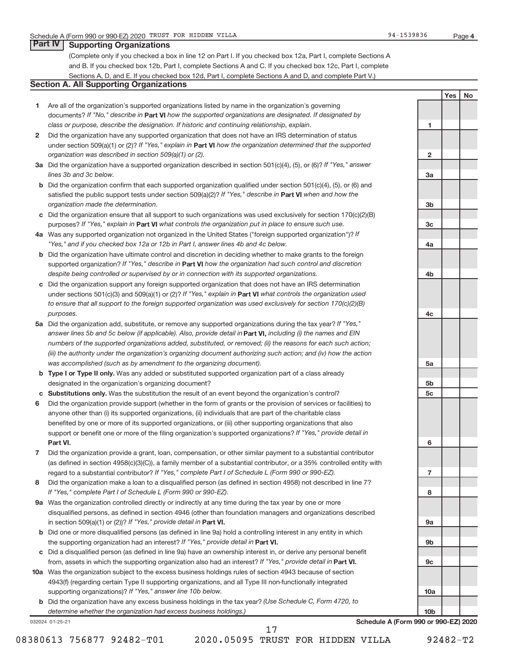### **Part IV Supporting Organizations**

(Complete only if you checked a box in line 12 on Part I. If you checked box 12a, Part I, complete Sections A and B. If you checked box 12b, Part I, complete Sections A and C. If you checked box 12c, Part I, complete Sections A, D, and E. If you checked box 12d, Part I, complete Sections A and D, and complete Part V.)

## **Section A. All Supporting Organizations**

- **1** Are all of the organization's supported organizations listed by name in the organization's governing documents? If "No," describe in Part VI how the supported organizations are designated. If designated by *class or purpose, describe the designation. If historic and continuing relationship, explain.*
- **2** Did the organization have any supported organization that does not have an IRS determination of status under section 509(a)(1) or (2)? If "Yes," explain in Part **VI** how the organization determined that the supported *organization was described in section 509(a)(1) or (2).*
- **3a** Did the organization have a supported organization described in section 501(c)(4), (5), or (6)? If "Yes," answer *lines 3b and 3c below.*
- **b** Did the organization confirm that each supported organization qualified under section 501(c)(4), (5), or (6) and satisfied the public support tests under section 509(a)(2)? If "Yes," describe in Part VI when and how the *organization made the determination.*
- **c** Did the organization ensure that all support to such organizations was used exclusively for section 170(c)(2)(B) purposes? If "Yes," explain in Part VI what controls the organization put in place to ensure such use.
- **4 a** *If* Was any supported organization not organized in the United States ("foreign supported organization")? *"Yes," and if you checked box 12a or 12b in Part I, answer lines 4b and 4c below.*
- **b** Did the organization have ultimate control and discretion in deciding whether to make grants to the foreign supported organization? If "Yes," describe in Part VI how the organization had such control and discretion *despite being controlled or supervised by or in connection with its supported organizations.*
- **c** Did the organization support any foreign supported organization that does not have an IRS determination under sections 501(c)(3) and 509(a)(1) or (2)? If "Yes," explain in Part VI what controls the organization used *to ensure that all support to the foreign supported organization was used exclusively for section 170(c)(2)(B) purposes.*
- **5a** Did the organization add, substitute, or remove any supported organizations during the tax year? If "Yes," answer lines 5b and 5c below (if applicable). Also, provide detail in **Part VI,** including (i) the names and EIN *numbers of the supported organizations added, substituted, or removed; (ii) the reasons for each such action; (iii) the authority under the organization's organizing document authorizing such action; and (iv) how the action was accomplished (such as by amendment to the organizing document).*
- **b** Type I or Type II only. Was any added or substituted supported organization part of a class already designated in the organization's organizing document?
- **c Substitutions only.**  Was the substitution the result of an event beyond the organization's control?
- **6** Did the organization provide support (whether in the form of grants or the provision of services or facilities) to **Part VI.** support or benefit one or more of the filing organization's supported organizations? If "Yes," provide detail in anyone other than (i) its supported organizations, (ii) individuals that are part of the charitable class benefited by one or more of its supported organizations, or (iii) other supporting organizations that also
- **7** Did the organization provide a grant, loan, compensation, or other similar payment to a substantial contributor regard to a substantial contributor? If "Yes," complete Part I of Schedule L (Form 990 or 990-EZ). (as defined in section 4958(c)(3)(C)), a family member of a substantial contributor, or a 35% controlled entity with
- **8** Did the organization make a loan to a disqualified person (as defined in section 4958) not described in line 7? *If "Yes," complete Part I of Schedule L (Form 990 or 990-EZ).*
- **9 a** Was the organization controlled directly or indirectly at any time during the tax year by one or more in section 509(a)(1) or (2))? If "Yes," provide detail in **Part VI.** disqualified persons, as defined in section 4946 (other than foundation managers and organizations described
- **b** Did one or more disqualified persons (as defined in line 9a) hold a controlling interest in any entity in which the supporting organization had an interest? If "Yes," provide detail in Part VI.
- **c** Did a disqualified person (as defined in line 9a) have an ownership interest in, or derive any personal benefit from, assets in which the supporting organization also had an interest? If "Yes," provide detail in Part VI.
- **10 a** Was the organization subject to the excess business holdings rules of section 4943 because of section supporting organizations)? If "Yes," answer line 10b below. 4943(f) (regarding certain Type II supporting organizations, and all Type III non-functionally integrated
	- **b** Did the organization have any excess business holdings in the tax year? (Use Schedule C, Form 4720, to *determine whether the organization had excess business holdings.)*

032024 01-25-21

**Schedule A (Form 990 or 990-EZ) 2020**

17

**1**

**2**

**3a**

**3b**

**3c**

**4a**

**4b**

**4c**

**5a**

**5b 5c**

**6**

**7**

**8**

**9a**

**9b**

**9c**

**10a**

**10b**

**Yes No**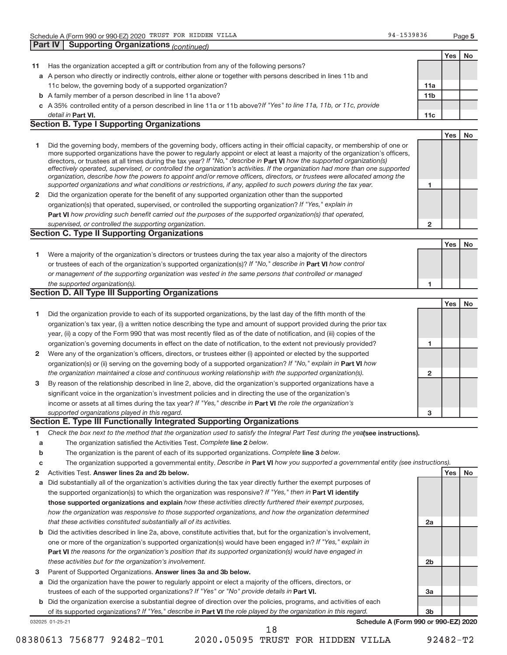|              | <b>Part IV Supporting Organizations (continued)</b>                                                                                                                                                                                                                                                                                                                                                                                                                                                                                                                                                                                                                                                                                                                      |                         |     |    |
|--------------|--------------------------------------------------------------------------------------------------------------------------------------------------------------------------------------------------------------------------------------------------------------------------------------------------------------------------------------------------------------------------------------------------------------------------------------------------------------------------------------------------------------------------------------------------------------------------------------------------------------------------------------------------------------------------------------------------------------------------------------------------------------------------|-------------------------|-----|----|
|              |                                                                                                                                                                                                                                                                                                                                                                                                                                                                                                                                                                                                                                                                                                                                                                          |                         | Yes | No |
| 11           | Has the organization accepted a gift or contribution from any of the following persons?                                                                                                                                                                                                                                                                                                                                                                                                                                                                                                                                                                                                                                                                                  |                         |     |    |
|              | a A person who directly or indirectly controls, either alone or together with persons described in lines 11b and                                                                                                                                                                                                                                                                                                                                                                                                                                                                                                                                                                                                                                                         |                         |     |    |
|              | 11c below, the governing body of a supported organization?                                                                                                                                                                                                                                                                                                                                                                                                                                                                                                                                                                                                                                                                                                               | 11a                     |     |    |
|              | <b>b</b> A family member of a person described in line 11a above?                                                                                                                                                                                                                                                                                                                                                                                                                                                                                                                                                                                                                                                                                                        | 11 <sub>b</sub>         |     |    |
|              | c A 35% controlled entity of a person described in line 11a or 11b above?If "Yes" to line 11a, 11b, or 11c, provide                                                                                                                                                                                                                                                                                                                                                                                                                                                                                                                                                                                                                                                      |                         |     |    |
|              | detail in Part VI.                                                                                                                                                                                                                                                                                                                                                                                                                                                                                                                                                                                                                                                                                                                                                       | 11c                     |     |    |
|              | <b>Section B. Type I Supporting Organizations</b>                                                                                                                                                                                                                                                                                                                                                                                                                                                                                                                                                                                                                                                                                                                        |                         |     |    |
|              |                                                                                                                                                                                                                                                                                                                                                                                                                                                                                                                                                                                                                                                                                                                                                                          |                         | Yes | No |
| 1            | Did the governing body, members of the governing body, officers acting in their official capacity, or membership of one or<br>more supported organizations have the power to regularly appoint or elect at least a majority of the organization's officers,<br>directors, or trustees at all times during the tax year? If "No," describe in Part VI how the supported organization(s)<br>effectively operated, supervised, or controlled the organization's activities. If the organization had more than one supported<br>organization, describe how the powers to appoint and/or remove officers, directors, or trustees were allocated among the<br>supported organizations and what conditions or restrictions, if any, applied to such powers during the tax year. | 1                       |     |    |
| $\mathbf{2}$ | Did the organization operate for the benefit of any supported organization other than the supported                                                                                                                                                                                                                                                                                                                                                                                                                                                                                                                                                                                                                                                                      |                         |     |    |
|              | organization(s) that operated, supervised, or controlled the supporting organization? If "Yes," explain in                                                                                                                                                                                                                                                                                                                                                                                                                                                                                                                                                                                                                                                               |                         |     |    |
|              | <b>Part VI</b> how providing such benefit carried out the purposes of the supported organization(s) that operated.                                                                                                                                                                                                                                                                                                                                                                                                                                                                                                                                                                                                                                                       |                         |     |    |
|              | supervised, or controlled the supporting organization.                                                                                                                                                                                                                                                                                                                                                                                                                                                                                                                                                                                                                                                                                                                   | $\overline{\mathbf{c}}$ |     |    |
|              | <b>Section C. Type II Supporting Organizations</b>                                                                                                                                                                                                                                                                                                                                                                                                                                                                                                                                                                                                                                                                                                                       |                         |     |    |
|              |                                                                                                                                                                                                                                                                                                                                                                                                                                                                                                                                                                                                                                                                                                                                                                          |                         | Yes | No |
| 1            | Were a majority of the organization's directors or trustees during the tax year also a majority of the directors<br>or trustees of each of the organization's supported organization(s)? If "No," describe in Part VI how control<br>or management of the supporting organization was vested in the same persons that controlled or managed<br>the supported organization(s).                                                                                                                                                                                                                                                                                                                                                                                            | 1                       |     |    |
|              | <b>Section D. All Type III Supporting Organizations</b>                                                                                                                                                                                                                                                                                                                                                                                                                                                                                                                                                                                                                                                                                                                  |                         |     |    |
|              |                                                                                                                                                                                                                                                                                                                                                                                                                                                                                                                                                                                                                                                                                                                                                                          |                         | Yes | No |
| 1            | Did the organization provide to each of its supported organizations, by the last day of the fifth month of the                                                                                                                                                                                                                                                                                                                                                                                                                                                                                                                                                                                                                                                           |                         |     |    |
|              | organization's tax year, (i) a written notice describing the type and amount of support provided during the prior tax                                                                                                                                                                                                                                                                                                                                                                                                                                                                                                                                                                                                                                                    |                         |     |    |
|              | year, (ii) a copy of the Form 990 that was most recently filed as of the date of notification, and (iii) copies of the                                                                                                                                                                                                                                                                                                                                                                                                                                                                                                                                                                                                                                                   |                         |     |    |
|              | organization's governing documents in effect on the date of notification, to the extent not previously provided?                                                                                                                                                                                                                                                                                                                                                                                                                                                                                                                                                                                                                                                         | 1                       |     |    |
| 2            | Were any of the organization's officers, directors, or trustees either (i) appointed or elected by the supported                                                                                                                                                                                                                                                                                                                                                                                                                                                                                                                                                                                                                                                         |                         |     |    |
|              | organization(s) or (ii) serving on the governing body of a supported organization? If "No," explain in Part VI how                                                                                                                                                                                                                                                                                                                                                                                                                                                                                                                                                                                                                                                       |                         |     |    |
|              | the organization maintained a close and continuous working relationship with the supported organization(s).                                                                                                                                                                                                                                                                                                                                                                                                                                                                                                                                                                                                                                                              | 2                       |     |    |
| 3            | By reason of the relationship described in line 2, above, did the organization's supported organizations have a                                                                                                                                                                                                                                                                                                                                                                                                                                                                                                                                                                                                                                                          |                         |     |    |
|              | significant voice in the organization's investment policies and in directing the use of the organization's                                                                                                                                                                                                                                                                                                                                                                                                                                                                                                                                                                                                                                                               |                         |     |    |
|              | income or assets at all times during the tax year? If "Yes," describe in Part VI the role the organization's                                                                                                                                                                                                                                                                                                                                                                                                                                                                                                                                                                                                                                                             |                         |     |    |
|              | supported organizations played in this regard.                                                                                                                                                                                                                                                                                                                                                                                                                                                                                                                                                                                                                                                                                                                           | 3                       |     |    |
|              | Section E. Type III Functionally Integrated Supporting Organizations                                                                                                                                                                                                                                                                                                                                                                                                                                                                                                                                                                                                                                                                                                     |                         |     |    |
| 1            | Check the box next to the method that the organization used to satisfy the Integral Part Test during the yealsee instructions).                                                                                                                                                                                                                                                                                                                                                                                                                                                                                                                                                                                                                                          |                         |     |    |
| a            | The organization satisfied the Activities Test. Complete line 2 below.                                                                                                                                                                                                                                                                                                                                                                                                                                                                                                                                                                                                                                                                                                   |                         |     |    |
| b            | The organization is the parent of each of its supported organizations. Complete line 3 below.                                                                                                                                                                                                                                                                                                                                                                                                                                                                                                                                                                                                                                                                            |                         |     |    |
| c            | The organization supported a governmental entity. Describe in Part VI how you supported a governmental entity (see instructions).                                                                                                                                                                                                                                                                                                                                                                                                                                                                                                                                                                                                                                        |                         |     |    |
| 2            | Activities Test. Answer lines 2a and 2b below.                                                                                                                                                                                                                                                                                                                                                                                                                                                                                                                                                                                                                                                                                                                           |                         | Yes | No |
| a            | Did substantially all of the organization's activities during the tax year directly further the exempt purposes of                                                                                                                                                                                                                                                                                                                                                                                                                                                                                                                                                                                                                                                       |                         |     |    |
|              | the supported organization(s) to which the organization was responsive? If "Yes," then in Part VI identify                                                                                                                                                                                                                                                                                                                                                                                                                                                                                                                                                                                                                                                               |                         |     |    |
|              | those supported organizations and explain how these activities directly furthered their exempt purposes,                                                                                                                                                                                                                                                                                                                                                                                                                                                                                                                                                                                                                                                                 |                         |     |    |
|              | how the organization was responsive to those supported organizations, and how the organization determined                                                                                                                                                                                                                                                                                                                                                                                                                                                                                                                                                                                                                                                                |                         |     |    |
|              | that these activities constituted substantially all of its activities.                                                                                                                                                                                                                                                                                                                                                                                                                                                                                                                                                                                                                                                                                                   | 2a                      |     |    |
| b            | Did the activities described in line 2a, above, constitute activities that, but for the organization's involvement,                                                                                                                                                                                                                                                                                                                                                                                                                                                                                                                                                                                                                                                      |                         |     |    |
|              | one or more of the organization's supported organization(s) would have been engaged in? If "Yes," explain in                                                                                                                                                                                                                                                                                                                                                                                                                                                                                                                                                                                                                                                             |                         |     |    |
|              | <b>Part VI</b> the reasons for the organization's position that its supported organization(s) would have engaged in<br>these activities but for the organization's involvement.                                                                                                                                                                                                                                                                                                                                                                                                                                                                                                                                                                                          | 2b                      |     |    |
|              |                                                                                                                                                                                                                                                                                                                                                                                                                                                                                                                                                                                                                                                                                                                                                                          |                         |     |    |

- 3 Parent of Supported Organizations. Answer lines 3a and 3b below.
- **a** Did the organization have the power to regularly appoint or elect a majority of the officers, directors, or trustees of each of the supported organizations? If "Yes" or "No" provide details in Part VI.
- 032025 01-25-21 **b** Did the organization exercise a substantial degree of direction over the policies, programs, and activities of each of its supported organizations? If "Yes," describe in Part VI the role played by the organization in this regard.

**Schedule A (Form 990 or 990-EZ) 2020**

**3a**

**3b**

18

08380613 756877 92482-T01 2020.05095 TRUST FOR HIDDEN VILLA 92482-T2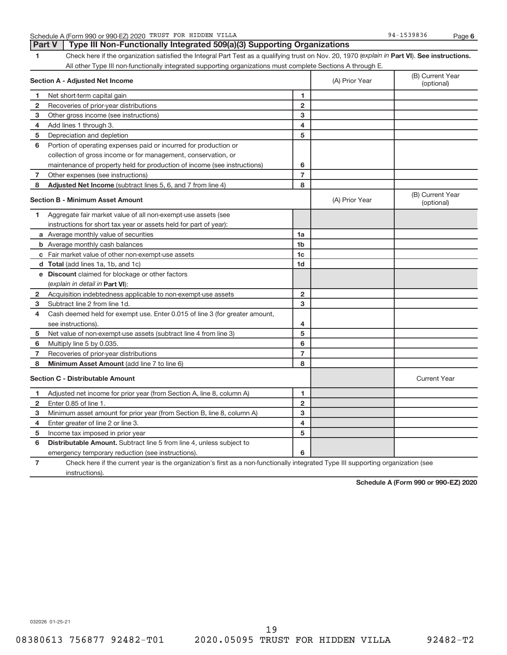Schedule A (Form 990 or 990-EZ) 2020 TRUST FOR HIDDEN VILLA 8 and the state of the state of the 94-1539836 Page

**6**

**1** Check here if the organization satisfied the Integral Part Test as a qualifying trust on Nov. 20, 1970 (explain in Part VI). See instructions. All other Type III non-functionally integrated supporting organizations must complete Sections A through E. **Part V | Type III Non-Functionally Integrated 509(a)(3) Supporting Organizations** 

|                | <b>Section A - Adjusted Net Income</b>                                                                                            | (A) Prior Year | (B) Current Year<br>(optional) |                                |
|----------------|-----------------------------------------------------------------------------------------------------------------------------------|----------------|--------------------------------|--------------------------------|
| 1              | Net short-term capital gain                                                                                                       | 1              |                                |                                |
| $\mathbf{2}$   | Recoveries of prior-year distributions                                                                                            | $\overline{2}$ |                                |                                |
| з              | Other gross income (see instructions)                                                                                             | 3              |                                |                                |
| 4              | Add lines 1 through 3.                                                                                                            | 4              |                                |                                |
| 5              | Depreciation and depletion                                                                                                        | 5              |                                |                                |
| 6              | Portion of operating expenses paid or incurred for production or                                                                  |                |                                |                                |
|                | collection of gross income or for management, conservation, or                                                                    |                |                                |                                |
|                | maintenance of property held for production of income (see instructions)                                                          | 6              |                                |                                |
| 7              | Other expenses (see instructions)                                                                                                 | $\overline{7}$ |                                |                                |
| 8              | Adjusted Net Income (subtract lines 5, 6, and 7 from line 4)                                                                      | 8              |                                |                                |
|                | <b>Section B - Minimum Asset Amount</b>                                                                                           |                | (A) Prior Year                 | (B) Current Year<br>(optional) |
| 1              | Aggregate fair market value of all non-exempt-use assets (see                                                                     |                |                                |                                |
|                | instructions for short tax year or assets held for part of year):                                                                 |                |                                |                                |
|                | a Average monthly value of securities                                                                                             | 1a             |                                |                                |
|                | <b>b</b> Average monthly cash balances                                                                                            | 1 <sub>b</sub> |                                |                                |
|                | c Fair market value of other non-exempt-use assets                                                                                | 1c             |                                |                                |
|                | d Total (add lines 1a, 1b, and 1c)                                                                                                | 1 <sub>d</sub> |                                |                                |
|                | e Discount claimed for blockage or other factors                                                                                  |                |                                |                                |
|                | (explain in detail in <b>Part VI</b> ):                                                                                           |                |                                |                                |
| 2              | Acquisition indebtedness applicable to non-exempt-use assets                                                                      | $\overline{2}$ |                                |                                |
| 3              | Subtract line 2 from line 1d.                                                                                                     | 3              |                                |                                |
| 4              | Cash deemed held for exempt use. Enter 0.015 of line 3 (for greater amount,                                                       |                |                                |                                |
|                | see instructions).                                                                                                                | 4              |                                |                                |
| 5              | Net value of non-exempt-use assets (subtract line 4 from line 3)                                                                  | 5              |                                |                                |
| 6              | Multiply line 5 by 0.035.                                                                                                         | 6              |                                |                                |
| $\overline{7}$ | Recoveries of prior-year distributions                                                                                            | $\overline{7}$ |                                |                                |
| 8              | Minimum Asset Amount (add line 7 to line 6)                                                                                       | 8              |                                |                                |
|                | <b>Section C - Distributable Amount</b>                                                                                           |                |                                | <b>Current Year</b>            |
| 1              | Adjusted net income for prior year (from Section A, line 8, column A)                                                             | 1              |                                |                                |
| 2              | Enter 0.85 of line 1.                                                                                                             | $\overline{2}$ |                                |                                |
| 3              | Minimum asset amount for prior year (from Section B, line 8, column A)                                                            | 3              |                                |                                |
| 4              | Enter greater of line 2 or line 3.                                                                                                | 4              |                                |                                |
| 5              | Income tax imposed in prior year                                                                                                  | 5              |                                |                                |
| 6              | <b>Distributable Amount.</b> Subtract line 5 from line 4, unless subject to                                                       |                |                                |                                |
|                | emergency temporary reduction (see instructions).                                                                                 | 6              |                                |                                |
| 7              | Check here if the current year is the organization's first as a non-functionally integrated Type III supporting organization (see |                |                                |                                |

instructions).

**Schedule A (Form 990 or 990-EZ) 2020**

032026 01-25-21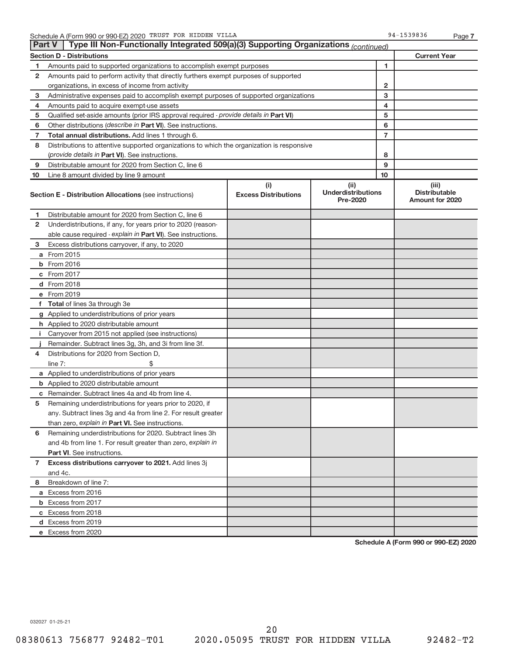|                | Type III Non-Functionally Integrated 509(a)(3) Supporting Organizations (continued)<br><b>Part V</b> |                             |                                       |                |                                                |  |  |  |  |  |
|----------------|------------------------------------------------------------------------------------------------------|-----------------------------|---------------------------------------|----------------|------------------------------------------------|--|--|--|--|--|
|                | <b>Section D - Distributions</b>                                                                     |                             |                                       |                | <b>Current Year</b>                            |  |  |  |  |  |
| 1              | 1<br>Amounts paid to supported organizations to accomplish exempt purposes                           |                             |                                       |                |                                                |  |  |  |  |  |
| 2              | Amounts paid to perform activity that directly furthers exempt purposes of supported                 |                             |                                       |                |                                                |  |  |  |  |  |
|                | organizations, in excess of income from activity                                                     |                             | 2                                     |                |                                                |  |  |  |  |  |
| 3              | Administrative expenses paid to accomplish exempt purposes of supported organizations                | 3                           |                                       |                |                                                |  |  |  |  |  |
| 4              | Amounts paid to acquire exempt-use assets                                                            |                             |                                       | 4              |                                                |  |  |  |  |  |
| 5              | Qualified set-aside amounts (prior IRS approval required - provide details in Part VI)               |                             |                                       | 5              |                                                |  |  |  |  |  |
| 6              | Other distributions (describe in Part VI). See instructions.                                         |                             |                                       | 6              |                                                |  |  |  |  |  |
| 7              | Total annual distributions. Add lines 1 through 6.                                                   |                             |                                       | $\overline{7}$ |                                                |  |  |  |  |  |
| 8              | Distributions to attentive supported organizations to which the organization is responsive           |                             |                                       |                |                                                |  |  |  |  |  |
|                | (provide details in Part VI). See instructions.                                                      |                             |                                       | 8              |                                                |  |  |  |  |  |
| 9              | Distributable amount for 2020 from Section C, line 6                                                 |                             |                                       | 9              |                                                |  |  |  |  |  |
| 10             | Line 8 amount divided by line 9 amount                                                               |                             |                                       | 10             |                                                |  |  |  |  |  |
|                |                                                                                                      | (i)                         | (ii)                                  |                | (iii)                                          |  |  |  |  |  |
|                | <b>Section E - Distribution Allocations (see instructions)</b>                                       | <b>Excess Distributions</b> | <b>Underdistributions</b><br>Pre-2020 |                | <b>Distributable</b><br><b>Amount for 2020</b> |  |  |  |  |  |
| 1              | Distributable amount for 2020 from Section C, line 6                                                 |                             |                                       |                |                                                |  |  |  |  |  |
| 2              | Underdistributions, if any, for years prior to 2020 (reason-                                         |                             |                                       |                |                                                |  |  |  |  |  |
|                | able cause required - explain in Part VI). See instructions.                                         |                             |                                       |                |                                                |  |  |  |  |  |
| 3              | Excess distributions carryover, if any, to 2020                                                      |                             |                                       |                |                                                |  |  |  |  |  |
|                | a From 2015                                                                                          |                             |                                       |                |                                                |  |  |  |  |  |
|                | <b>b</b> From 2016                                                                                   |                             |                                       |                |                                                |  |  |  |  |  |
|                | c From 2017                                                                                          |                             |                                       |                |                                                |  |  |  |  |  |
|                | d From 2018                                                                                          |                             |                                       |                |                                                |  |  |  |  |  |
|                | e From 2019                                                                                          |                             |                                       |                |                                                |  |  |  |  |  |
|                | f Total of lines 3a through 3e                                                                       |                             |                                       |                |                                                |  |  |  |  |  |
|                | g Applied to underdistributions of prior years                                                       |                             |                                       |                |                                                |  |  |  |  |  |
|                | h Applied to 2020 distributable amount                                                               |                             |                                       |                |                                                |  |  |  |  |  |
| Ť.             | Carryover from 2015 not applied (see instructions)                                                   |                             |                                       |                |                                                |  |  |  |  |  |
|                | Remainder. Subtract lines 3g, 3h, and 3i from line 3f.                                               |                             |                                       |                |                                                |  |  |  |  |  |
| 4              | Distributions for 2020 from Section D,                                                               |                             |                                       |                |                                                |  |  |  |  |  |
|                | line $7:$                                                                                            |                             |                                       |                |                                                |  |  |  |  |  |
|                | a Applied to underdistributions of prior years                                                       |                             |                                       |                |                                                |  |  |  |  |  |
|                | <b>b</b> Applied to 2020 distributable amount                                                        |                             |                                       |                |                                                |  |  |  |  |  |
|                | c Remainder. Subtract lines 4a and 4b from line 4.                                                   |                             |                                       |                |                                                |  |  |  |  |  |
| 5              | Remaining underdistributions for years prior to 2020, if                                             |                             |                                       |                |                                                |  |  |  |  |  |
|                | any. Subtract lines 3g and 4a from line 2. For result greater                                        |                             |                                       |                |                                                |  |  |  |  |  |
|                | than zero, explain in Part VI. See instructions.                                                     |                             |                                       |                |                                                |  |  |  |  |  |
| 6              | Remaining underdistributions for 2020. Subtract lines 3h                                             |                             |                                       |                |                                                |  |  |  |  |  |
|                | and 4b from line 1. For result greater than zero, explain in                                         |                             |                                       |                |                                                |  |  |  |  |  |
|                | <b>Part VI.</b> See instructions.                                                                    |                             |                                       |                |                                                |  |  |  |  |  |
| $\overline{7}$ | Excess distributions carryover to 2021. Add lines 3j                                                 |                             |                                       |                |                                                |  |  |  |  |  |
|                | and 4c.                                                                                              |                             |                                       |                |                                                |  |  |  |  |  |
| 8              | Breakdown of line 7:                                                                                 |                             |                                       |                |                                                |  |  |  |  |  |
|                | a Excess from 2016                                                                                   |                             |                                       |                |                                                |  |  |  |  |  |
|                | <b>b</b> Excess from 2017                                                                            |                             |                                       |                |                                                |  |  |  |  |  |
|                | c Excess from 2018                                                                                   |                             |                                       |                |                                                |  |  |  |  |  |
|                |                                                                                                      |                             |                                       |                |                                                |  |  |  |  |  |
|                | d Excess from 2019<br>e Excess from 2020                                                             |                             |                                       |                |                                                |  |  |  |  |  |
|                |                                                                                                      |                             |                                       |                |                                                |  |  |  |  |  |

**Schedule A (Form 990 or 990-EZ) 2020**

032027 01-25-21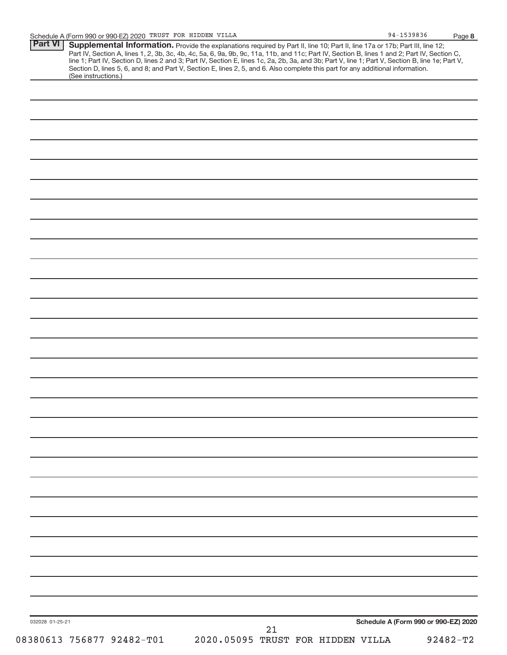|                 | (See instructions.) | <b>Supplemental Information.</b> Provide the explanations required by Part II, line 10; Part II, line 17a or 17b; Part III, line 12;<br>Part IV, Section A, lines 1, 2, 3b, 3c, 4b, 4c, 5a, 6, 9a, 9b, 9c, 11a, 11b, and 11c; Part IV,<br>Section D, lines 5, 6, and 8; and Part V, Section E, lines 2, 5, and 6. Also complete this part for any additional information. |  |  |                                      |  |
|-----------------|---------------------|---------------------------------------------------------------------------------------------------------------------------------------------------------------------------------------------------------------------------------------------------------------------------------------------------------------------------------------------------------------------------|--|--|--------------------------------------|--|
|                 |                     |                                                                                                                                                                                                                                                                                                                                                                           |  |  |                                      |  |
|                 |                     |                                                                                                                                                                                                                                                                                                                                                                           |  |  |                                      |  |
|                 |                     |                                                                                                                                                                                                                                                                                                                                                                           |  |  |                                      |  |
|                 |                     |                                                                                                                                                                                                                                                                                                                                                                           |  |  |                                      |  |
|                 |                     |                                                                                                                                                                                                                                                                                                                                                                           |  |  |                                      |  |
|                 |                     |                                                                                                                                                                                                                                                                                                                                                                           |  |  |                                      |  |
|                 |                     |                                                                                                                                                                                                                                                                                                                                                                           |  |  |                                      |  |
|                 |                     |                                                                                                                                                                                                                                                                                                                                                                           |  |  |                                      |  |
|                 |                     |                                                                                                                                                                                                                                                                                                                                                                           |  |  |                                      |  |
|                 |                     |                                                                                                                                                                                                                                                                                                                                                                           |  |  |                                      |  |
|                 |                     |                                                                                                                                                                                                                                                                                                                                                                           |  |  |                                      |  |
|                 |                     |                                                                                                                                                                                                                                                                                                                                                                           |  |  |                                      |  |
|                 |                     |                                                                                                                                                                                                                                                                                                                                                                           |  |  |                                      |  |
|                 |                     |                                                                                                                                                                                                                                                                                                                                                                           |  |  |                                      |  |
|                 |                     |                                                                                                                                                                                                                                                                                                                                                                           |  |  |                                      |  |
|                 |                     |                                                                                                                                                                                                                                                                                                                                                                           |  |  |                                      |  |
|                 |                     |                                                                                                                                                                                                                                                                                                                                                                           |  |  |                                      |  |
|                 |                     |                                                                                                                                                                                                                                                                                                                                                                           |  |  |                                      |  |
|                 |                     |                                                                                                                                                                                                                                                                                                                                                                           |  |  |                                      |  |
|                 |                     |                                                                                                                                                                                                                                                                                                                                                                           |  |  |                                      |  |
|                 |                     |                                                                                                                                                                                                                                                                                                                                                                           |  |  |                                      |  |
|                 |                     |                                                                                                                                                                                                                                                                                                                                                                           |  |  |                                      |  |
|                 |                     |                                                                                                                                                                                                                                                                                                                                                                           |  |  |                                      |  |
|                 |                     |                                                                                                                                                                                                                                                                                                                                                                           |  |  |                                      |  |
|                 |                     |                                                                                                                                                                                                                                                                                                                                                                           |  |  |                                      |  |
|                 |                     |                                                                                                                                                                                                                                                                                                                                                                           |  |  |                                      |  |
|                 |                     |                                                                                                                                                                                                                                                                                                                                                                           |  |  |                                      |  |
|                 |                     |                                                                                                                                                                                                                                                                                                                                                                           |  |  |                                      |  |
|                 |                     |                                                                                                                                                                                                                                                                                                                                                                           |  |  |                                      |  |
|                 |                     |                                                                                                                                                                                                                                                                                                                                                                           |  |  |                                      |  |
|                 |                     |                                                                                                                                                                                                                                                                                                                                                                           |  |  |                                      |  |
|                 |                     |                                                                                                                                                                                                                                                                                                                                                                           |  |  |                                      |  |
|                 |                     |                                                                                                                                                                                                                                                                                                                                                                           |  |  |                                      |  |
|                 |                     |                                                                                                                                                                                                                                                                                                                                                                           |  |  |                                      |  |
|                 |                     |                                                                                                                                                                                                                                                                                                                                                                           |  |  |                                      |  |
| 032028 01-25-21 |                     |                                                                                                                                                                                                                                                                                                                                                                           |  |  | Schedule A (Form 990 or 990-EZ) 2020 |  |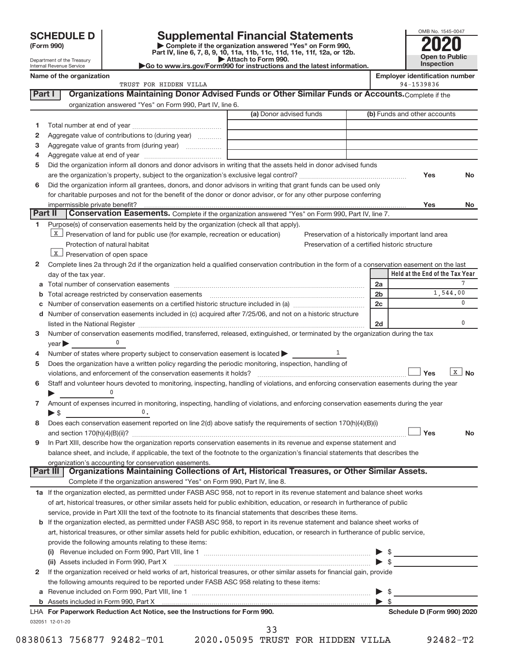Department of the Treasury Internal Revenue Service

| (Form 990) |  |
|------------|--|
|------------|--|

# **SCHEDULE D Supplemental Financial Statements**<br> **Form 990 2020**<br>
Part IV line 6.7.8.9.10, 11a, 11b, 11d, 11d, 11d, 11d, 11d, 20, 07, 12b

**(Form 990) | Complete if the organization answered "Yes" on Form 990, Part IV, line 6, 7, 8, 9, 10, 11a, 11b, 11c, 11d, 11e, 11f, 12a, or 12b.**

**| Attach to Form 990. |Go to www.irs.gov/Form990 for instructions and the latest information.**



| ployer identification nun |
|---------------------------|
|---------------------------|

|         | Name of the organization                                                                                                                                          |                         |              | <b>Employer identification number</b>              |                   |
|---------|-------------------------------------------------------------------------------------------------------------------------------------------------------------------|-------------------------|--------------|----------------------------------------------------|-------------------|
|         | TRUST FOR HIDDEN VILLA<br>Organizations Maintaining Donor Advised Funds or Other Similar Funds or Accounts. Complete if the                                       |                         |              | 94-1539836                                         |                   |
| Part I  |                                                                                                                                                                   |                         |              |                                                    |                   |
|         | organization answered "Yes" on Form 990, Part IV, line 6.                                                                                                         | (a) Donor advised funds |              | (b) Funds and other accounts                       |                   |
|         |                                                                                                                                                                   |                         |              |                                                    |                   |
| 1       |                                                                                                                                                                   |                         |              |                                                    |                   |
| 2       | Aggregate value of contributions to (during year)                                                                                                                 |                         |              |                                                    |                   |
| з       |                                                                                                                                                                   |                         |              |                                                    |                   |
| 4       |                                                                                                                                                                   |                         |              |                                                    |                   |
| 5       | Did the organization inform all donors and donor advisors in writing that the assets held in donor advised funds                                                  |                         |              |                                                    |                   |
|         |                                                                                                                                                                   |                         |              | Yes                                                | No                |
| 6       | Did the organization inform all grantees, donors, and donor advisors in writing that grant funds can be used only                                                 |                         |              |                                                    |                   |
|         | for charitable purposes and not for the benefit of the donor or donor advisor, or for any other purpose conferring                                                |                         |              |                                                    |                   |
| Part II | <b>Conservation Easements.</b> Complete if the organization answered "Yes" on Form 990, Part IV, line 7.                                                          |                         |              | Yes                                                | No                |
| 1       | Purpose(s) of conservation easements held by the organization (check all that apply).                                                                             |                         |              |                                                    |                   |
|         | $X$ Preservation of land for public use (for example, recreation or education)                                                                                    |                         |              | Preservation of a historically important land area |                   |
|         | Protection of natural habitat                                                                                                                                     |                         |              | Preservation of a certified historic structure     |                   |
|         | $X$ Preservation of open space                                                                                                                                    |                         |              |                                                    |                   |
| 2       | Complete lines 2a through 2d if the organization held a qualified conservation contribution in the form of a conservation easement on the last                    |                         |              |                                                    |                   |
|         | day of the tax year.                                                                                                                                              |                         |              | Held at the End of the Tax Year                    |                   |
|         |                                                                                                                                                                   |                         |              | 2a                                                 | 7                 |
| b       |                                                                                                                                                                   |                         |              | 1,544.00<br>2b                                     |                   |
| С       |                                                                                                                                                                   |                         |              | 2 <sub>c</sub>                                     | 0                 |
|         | d Number of conservation easements included in (c) acquired after 7/25/06, and not on a historic structure                                                        |                         |              |                                                    |                   |
|         |                                                                                                                                                                   |                         | 2d           | 0                                                  |                   |
| 3       | Number of conservation easements modified, transferred, released, extinguished, or terminated by the organization during the tax                                  |                         |              |                                                    |                   |
|         | 0<br>$year \rightarrow$                                                                                                                                           |                         |              |                                                    |                   |
| 4       | Number of states where property subject to conservation easement is located $\blacktriangleright$                                                                 |                         | $\mathbf{1}$ |                                                    |                   |
| 5       | Does the organization have a written policy regarding the periodic monitoring, inspection, handling of                                                            |                         |              |                                                    |                   |
|         |                                                                                                                                                                   |                         |              | Yes                                                | $\overline{X}$ No |
| 6       | Staff and volunteer hours devoted to monitoring, inspecting, handling of violations, and enforcing conservation easements during the year                         |                         |              |                                                    |                   |
|         | 0                                                                                                                                                                 |                         |              |                                                    |                   |
| 7       | Amount of expenses incurred in monitoring, inspecting, handling of violations, and enforcing conservation easements during the year                               |                         |              |                                                    |                   |
|         | 0.<br>$\triangleright$ \$                                                                                                                                         |                         |              |                                                    |                   |
| 8       | Does each conservation easement reported on line 2(d) above satisfy the requirements of section 170(h)(4)(B)(i)                                                   |                         |              |                                                    |                   |
|         |                                                                                                                                                                   |                         |              | Yes                                                | No                |
|         | In Part XIII, describe how the organization reports conservation easements in its revenue and expense statement and                                               |                         |              |                                                    |                   |
|         | balance sheet, and include, if applicable, the text of the footnote to the organization's financial statements that describes the                                 |                         |              |                                                    |                   |
|         | organization's accounting for conservation easements.<br>Organizations Maintaining Collections of Art, Historical Treasures, or Other Similar Assets.<br>Part III |                         |              |                                                    |                   |
|         | Complete if the organization answered "Yes" on Form 990, Part IV, line 8.                                                                                         |                         |              |                                                    |                   |
|         | 1a If the organization elected, as permitted under FASB ASC 958, not to report in its revenue statement and balance sheet works                                   |                         |              |                                                    |                   |
|         | of art, historical treasures, or other similar assets held for public exhibition, education, or research in furtherance of public                                 |                         |              |                                                    |                   |
|         | service, provide in Part XIII the text of the footnote to its financial statements that describes these items.                                                    |                         |              |                                                    |                   |
|         | b If the organization elected, as permitted under FASB ASC 958, to report in its revenue statement and balance sheet works of                                     |                         |              |                                                    |                   |
|         | art, historical treasures, or other similar assets held for public exhibition, education, or research in furtherance of public service,                           |                         |              |                                                    |                   |
|         | provide the following amounts relating to these items:                                                                                                            |                         |              |                                                    |                   |
|         |                                                                                                                                                                   |                         |              | $\triangleright$ \$                                |                   |
|         |                                                                                                                                                                   |                         |              | $\triangleright$ \$                                |                   |
| 2       | If the organization received or held works of art, historical treasures, or other similar assets for financial gain, provide                                      |                         |              |                                                    |                   |
|         | the following amounts required to be reported under FASB ASC 958 relating to these items:                                                                         |                         |              |                                                    |                   |
| а       |                                                                                                                                                                   |                         |              |                                                    |                   |
|         |                                                                                                                                                                   |                         |              |                                                    |                   |

|                 | LHA For Paperwork Reduction Act Notice, see the Instructions for Form 990. | Schedule D (Form 990) 2020 |
|-----------------|----------------------------------------------------------------------------|----------------------------|
| 032051 12-01-20 |                                                                            |                            |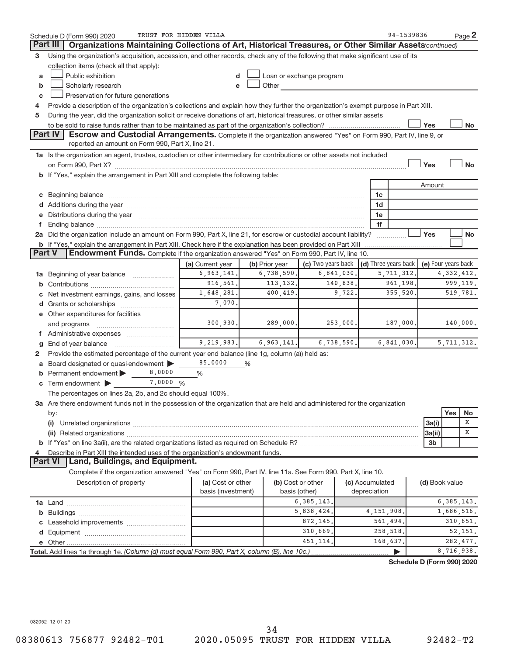|    | Schedule D (Form 990) 2020                                                                                                                                                                                                            | TRUST FOR HIDDEN VILLA |   |                |                          |            |                                      | 94-1539836 |                            |              | Page 2    |
|----|---------------------------------------------------------------------------------------------------------------------------------------------------------------------------------------------------------------------------------------|------------------------|---|----------------|--------------------------|------------|--------------------------------------|------------|----------------------------|--------------|-----------|
|    | Part III<br>Organizations Maintaining Collections of Art, Historical Treasures, or Other Similar Assets (continued)                                                                                                                   |                        |   |                |                          |            |                                      |            |                            |              |           |
| 3  | Using the organization's acquisition, accession, and other records, check any of the following that make significant use of its                                                                                                       |                        |   |                |                          |            |                                      |            |                            |              |           |
|    | collection items (check all that apply):                                                                                                                                                                                              |                        |   |                |                          |            |                                      |            |                            |              |           |
| a  | Public exhibition                                                                                                                                                                                                                     | d                      |   |                | Loan or exchange program |            |                                      |            |                            |              |           |
| b  | Scholarly research                                                                                                                                                                                                                    | e                      |   | Other          |                          |            |                                      |            |                            |              |           |
| c  | Preservation for future generations                                                                                                                                                                                                   |                        |   |                |                          |            |                                      |            |                            |              |           |
| 4  | Provide a description of the organization's collections and explain how they further the organization's exempt purpose in Part XIII.                                                                                                  |                        |   |                |                          |            |                                      |            |                            |              |           |
| 5  | During the year, did the organization solicit or receive donations of art, historical treasures, or other similar assets                                                                                                              |                        |   |                |                          |            |                                      |            |                            |              |           |
|    |                                                                                                                                                                                                                                       |                        |   |                |                          |            |                                      |            | Yes                        |              | No        |
|    | Part IV<br>Escrow and Custodial Arrangements. Complete if the organization answered "Yes" on Form 990, Part IV, line 9, or                                                                                                            |                        |   |                |                          |            |                                      |            |                            |              |           |
|    | reported an amount on Form 990, Part X, line 21.                                                                                                                                                                                      |                        |   |                |                          |            |                                      |            |                            |              |           |
|    | 1a Is the organization an agent, trustee, custodian or other intermediary for contributions or other assets not included                                                                                                              |                        |   |                |                          |            |                                      |            |                            |              |           |
|    | on Form 990, Part X? [11] matter contracts and contracts and contracts are contracted as a function of the set of the set of the set of the set of the set of the set of the set of the set of the set of the set of the set o        |                        |   |                |                          |            |                                      |            | Yes                        |              | <b>No</b> |
|    | b If "Yes," explain the arrangement in Part XIII and complete the following table:                                                                                                                                                    |                        |   |                |                          |            |                                      |            |                            |              |           |
|    |                                                                                                                                                                                                                                       |                        |   |                |                          |            |                                      |            | Amount                     |              |           |
| С  | Beginning balance www.communication.com/multiplication.com/multiplication.com/multiplication.com/multiplicatio                                                                                                                        |                        |   |                |                          |            | 1c                                   |            |                            |              |           |
|    |                                                                                                                                                                                                                                       |                        |   |                |                          |            | 1d                                   |            |                            |              |           |
| е  | Distributions during the year manufactured and an account of the year manufactured and the year manufactured and the year manufactured and the year manufactured and the year manufactured and the year manufactured and the y        |                        |   |                |                          |            | 1e                                   |            |                            |              |           |
| f. |                                                                                                                                                                                                                                       |                        |   |                |                          |            | 1f                                   |            |                            |              |           |
|    | 2a Did the organization include an amount on Form 990, Part X, line 21, for escrow or custodial account liability?                                                                                                                    |                        |   |                |                          |            |                                      |            | Yes                        |              | <b>No</b> |
|    |                                                                                                                                                                                                                                       |                        |   |                |                          |            |                                      |            |                            |              |           |
|    | <b>b</b> If "Yes," explain the arrangement in Part XIII. Check here if the explanation has been provided on Part XIII<br>Part V<br><b>Endowment Funds.</b> Complete if the organization answered "Yes" on Form 990, Part IV, line 10. |                        |   |                |                          |            |                                      |            |                            |              |           |
|    |                                                                                                                                                                                                                                       | (a) Current year       |   | (b) Prior year | (c) Two years back       |            | $\vert$ (d) Three years back $\vert$ |            | (e) Four years back        |              |           |
|    | <b>1a</b> Beginning of year balance <i>manumman</i> .                                                                                                                                                                                 | 6,963,141.             |   | 6,738,590.     |                          | 6,841,030. | 5,711,312.                           |            |                            | 4,332,412.   |           |
| b  |                                                                                                                                                                                                                                       | 916,561.               |   | 113, 132.      |                          | 140,838.   |                                      | 961,198.   |                            |              | 999, 119. |
|    | 1,648,281.<br>400,419.<br>9,722.<br>355,520.<br>Net investment earnings, gains, and losses<br>С                                                                                                                                       |                        |   |                |                          |            |                                      |            |                            |              | 519,781.  |
|    | 7,070.                                                                                                                                                                                                                                |                        |   |                |                          |            |                                      |            |                            |              |           |
|    |                                                                                                                                                                                                                                       |                        |   |                |                          |            |                                      |            |                            |              |           |
|    | e Other expenditures for facilities                                                                                                                                                                                                   |                        |   |                |                          |            |                                      |            |                            |              |           |
|    | 300, 930.<br>289,000.<br>253,000.<br>187,000.                                                                                                                                                                                         |                        |   |                |                          |            |                                      |            |                            |              | 140,000.  |
|    | f Administrative expenses                                                                                                                                                                                                             | 9,219,983.             |   |                |                          |            |                                      | 6,841,030. |                            |              |           |
| g  | End of year balance                                                                                                                                                                                                                   |                        |   | 6,963,141.     |                          | 6,738,590. |                                      |            |                            | 5, 711, 312. |           |
| 2  | Provide the estimated percentage of the current year end balance (line 1g, column (a)) held as:                                                                                                                                       |                        |   |                |                          |            |                                      |            |                            |              |           |
|    | Board designated or quasi-endowment                                                                                                                                                                                                   | 85.0000                | % |                |                          |            |                                      |            |                            |              |           |
|    | 8,0000<br>Permanent endowment                                                                                                                                                                                                         | %                      |   |                |                          |            |                                      |            |                            |              |           |
|    | 7.0000 %<br>$\mathbf c$ Term endowment $\blacktriangleright$                                                                                                                                                                          |                        |   |                |                          |            |                                      |            |                            |              |           |
|    | The percentages on lines 2a, 2b, and 2c should equal 100%.                                                                                                                                                                            |                        |   |                |                          |            |                                      |            |                            |              |           |
|    | 3a Are there endowment funds not in the possession of the organization that are held and administered for the organization                                                                                                            |                        |   |                |                          |            |                                      |            |                            |              |           |
|    | by:                                                                                                                                                                                                                                   |                        |   |                |                          |            |                                      |            |                            | Yes          | No<br>X   |
|    | (i)                                                                                                                                                                                                                                   |                        |   |                |                          |            |                                      |            | 3a(i)                      |              |           |
|    |                                                                                                                                                                                                                                       |                        |   |                |                          |            |                                      |            | 3a(ii)                     |              | X         |
|    |                                                                                                                                                                                                                                       |                        |   |                |                          |            |                                      |            | 3 <sub>b</sub>             |              |           |
| 4  | Describe in Part XIII the intended uses of the organization's endowment funds.                                                                                                                                                        |                        |   |                |                          |            |                                      |            |                            |              |           |
|    | <b>Part VI</b><br>Land, Buildings, and Equipment.                                                                                                                                                                                     |                        |   |                |                          |            |                                      |            |                            |              |           |
|    | Complete if the organization answered "Yes" on Form 990, Part IV, line 11a. See Form 990, Part X, line 10.                                                                                                                            |                        |   |                |                          |            |                                      |            |                            |              |           |
|    | Description of property                                                                                                                                                                                                               | (a) Cost or other      |   |                | (b) Cost or other        |            | (c) Accumulated                      |            | (d) Book value             |              |           |
|    |                                                                                                                                                                                                                                       | basis (investment)     |   |                | basis (other)            |            | depreciation                         |            |                            |              |           |
|    |                                                                                                                                                                                                                                       |                        |   |                | 6, 385, 143.             |            |                                      |            |                            | 6, 385, 143. |           |
|    |                                                                                                                                                                                                                                       |                        |   |                | 5,838,424.               |            | 4, 151, 908.                         |            |                            | 1,686,516.   |           |
|    |                                                                                                                                                                                                                                       |                        |   |                | 872,145.                 |            | 561,494.                             |            |                            |              | 310,651.  |
|    |                                                                                                                                                                                                                                       |                        |   |                | 310,669.                 |            | 258,518.                             |            |                            |              | 52,151.   |
|    |                                                                                                                                                                                                                                       |                        |   |                | 451.114.                 |            | 168,637.                             |            |                            |              | 282,477.  |
|    | Total. Add lines 1a through 1e. (Column (d) must equal Form 990, Part X, column (B), line 10c.)                                                                                                                                       |                        |   |                |                          |            |                                      |            |                            | 8,716,938.   |           |
|    |                                                                                                                                                                                                                                       |                        |   |                |                          |            |                                      |            | Schedule D (Form 990) 2020 |              |           |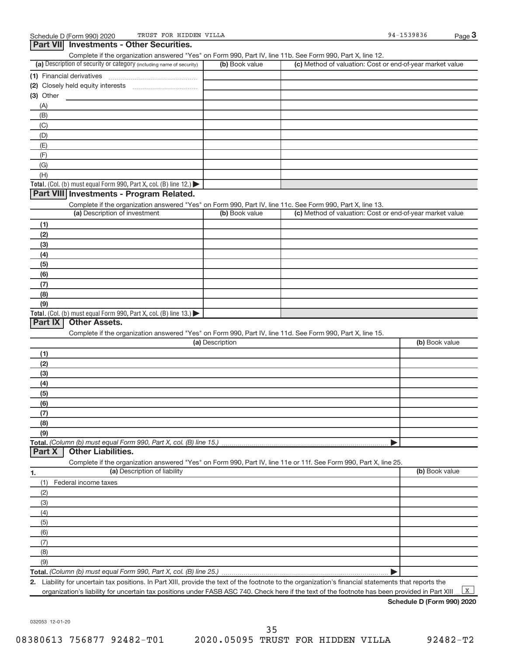| Complete if the organization answered "Yes" on Form 990, Part IV, line 11b. See Form 990, Part X, line 12.<br>(a) Description of security or category (including name of security)<br>(c) Method of valuation: Cost or end-of-year market value<br>(b) Book value<br>(1) Financial derivatives<br>$(3)$ Other<br>(A)<br>(B)<br>(C)<br>(D)<br>(E)<br>(F)<br>(G)<br>(H)<br>Total. (Col. (b) must equal Form 990, Part X, col. (B) line 12.)<br>Part VIII Investments - Program Related.<br>Complete if the organization answered "Yes" on Form 990, Part IV, line 11c. See Form 990, Part X, line 13.<br>(a) Description of investment<br>(c) Method of valuation: Cost or end-of-year market value<br>(b) Book value<br>(1)<br>(2)<br>(3)<br>(4)<br>(5)<br>(6)<br>(7)<br>(8)<br>(9)<br>Total. (Col. (b) must equal Form 990, Part X, col. (B) line 13.)<br>Part IX<br><b>Other Assets.</b><br>Complete if the organization answered "Yes" on Form 990, Part IV, line 11d. See Form 990, Part X, line 15.<br>(a) Description<br>(b) Book value<br>(1)<br>(2)<br>(3)<br>(4)<br>(5)<br>(6)<br>(7)<br>(8)<br>(9)<br>Total. (Column (b) must equal Form 990, Part X, col. (B) line 15.)<br><b>Other Liabilities.</b><br>Part X<br>Complete if the organization answered "Yes" on Form 990, Part IV, line 11e or 11f. See Form 990, Part X, line 25.<br>(a) Description of liability<br>(b) Book value<br>1.<br>(1)<br>Federal income taxes<br>(2)<br>(3)<br>(4)<br>(5)<br>(6)<br>(7)<br>(8)<br>(9)<br>Total. (Column (b) must equal Form 990, Part X, col. (B) line 25.)<br>Þ | Part VII Investments - Other Securities. |  |  |
|-------------------------------------------------------------------------------------------------------------------------------------------------------------------------------------------------------------------------------------------------------------------------------------------------------------------------------------------------------------------------------------------------------------------------------------------------------------------------------------------------------------------------------------------------------------------------------------------------------------------------------------------------------------------------------------------------------------------------------------------------------------------------------------------------------------------------------------------------------------------------------------------------------------------------------------------------------------------------------------------------------------------------------------------------------------------------------------------------------------------------------------------------------------------------------------------------------------------------------------------------------------------------------------------------------------------------------------------------------------------------------------------------------------------------------------------------------------------------------------------------------------------------------------------------------------------------|------------------------------------------|--|--|
|                                                                                                                                                                                                                                                                                                                                                                                                                                                                                                                                                                                                                                                                                                                                                                                                                                                                                                                                                                                                                                                                                                                                                                                                                                                                                                                                                                                                                                                                                                                                                                         |                                          |  |  |
|                                                                                                                                                                                                                                                                                                                                                                                                                                                                                                                                                                                                                                                                                                                                                                                                                                                                                                                                                                                                                                                                                                                                                                                                                                                                                                                                                                                                                                                                                                                                                                         |                                          |  |  |
|                                                                                                                                                                                                                                                                                                                                                                                                                                                                                                                                                                                                                                                                                                                                                                                                                                                                                                                                                                                                                                                                                                                                                                                                                                                                                                                                                                                                                                                                                                                                                                         |                                          |  |  |
|                                                                                                                                                                                                                                                                                                                                                                                                                                                                                                                                                                                                                                                                                                                                                                                                                                                                                                                                                                                                                                                                                                                                                                                                                                                                                                                                                                                                                                                                                                                                                                         |                                          |  |  |
|                                                                                                                                                                                                                                                                                                                                                                                                                                                                                                                                                                                                                                                                                                                                                                                                                                                                                                                                                                                                                                                                                                                                                                                                                                                                                                                                                                                                                                                                                                                                                                         |                                          |  |  |
|                                                                                                                                                                                                                                                                                                                                                                                                                                                                                                                                                                                                                                                                                                                                                                                                                                                                                                                                                                                                                                                                                                                                                                                                                                                                                                                                                                                                                                                                                                                                                                         |                                          |  |  |
|                                                                                                                                                                                                                                                                                                                                                                                                                                                                                                                                                                                                                                                                                                                                                                                                                                                                                                                                                                                                                                                                                                                                                                                                                                                                                                                                                                                                                                                                                                                                                                         |                                          |  |  |
|                                                                                                                                                                                                                                                                                                                                                                                                                                                                                                                                                                                                                                                                                                                                                                                                                                                                                                                                                                                                                                                                                                                                                                                                                                                                                                                                                                                                                                                                                                                                                                         |                                          |  |  |
|                                                                                                                                                                                                                                                                                                                                                                                                                                                                                                                                                                                                                                                                                                                                                                                                                                                                                                                                                                                                                                                                                                                                                                                                                                                                                                                                                                                                                                                                                                                                                                         |                                          |  |  |
|                                                                                                                                                                                                                                                                                                                                                                                                                                                                                                                                                                                                                                                                                                                                                                                                                                                                                                                                                                                                                                                                                                                                                                                                                                                                                                                                                                                                                                                                                                                                                                         |                                          |  |  |
|                                                                                                                                                                                                                                                                                                                                                                                                                                                                                                                                                                                                                                                                                                                                                                                                                                                                                                                                                                                                                                                                                                                                                                                                                                                                                                                                                                                                                                                                                                                                                                         |                                          |  |  |
|                                                                                                                                                                                                                                                                                                                                                                                                                                                                                                                                                                                                                                                                                                                                                                                                                                                                                                                                                                                                                                                                                                                                                                                                                                                                                                                                                                                                                                                                                                                                                                         |                                          |  |  |
|                                                                                                                                                                                                                                                                                                                                                                                                                                                                                                                                                                                                                                                                                                                                                                                                                                                                                                                                                                                                                                                                                                                                                                                                                                                                                                                                                                                                                                                                                                                                                                         |                                          |  |  |
|                                                                                                                                                                                                                                                                                                                                                                                                                                                                                                                                                                                                                                                                                                                                                                                                                                                                                                                                                                                                                                                                                                                                                                                                                                                                                                                                                                                                                                                                                                                                                                         |                                          |  |  |
|                                                                                                                                                                                                                                                                                                                                                                                                                                                                                                                                                                                                                                                                                                                                                                                                                                                                                                                                                                                                                                                                                                                                                                                                                                                                                                                                                                                                                                                                                                                                                                         |                                          |  |  |
|                                                                                                                                                                                                                                                                                                                                                                                                                                                                                                                                                                                                                                                                                                                                                                                                                                                                                                                                                                                                                                                                                                                                                                                                                                                                                                                                                                                                                                                                                                                                                                         |                                          |  |  |
|                                                                                                                                                                                                                                                                                                                                                                                                                                                                                                                                                                                                                                                                                                                                                                                                                                                                                                                                                                                                                                                                                                                                                                                                                                                                                                                                                                                                                                                                                                                                                                         |                                          |  |  |
|                                                                                                                                                                                                                                                                                                                                                                                                                                                                                                                                                                                                                                                                                                                                                                                                                                                                                                                                                                                                                                                                                                                                                                                                                                                                                                                                                                                                                                                                                                                                                                         |                                          |  |  |
|                                                                                                                                                                                                                                                                                                                                                                                                                                                                                                                                                                                                                                                                                                                                                                                                                                                                                                                                                                                                                                                                                                                                                                                                                                                                                                                                                                                                                                                                                                                                                                         |                                          |  |  |
|                                                                                                                                                                                                                                                                                                                                                                                                                                                                                                                                                                                                                                                                                                                                                                                                                                                                                                                                                                                                                                                                                                                                                                                                                                                                                                                                                                                                                                                                                                                                                                         |                                          |  |  |
|                                                                                                                                                                                                                                                                                                                                                                                                                                                                                                                                                                                                                                                                                                                                                                                                                                                                                                                                                                                                                                                                                                                                                                                                                                                                                                                                                                                                                                                                                                                                                                         |                                          |  |  |
|                                                                                                                                                                                                                                                                                                                                                                                                                                                                                                                                                                                                                                                                                                                                                                                                                                                                                                                                                                                                                                                                                                                                                                                                                                                                                                                                                                                                                                                                                                                                                                         |                                          |  |  |
|                                                                                                                                                                                                                                                                                                                                                                                                                                                                                                                                                                                                                                                                                                                                                                                                                                                                                                                                                                                                                                                                                                                                                                                                                                                                                                                                                                                                                                                                                                                                                                         |                                          |  |  |
|                                                                                                                                                                                                                                                                                                                                                                                                                                                                                                                                                                                                                                                                                                                                                                                                                                                                                                                                                                                                                                                                                                                                                                                                                                                                                                                                                                                                                                                                                                                                                                         |                                          |  |  |
|                                                                                                                                                                                                                                                                                                                                                                                                                                                                                                                                                                                                                                                                                                                                                                                                                                                                                                                                                                                                                                                                                                                                                                                                                                                                                                                                                                                                                                                                                                                                                                         |                                          |  |  |
|                                                                                                                                                                                                                                                                                                                                                                                                                                                                                                                                                                                                                                                                                                                                                                                                                                                                                                                                                                                                                                                                                                                                                                                                                                                                                                                                                                                                                                                                                                                                                                         |                                          |  |  |
|                                                                                                                                                                                                                                                                                                                                                                                                                                                                                                                                                                                                                                                                                                                                                                                                                                                                                                                                                                                                                                                                                                                                                                                                                                                                                                                                                                                                                                                                                                                                                                         |                                          |  |  |
|                                                                                                                                                                                                                                                                                                                                                                                                                                                                                                                                                                                                                                                                                                                                                                                                                                                                                                                                                                                                                                                                                                                                                                                                                                                                                                                                                                                                                                                                                                                                                                         |                                          |  |  |
|                                                                                                                                                                                                                                                                                                                                                                                                                                                                                                                                                                                                                                                                                                                                                                                                                                                                                                                                                                                                                                                                                                                                                                                                                                                                                                                                                                                                                                                                                                                                                                         |                                          |  |  |
|                                                                                                                                                                                                                                                                                                                                                                                                                                                                                                                                                                                                                                                                                                                                                                                                                                                                                                                                                                                                                                                                                                                                                                                                                                                                                                                                                                                                                                                                                                                                                                         |                                          |  |  |
|                                                                                                                                                                                                                                                                                                                                                                                                                                                                                                                                                                                                                                                                                                                                                                                                                                                                                                                                                                                                                                                                                                                                                                                                                                                                                                                                                                                                                                                                                                                                                                         |                                          |  |  |
|                                                                                                                                                                                                                                                                                                                                                                                                                                                                                                                                                                                                                                                                                                                                                                                                                                                                                                                                                                                                                                                                                                                                                                                                                                                                                                                                                                                                                                                                                                                                                                         |                                          |  |  |
|                                                                                                                                                                                                                                                                                                                                                                                                                                                                                                                                                                                                                                                                                                                                                                                                                                                                                                                                                                                                                                                                                                                                                                                                                                                                                                                                                                                                                                                                                                                                                                         |                                          |  |  |
|                                                                                                                                                                                                                                                                                                                                                                                                                                                                                                                                                                                                                                                                                                                                                                                                                                                                                                                                                                                                                                                                                                                                                                                                                                                                                                                                                                                                                                                                                                                                                                         |                                          |  |  |
|                                                                                                                                                                                                                                                                                                                                                                                                                                                                                                                                                                                                                                                                                                                                                                                                                                                                                                                                                                                                                                                                                                                                                                                                                                                                                                                                                                                                                                                                                                                                                                         |                                          |  |  |
|                                                                                                                                                                                                                                                                                                                                                                                                                                                                                                                                                                                                                                                                                                                                                                                                                                                                                                                                                                                                                                                                                                                                                                                                                                                                                                                                                                                                                                                                                                                                                                         |                                          |  |  |
|                                                                                                                                                                                                                                                                                                                                                                                                                                                                                                                                                                                                                                                                                                                                                                                                                                                                                                                                                                                                                                                                                                                                                                                                                                                                                                                                                                                                                                                                                                                                                                         |                                          |  |  |
|                                                                                                                                                                                                                                                                                                                                                                                                                                                                                                                                                                                                                                                                                                                                                                                                                                                                                                                                                                                                                                                                                                                                                                                                                                                                                                                                                                                                                                                                                                                                                                         |                                          |  |  |
|                                                                                                                                                                                                                                                                                                                                                                                                                                                                                                                                                                                                                                                                                                                                                                                                                                                                                                                                                                                                                                                                                                                                                                                                                                                                                                                                                                                                                                                                                                                                                                         |                                          |  |  |
|                                                                                                                                                                                                                                                                                                                                                                                                                                                                                                                                                                                                                                                                                                                                                                                                                                                                                                                                                                                                                                                                                                                                                                                                                                                                                                                                                                                                                                                                                                                                                                         |                                          |  |  |
|                                                                                                                                                                                                                                                                                                                                                                                                                                                                                                                                                                                                                                                                                                                                                                                                                                                                                                                                                                                                                                                                                                                                                                                                                                                                                                                                                                                                                                                                                                                                                                         |                                          |  |  |
|                                                                                                                                                                                                                                                                                                                                                                                                                                                                                                                                                                                                                                                                                                                                                                                                                                                                                                                                                                                                                                                                                                                                                                                                                                                                                                                                                                                                                                                                                                                                                                         |                                          |  |  |
|                                                                                                                                                                                                                                                                                                                                                                                                                                                                                                                                                                                                                                                                                                                                                                                                                                                                                                                                                                                                                                                                                                                                                                                                                                                                                                                                                                                                                                                                                                                                                                         |                                          |  |  |
|                                                                                                                                                                                                                                                                                                                                                                                                                                                                                                                                                                                                                                                                                                                                                                                                                                                                                                                                                                                                                                                                                                                                                                                                                                                                                                                                                                                                                                                                                                                                                                         |                                          |  |  |
|                                                                                                                                                                                                                                                                                                                                                                                                                                                                                                                                                                                                                                                                                                                                                                                                                                                                                                                                                                                                                                                                                                                                                                                                                                                                                                                                                                                                                                                                                                                                                                         |                                          |  |  |
|                                                                                                                                                                                                                                                                                                                                                                                                                                                                                                                                                                                                                                                                                                                                                                                                                                                                                                                                                                                                                                                                                                                                                                                                                                                                                                                                                                                                                                                                                                                                                                         |                                          |  |  |
|                                                                                                                                                                                                                                                                                                                                                                                                                                                                                                                                                                                                                                                                                                                                                                                                                                                                                                                                                                                                                                                                                                                                                                                                                                                                                                                                                                                                                                                                                                                                                                         |                                          |  |  |
|                                                                                                                                                                                                                                                                                                                                                                                                                                                                                                                                                                                                                                                                                                                                                                                                                                                                                                                                                                                                                                                                                                                                                                                                                                                                                                                                                                                                                                                                                                                                                                         |                                          |  |  |
|                                                                                                                                                                                                                                                                                                                                                                                                                                                                                                                                                                                                                                                                                                                                                                                                                                                                                                                                                                                                                                                                                                                                                                                                                                                                                                                                                                                                                                                                                                                                                                         |                                          |  |  |
|                                                                                                                                                                                                                                                                                                                                                                                                                                                                                                                                                                                                                                                                                                                                                                                                                                                                                                                                                                                                                                                                                                                                                                                                                                                                                                                                                                                                                                                                                                                                                                         |                                          |  |  |
|                                                                                                                                                                                                                                                                                                                                                                                                                                                                                                                                                                                                                                                                                                                                                                                                                                                                                                                                                                                                                                                                                                                                                                                                                                                                                                                                                                                                                                                                                                                                                                         |                                          |  |  |

**2.** Liability for uncertain tax positions. In Part XIII, provide the text of the footnote to the organization's financial statements that reports the organization's liability for uncertain tax positions under FASB ASC 740. Check here if the text of the footnote has been provided in Part XIII.  $\mathbf{X}$ 

**Schedule D (Form 990) 2020**

032053 12-01-20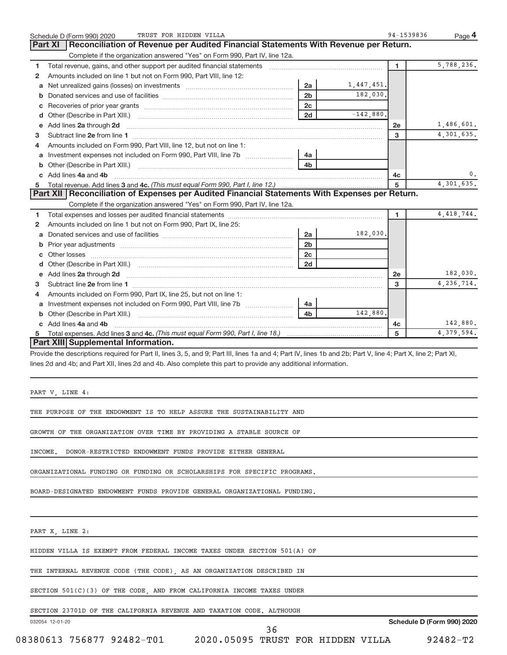|    | TRUST FOR HIDDEN VILLA<br>Schedule D (Form 990) 2020                                                                                                                                                                               |                |             | 94-1539836   | Page 4       |
|----|------------------------------------------------------------------------------------------------------------------------------------------------------------------------------------------------------------------------------------|----------------|-------------|--------------|--------------|
|    | Reconciliation of Revenue per Audited Financial Statements With Revenue per Return.<br><b>Part XI</b>                                                                                                                              |                |             |              |              |
|    | Complete if the organization answered "Yes" on Form 990, Part IV, line 12a.                                                                                                                                                        |                |             |              |              |
| 1. | Total revenue, gains, and other support per audited financial statements                                                                                                                                                           |                |             | 1.           | 5,788,236.   |
| 2  | Amounts included on line 1 but not on Form 990, Part VIII, line 12:                                                                                                                                                                |                |             |              |              |
| a  | Net unrealized gains (losses) on investments [111] [12] Met unrealized gains (losses) on investments                                                                                                                               | 2a             | 1,447,451.  |              |              |
| b  |                                                                                                                                                                                                                                    | 2 <sub>b</sub> | 182,030.    |              |              |
| c  |                                                                                                                                                                                                                                    | 2 <sub>c</sub> |             |              |              |
| d  |                                                                                                                                                                                                                                    | 2d             | $-142,880.$ |              |              |
| е  | Add lines 2a through 2d                                                                                                                                                                                                            |                |             | 2e           | 1,486,601.   |
| 3  |                                                                                                                                                                                                                                    |                |             | 3            | 4,301,635.   |
| 4  | Amounts included on Form 990, Part VIII, line 12, but not on line 1:                                                                                                                                                               |                |             |              |              |
|    | a Investment expenses not included on Form 990, Part VIII, line 7b                                                                                                                                                                 | 4a             |             |              |              |
| b  |                                                                                                                                                                                                                                    |                |             |              |              |
|    | c Add lines 4a and 4b                                                                                                                                                                                                              |                |             | 4c           | 0.           |
| 5  |                                                                                                                                                                                                                                    |                |             | 5            | 4,301,635.   |
|    | Part XII   Reconciliation of Expenses per Audited Financial Statements With Expenses per Return.                                                                                                                                   |                |             |              |              |
|    | Complete if the organization answered "Yes" on Form 990, Part IV, line 12a.                                                                                                                                                        |                |             |              |              |
| 1  |                                                                                                                                                                                                                                    |                |             | 1.           | 4, 418, 744. |
| 2  | Amounts included on line 1 but not on Form 990, Part IX, line 25:                                                                                                                                                                  |                |             |              |              |
| a  |                                                                                                                                                                                                                                    | 2a             | 182,030.    |              |              |
| b  |                                                                                                                                                                                                                                    | 2 <sub>b</sub> |             |              |              |
| c  |                                                                                                                                                                                                                                    | 2c             |             |              |              |
| d  |                                                                                                                                                                                                                                    | 2d             |             |              |              |
| е  | Add lines 2a through 2d <b>contained a contained a contained a contained a</b> contained a contained a contained a contained a contact a contact a contact a contact a contact a contact a contact a contact a contact a contact a |                |             | 2e           | 182,030.     |
| 3  |                                                                                                                                                                                                                                    |                |             | $\mathbf{a}$ | 4, 236, 714. |
| 4  | Amounts included on Form 990, Part IX, line 25, but not on line 1:                                                                                                                                                                 |                |             |              |              |
| a  | Investment expenses not included on Form 990, Part VIII, line 7b [100] [100] [100] [100] [100] [100] [100] [10                                                                                                                     | 4a             |             |              |              |
| b  |                                                                                                                                                                                                                                    | 4 <sub>b</sub> | 142,880,    |              |              |
|    | Add lines 4a and 4b                                                                                                                                                                                                                |                |             | 4c           | 142,880.     |
| 5  |                                                                                                                                                                                                                                    |                |             | 5            | 4,379,594.   |
|    | Part XIII Supplemental Information.                                                                                                                                                                                                |                |             |              |              |
|    | Provide the descriptions required for Part II, lines 3, 5, and 9; Part III, lines 1a and 4; Part IV, lines 1b and 2b; Part V, line 4; Part X, line 2; Part XI,                                                                     |                |             |              |              |
|    | lines 2d and 4b; and Part XII, lines 2d and 4b. Also complete this part to provide any additional information.                                                                                                                     |                |             |              |              |
|    |                                                                                                                                                                                                                                    |                |             |              |              |
|    |                                                                                                                                                                                                                                    |                |             |              |              |
|    | PART V, LINE 4:                                                                                                                                                                                                                    |                |             |              |              |

THE PURPOSE OF THE ENDOWMENT IS TO HELP ASSURE THE SUSTAINABILITY AND

GROWTH OF THE ORGANIZATION OVER TIME BY PROVIDING A STABLE SOURCE OF

INCOME. DONOR-RESTRICTED ENDOWMENT FUNDS PROVIDE EITHER GENERAL

ORGANIZATIONAL FUNDING OR FUNDING OR SCHOLARSHIPS FOR SPECIFIC PROGRAMS.

BOARD-DESIGNATED ENDOWMENT FUNDS PROVIDE GENERAL ORGANIZATIONAL FUNDING.

PART X, LINE 2:

HIDDEN VILLA IS EXEMPT FROM FEDERAL INCOME TAXES UNDER SECTION 501(A) OF

THE INTERNAL REVENUE CODE (THE CODE), AS AN ORGANIZATION DESCRIBED IN

SECTION 501(C)(3) OF THE CODE, AND FROM CALIFORNIA INCOME TAXES UNDER

SECTION 23701D OF THE CALIFORNIA REVENUE AND TAXATION CODE. ALTHOUGH

032054 12-01-20

**Schedule D (Form 990) 2020**

08380613 756877 92482-T01 2020.05095 TRUST FOR HIDDEN VILLA 92482-T2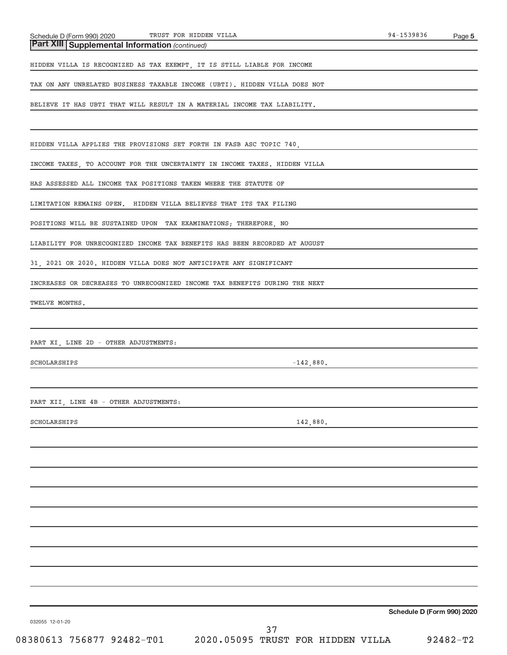| Part XIII Supplemental Information (continued) |
|------------------------------------------------|
|                                                |

HIDDEN VILLA IS RECOGNIZED AS TAX EXEMPT, IT IS STILL LIABLE FOR INCOME

TAX ON ANY UNRELATED BUSINESS TAXABLE INCOME (UBTI). HIDDEN VILLA DOES NOT

BELIEVE IT HAS UBTI THAT WILL RESULT IN A MATERIAL INCOME TAX LIABILITY.

HIDDEN VILLA APPLIES THE PROVISIONS SET FORTH IN FASB ASC TOPIC 740,

INCOME TAXES, TO ACCOUNT FOR THE UNCERTAINTY IN INCOME TAXES. HIDDEN VILLA

HAS ASSESSED ALL INCOME TAX POSITIONS TAKEN WHERE THE STATUTE OF

LIMITATION REMAINS OPEN. HIDDEN VILLA BELIEVES THAT ITS TAX FILING

POSITIONS WILL BE SUSTAINED UPON TAX EXAMINATIONS; THEREFORE, NO

LIABILITY FOR UNRECOGNIZED INCOME TAX BENEFITS HAS BEEN RECORDED AT AUGUST

31, 2021 OR 2020. HIDDEN VILLA DOES NOT ANTICIPATE ANY SIGNIFICANT

INCREASES OR DECREASES TO UNRECOGNIZED INCOME TAX BENEFITS DURING THE NEXT

TWELVE MONTHS.

PART XI, LINE 2D - OTHER ADJUSTMENTS:

SCHOLARSHIPS -142,880.

PART XII, LINE 4B - OTHER ADJUSTMENTS:

SCHOLARSHIPS 142,880.

**Schedule D (Form 990) 2020**

032055 12-01-20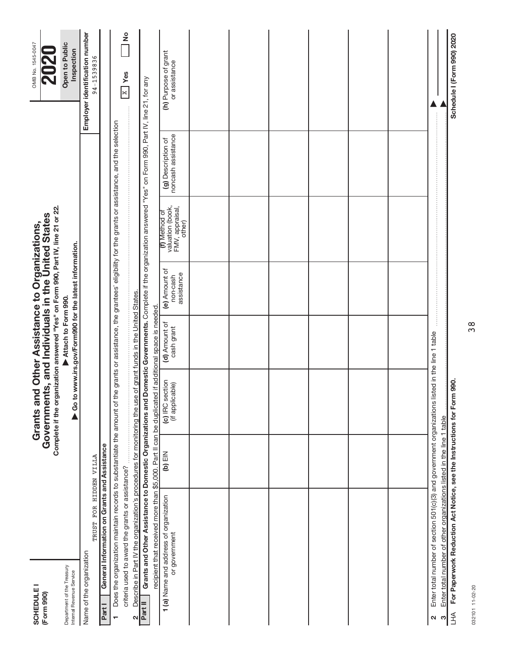| <b>SCHEDULE I</b><br>(Form 990)                        |                                                                                                                                                                                                                                            |           | Complete if the organization answered "Yes" on Form 990, Part IV, line 21 or 22.<br>Grants and Other Assistance to Organizations,<br>overnments, and Individuals in the United States<br>Government |                                     |                                                       |                                                                |                                          | OMB No. 1545-0047                            |
|--------------------------------------------------------|--------------------------------------------------------------------------------------------------------------------------------------------------------------------------------------------------------------------------------------------|-----------|-----------------------------------------------------------------------------------------------------------------------------------------------------------------------------------------------------|-------------------------------------|-------------------------------------------------------|----------------------------------------------------------------|------------------------------------------|----------------------------------------------|
| Department of the Treasury<br>Internal Revenue Service |                                                                                                                                                                                                                                            |           |                                                                                                                                                                                                     | Attach to Form 990.                 | Go to www.irs.gov/Form990 for the latest information. |                                                                |                                          | Open to Public<br>Inspection                 |
| Name of the organization                               | TRUST FOR HIDDEN VILLA                                                                                                                                                                                                                     |           |                                                                                                                                                                                                     |                                     |                                                       |                                                                |                                          | Employer identification number<br>94-1539836 |
| Part I                                                 | General Information on Grants and Assistance                                                                                                                                                                                               |           |                                                                                                                                                                                                     |                                     |                                                       |                                                                |                                          |                                              |
| ٣                                                      | Does the organization maintain records to substantiate the amount of the grants or assistance, the grantees' eligibility for the grants or assistance, and the selection                                                                   |           |                                                                                                                                                                                                     |                                     |                                                       |                                                                |                                          |                                              |
|                                                        | criteria used to award the grants or assistance?                                                                                                                                                                                           |           |                                                                                                                                                                                                     |                                     |                                                       |                                                                |                                          | ž<br>$\overline{X}$ Yes                      |
| Σ                                                      | Describe in Part IV the organization's procedures for monitoring the use                                                                                                                                                                   |           |                                                                                                                                                                                                     | of grant funds in the United States |                                                       |                                                                |                                          |                                              |
| Part II                                                | Grants and Other Assistance to Domestic Organizations and Domestic Governments. Complete if the organization answered "Yes" on Form 990, Part IV, line 21, for any<br>recipient that received more than \$5,000. Part II can be duplicated |           |                                                                                                                                                                                                     | if additional space is needed       |                                                       |                                                                |                                          |                                              |
|                                                        | 1 (a) Name and address of organization<br>or government                                                                                                                                                                                    | $(b)$ EIN | (c) IRC section<br>(if applicable)                                                                                                                                                                  | (d) Amount of<br>cash grant         | (e) Amount of<br>assistance<br>non-cash               | valuation (book,<br>FMV, appraisal,<br>(f) Method of<br>other) | noncash assistance<br>(g) Description of | (h) Purpose of grant<br>or assistance        |
|                                                        |                                                                                                                                                                                                                                            |           |                                                                                                                                                                                                     |                                     |                                                       |                                                                |                                          |                                              |
|                                                        |                                                                                                                                                                                                                                            |           |                                                                                                                                                                                                     |                                     |                                                       |                                                                |                                          |                                              |
|                                                        |                                                                                                                                                                                                                                            |           |                                                                                                                                                                                                     |                                     |                                                       |                                                                |                                          |                                              |
|                                                        |                                                                                                                                                                                                                                            |           |                                                                                                                                                                                                     |                                     |                                                       |                                                                |                                          |                                              |
|                                                        |                                                                                                                                                                                                                                            |           |                                                                                                                                                                                                     |                                     |                                                       |                                                                |                                          |                                              |
|                                                        |                                                                                                                                                                                                                                            |           |                                                                                                                                                                                                     |                                     |                                                       |                                                                |                                          |                                              |
| N                                                      | Enter total number of section 501(c)(3) and government organizations listed in the line 1 table                                                                                                                                            |           |                                                                                                                                                                                                     |                                     |                                                       |                                                                |                                          |                                              |
| ო                                                      | Enter total number of other organizations listed in the line 1 table                                                                                                                                                                       |           |                                                                                                                                                                                                     |                                     |                                                       |                                                                |                                          |                                              |
| THV                                                    | For Paperwork Reduction Act Notice, see the Instructions for Form                                                                                                                                                                          |           | 990.                                                                                                                                                                                                |                                     |                                                       |                                                                |                                          | Schedule I (Form 990) 2020                   |

032101 11-02-20 032101 11-02-20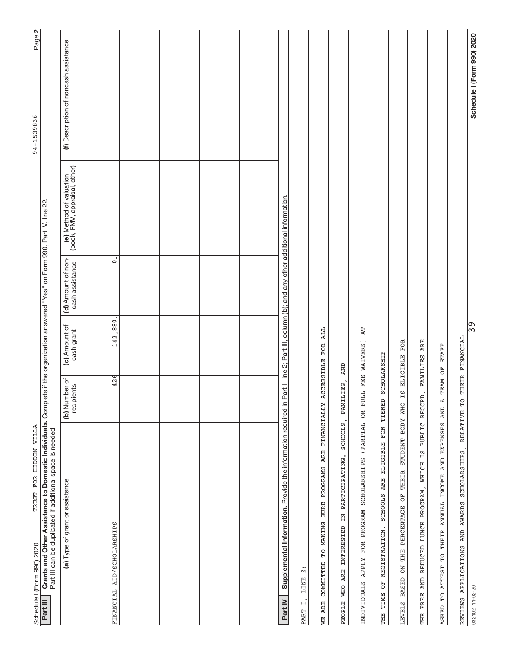| TRUST FOR HIDDEN VILLA<br>Schedule I (Form 990) 2020                                                                                                                                                   |                                |                             |                                                                             |                                                          | Page 2<br>94-1539836                  |
|--------------------------------------------------------------------------------------------------------------------------------------------------------------------------------------------------------|--------------------------------|-----------------------------|-----------------------------------------------------------------------------|----------------------------------------------------------|---------------------------------------|
| Grants and Other Assistance to Domestic Individuals. Complete if the organization answered "Yes" on Form 990, Part IV, line 22<br>Part III can be duplicated if additional space is needed<br>Part III |                                |                             |                                                                             |                                                          |                                       |
| (a) Type of grant or assistance                                                                                                                                                                        | (b) Number of<br>recipients    | (c) Amount of<br>cash grant | (d) Amount of non-<br>cash assistance                                       | (e) Method of valuation<br>(book, FMV, appraisal, other) | (f) Description of noncash assistance |
| FINANCIAL AID/SCHOLARSHIPS                                                                                                                                                                             | 426                            | 142,880.                    | $\dot{\circ}$                                                               |                                                          |                                       |
|                                                                                                                                                                                                        |                                |                             |                                                                             |                                                          |                                       |
|                                                                                                                                                                                                        |                                |                             |                                                                             |                                                          |                                       |
|                                                                                                                                                                                                        |                                |                             |                                                                             |                                                          |                                       |
|                                                                                                                                                                                                        |                                |                             |                                                                             |                                                          |                                       |
| Supplemental Information. Provide the information required in<br>Part IV                                                                                                                               |                                |                             | Part I, line 2; Part III, column (b); and any other additional information. |                                                          |                                       |
| $\ddot{\Omega}$<br>LINE<br>$\overline{\phantom{a}}$<br>PART                                                                                                                                            |                                |                             |                                                                             |                                                          |                                       |
| <b>FINANCIALLY</b><br><b>ARE</b><br>PROGRAMS<br><b>SURE</b><br>TO MAKING<br>COMMITTED<br><b>ARE</b><br>WЕ                                                                                              |                                | ALL<br>ACCESSIBLE FOR       |                                                                             |                                                          |                                       |
| SCHOOLS,<br>PEOPLE WHO ARE INTERESTED IN PARTICIPATING.                                                                                                                                                | LIES,<br><b>FAMI</b>           | <b>AND</b>                  |                                                                             |                                                          |                                       |
| (PARTIAL<br>FOR PROGRAM SCHOLARSHIPS<br>INDIVIDUALS APPLY                                                                                                                                              | FULL FEE WAIVERS)<br><b>OR</b> | <b>AT</b>                   |                                                                             |                                                          |                                       |
| $_{\rm FOR}$<br><b>ELIGIBLE</b><br>SCHOOLS ARE<br>REGISTRATION.<br>FO<br>TIME<br><b>EHE</b>                                                                                                            | TIERED                         | SCHOLARSHIP                 |                                                                             |                                                          |                                       |
| STUDENT BODY WHO<br>LEVELS BASED ON THE PERCENTAGE OF THEIR                                                                                                                                            |                                | IS ELIGIBLE FOR             |                                                                             |                                                          |                                       |
| WHICH IS<br>LUNCH PROGRAM,<br>THE FREE AND REDUCED                                                                                                                                                     | PUBLIC RECORD. FAMILIES ARE    |                             |                                                                             |                                                          |                                       |
| THEIR ANNUAL INCOME AND EXPENSES AND<br>$\overline{L}$<br><b>ATTEST</b><br>ρ<br>ASKED                                                                                                                  | TEAM OF<br>Ą                   | <b>STAFF</b>                |                                                                             |                                                          |                                       |
| REVIEWS APPLICATIONS AND AWARDS SCHOLARSHIPS,                                                                                                                                                          | RELATIVE TO                    | THEIR FINANCIAL             |                                                                             |                                                          |                                       |
| 032102 11-02-20                                                                                                                                                                                        |                                | ြွာ                         |                                                                             |                                                          | Schedule I (Form 990) 2020            |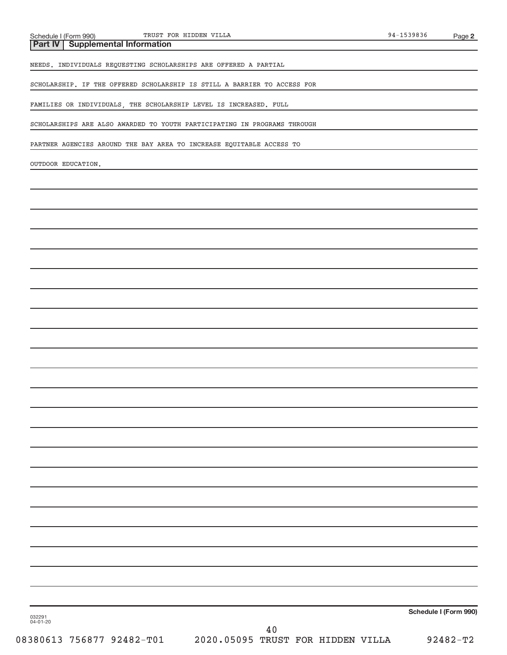**Part IV Supplemental Information**

NEEDS. INDIVIDUALS REQUESTING SCHOLARSHIPS ARE OFFERED A PARTIAL

SCHOLARSHIP. IF THE OFFERED SCHOLARSHIP IS STILL A BARRIER TO ACCESS FOR

FAMILIES OR INDIVIDUALS, THE SCHOLARSHIP LEVEL IS INCREASED. FULL

SCHOLARSHIPS ARE ALSO AWARDED TO YOUTH PARTICIPATING IN PROGRAMS THROUGH

PARTNER AGENCIES AROUND THE BAY AREA TO INCREASE EQUITABLE ACCESS TO

OUTDOOR EDUCATION.

032291 04-01-20

08380613 756877 92482-T01 2020.05095 TRUST FOR HIDDEN VILLA 92482-T2 40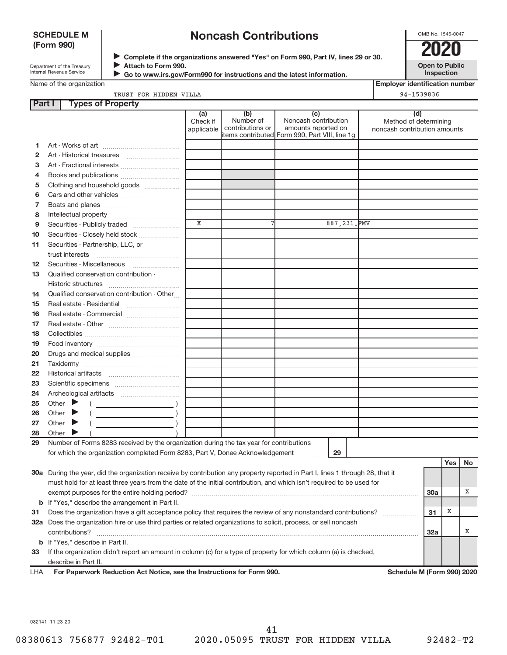#### **SCHEDULE M (Form 990)**

# **Noncash Contributions**

OMB No. 1545-0047

Department of the Treasury Internal Revenue Service

**Complete if the organizations answered "Yes" on Form 990, Part IV, lines 29 or 30.** <sup>J</sup>**2020 Attach to Form 990.** J

 **Go to www.irs.gov/Form990 for instructions and the latest information.**

**Open to Public Inspection**

**Employer identification number**

Name of the organization

 $\blacktriangleright$ 

|               | TRUST FOR HIDDEN VILLA                                                                                                         |                               |                                      |                                                                                                      | 94-1539836                                                   |
|---------------|--------------------------------------------------------------------------------------------------------------------------------|-------------------------------|--------------------------------------|------------------------------------------------------------------------------------------------------|--------------------------------------------------------------|
| <b>Part I</b> | <b>Types of Property</b>                                                                                                       |                               |                                      |                                                                                                      |                                                              |
|               |                                                                                                                                | (a)<br>Check if<br>applicable | (b)<br>Number of<br>contributions or | (c)<br>Noncash contribution<br>amounts reported on<br>items contributed Form 990, Part VIII, line 1g | (d)<br>Method of determining<br>noncash contribution amounts |
| 1             |                                                                                                                                |                               |                                      |                                                                                                      |                                                              |
| 2             |                                                                                                                                |                               |                                      |                                                                                                      |                                                              |
| з             |                                                                                                                                |                               |                                      |                                                                                                      |                                                              |
| 4             | Books and publications                                                                                                         |                               |                                      |                                                                                                      |                                                              |
| 5             | Clothing and household goods                                                                                                   |                               |                                      |                                                                                                      |                                                              |
| 6             | Cars and other vehicles                                                                                                        |                               |                                      |                                                                                                      |                                                              |
| 7             |                                                                                                                                |                               |                                      |                                                                                                      |                                                              |
| 8             |                                                                                                                                |                               |                                      |                                                                                                      |                                                              |
| 9             | Securities - Publicly traded                                                                                                   | $\mathbf X$                   | 7                                    | 887, 231.FMV                                                                                         |                                                              |
| 10            | Securities - Closely held stock                                                                                                |                               |                                      |                                                                                                      |                                                              |
| 11            | Securities - Partnership, LLC, or                                                                                              |                               |                                      |                                                                                                      |                                                              |
|               |                                                                                                                                |                               |                                      |                                                                                                      |                                                              |
| 12            | Securities - Miscellaneous                                                                                                     |                               |                                      |                                                                                                      |                                                              |
| 13            | Qualified conservation contribution -                                                                                          |                               |                                      |                                                                                                      |                                                              |
|               |                                                                                                                                |                               |                                      |                                                                                                      |                                                              |
| 14            | Qualified conservation contribution - Other                                                                                    |                               |                                      |                                                                                                      |                                                              |
| 15            |                                                                                                                                |                               |                                      |                                                                                                      |                                                              |
| 16            |                                                                                                                                |                               |                                      |                                                                                                      |                                                              |
| 17            |                                                                                                                                |                               |                                      |                                                                                                      |                                                              |
| 18            |                                                                                                                                |                               |                                      |                                                                                                      |                                                              |
| 19            |                                                                                                                                |                               |                                      |                                                                                                      |                                                              |
| 20            | Drugs and medical supplies                                                                                                     |                               |                                      |                                                                                                      |                                                              |
| 21            |                                                                                                                                |                               |                                      |                                                                                                      |                                                              |
| 22            |                                                                                                                                |                               |                                      |                                                                                                      |                                                              |
| 23            |                                                                                                                                |                               |                                      |                                                                                                      |                                                              |
| 24            |                                                                                                                                |                               |                                      |                                                                                                      |                                                              |
| 25            | Other $\blacktriangleright$                                                                                                    |                               |                                      |                                                                                                      |                                                              |
| 26            | Other $\blacktriangleright$                                                                                                    |                               |                                      |                                                                                                      |                                                              |
| 27            | Other $\blacktriangleright$                                                                                                    |                               |                                      |                                                                                                      |                                                              |
| 28            | Other $\blacktriangleright$                                                                                                    |                               |                                      |                                                                                                      |                                                              |
| 29            | Number of Forms 8283 received by the organization during the tax year for contributions                                        |                               |                                      |                                                                                                      |                                                              |
|               | for which the organization completed Form 8283, Part V, Donee Acknowledgement                                                  |                               |                                      | 29                                                                                                   |                                                              |
|               |                                                                                                                                |                               |                                      |                                                                                                      | Yes<br>No                                                    |
|               | 30a During the year, did the organization receive by contribution any property reported in Part I, lines 1 through 28, that it |                               |                                      |                                                                                                      |                                                              |
|               | must hold for at least three years from the date of the initial contribution, and which isn't required to be used for          |                               |                                      |                                                                                                      |                                                              |

|    | exempt purposes for the entire holding period?                                                                    | 30a |  |
|----|-------------------------------------------------------------------------------------------------------------------|-----|--|
|    | <b>b</b> If "Yes," describe the arrangement in Part II.                                                           |     |  |
| 31 | Does the organization have a gift acceptance policy that requires the review of any nonstandard contributions?    | -31 |  |
|    | 32a Does the organization hire or use third parties or related organizations to solicit, process, or sell noncash |     |  |
|    | contributions?                                                                                                    | 32a |  |
|    | <b>b</b> If "Yes," describe in Part II.                                                                           |     |  |
| 33 | If the organization didn't report an amount in column (c) for a type of property for which column (a) is checked, |     |  |
|    | describe in Part II.                                                                                              |     |  |

| For Paperwork Reduction Act Notice, see the Instructions for Form 990. | <b>LHA</b> |  |  |  |  |  |  |
|------------------------------------------------------------------------|------------|--|--|--|--|--|--|
|------------------------------------------------------------------------|------------|--|--|--|--|--|--|

**Schedule M (Form 990) 2020** 

032141 11-23-20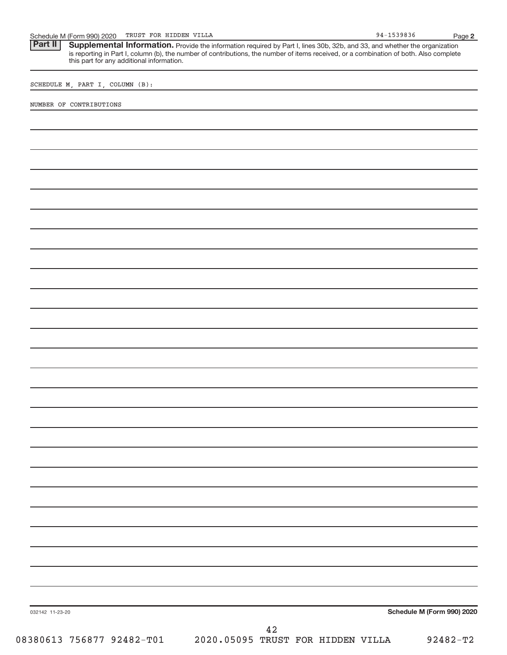| FOR<br>TRUST<br>Schedule M (Form 990) 2020 | VILLA<br>HIDDEN | 1539836<br>$94 -$ | Page |  |
|--------------------------------------------|-----------------|-------------------|------|--|
|--------------------------------------------|-----------------|-------------------|------|--|

Part II | Supplemental Information. Provide the information required by Part I, lines 30b, 32b, and 33, and whether the organization is reporting in Part I, column (b), the number of contributions, the number of items received, or a combination of both. Also complete this part for any additional information.

SCHEDULE M, PART I, COLUMN (B):

NUMBER OF CONTRIBUTIONS

**Schedule M (Form 990) 2020**

032142 11-23-20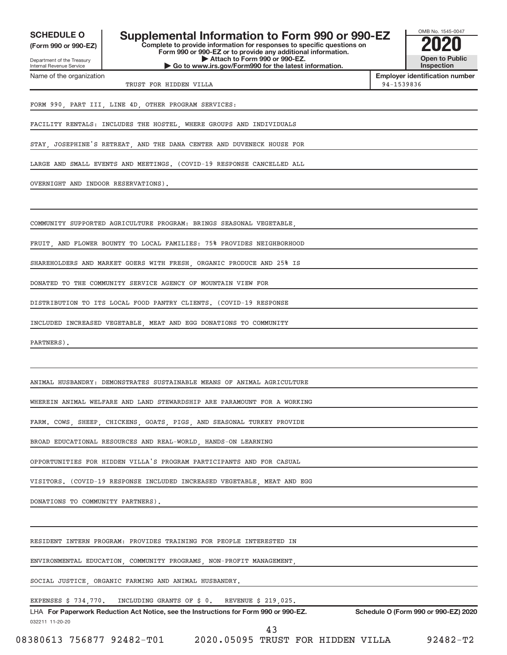**(Form 990 or 990-EZ)**

Department of the Treasury Internal Revenue Service Name of the organization

**SCHEDULE O Supplemental Information to Form 990 or 990-EZ 2020**

**Complete to provide information for responses to specific questions on Form 990 or 990-EZ or to provide any additional information. | Attach to Form 990 or 990-EZ. | Go to www.irs.gov/Form990 for the latest information.**



**Employer identification number** TRUST FOR HIDDEN VILLA **194-1539836** 

FORM 990, PART III, LINE 4D, OTHER PROGRAM SERVICES:

FACILITY RENTALS: INCLUDES THE HOSTEL, WHERE GROUPS AND INDIVIDUALS

STAY, JOSEPHINE'S RETREAT, AND THE DANA CENTER AND DUVENECK HOUSE FOR

LARGE AND SMALL EVENTS AND MEETINGS. (COVID-19 RESPONSE CANCELLED ALL

OVERNIGHT AND INDOOR RESERVATIONS).

COMMUNITY SUPPORTED AGRICULTURE PROGRAM: BRINGS SEASONAL VEGETABLE,

FRUIT, AND FLOWER BOUNTY TO LOCAL FAMILIES: 75% PROVIDES NEIGHBORHOOD

SHAREHOLDERS AND MARKET GOERS WITH FRESH, ORGANIC PRODUCE AND 25% IS

DONATED TO THE COMMUNITY SERVICE AGENCY OF MOUNTAIN VIEW FOR

DISTRIBUTION TO ITS LOCAL FOOD PANTRY CLIENTS. (COVID-19 RESPONSE

INCLUDED INCREASED VEGETABLE, MEAT AND EGG DONATIONS TO COMMUNITY

PARTNERS).

ANIMAL HUSBANDRY: DEMONSTRATES SUSTAINABLE MEANS OF ANIMAL AGRICULTURE

WHEREIN ANIMAL WELFARE AND LAND STEWARDSHIP ARE PARAMOUNT FOR A WORKING

FARM. COWS, SHEEP, CHICKENS, GOATS, PIGS, AND SEASONAL TURKEY PROVIDE

BROAD EDUCATIONAL RESOURCES AND REAL-WORLD, HANDS-ON LEARNING

OPPORTUNITIES FOR HIDDEN VILLA'S PROGRAM PARTICIPANTS AND FOR CASUAL

VISITORS. (COVID-19 RESPONSE INCLUDED INCREASED VEGETABLE, MEAT AND EGG

DONATIONS TO COMMUNITY PARTNERS).

RESIDENT INTERN PROGRAM: PROVIDES TRAINING FOR PEOPLE INTERESTED IN

ENVIRONMENTAL EDUCATION, COMMUNITY PROGRAMS, NON-PROFIT MANAGEMENT,

SOCIAL JUSTICE, ORGANIC FARMING AND ANIMAL HUSBANDRY.

EXPENSES \$ 734,770. INCLUDING GRANTS OF \$ 0. REVENUE \$ 219,025.

032211 11-20-20 **For Paperwork Reduction Act Notice, see the Instructions for Form 990 or 990-EZ. Schedule O (Form 990 or 990-EZ) 2020** LHA

43

08380613 756877 92482-T01 2020.05095 TRUST FOR HIDDEN VILLA 92482-T2